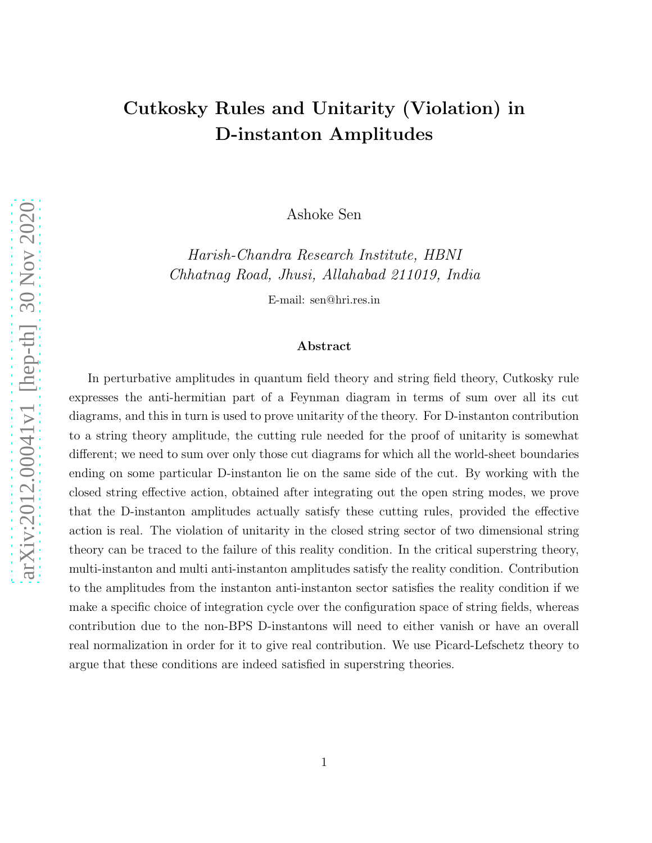## Cutkosky Rules and Unitarity (Violation) in D-instanton Amplitudes

Ashoke Sen

Harish-Chandra Research Institute, HBNI Chhatnag Road, Jhusi, Allahabad 211019, India

E-mail: sen@hri.res.in

#### Abstract

In perturbative amplitudes in quantum field theory and string field theory, Cutkosky rule expresses the anti-hermitian part of a Feynman diagram in terms of sum over all its cut diagrams, and this in turn is used to prove unitarity of the theory. For D-instanton contribution to a string theory amplitude, the cutting rule needed for the proof of unitarity is somewhat different; we need to sum over only those cut diagrams for which all the world-sheet boundaries ending on some particular D-instanton lie on the same side of the cut. By working with the closed string effective action, obtained after integrating out the open string modes, we prove that the D-instanton amplitudes actually satisfy these cutting rules, provided the effective action is real. The violation of unitarity in the closed string sector of two dimensional string theory can be traced to the failure of this reality condition. In the critical superstring theory, multi-instanton and multi anti-instanton amplitudes satisfy the reality condition. Contribution to the amplitudes from the instanton anti-instanton sector satisfies the reality condition if we make a specific choice of integration cycle over the configuration space of string fields, whereas contribution due to the non-BPS D-instantons will need to either vanish or have an overall real normalization in order for it to give real contribution. We use Picard-Lefschetz theory to argue that these conditions are indeed satisfied in superstring theories.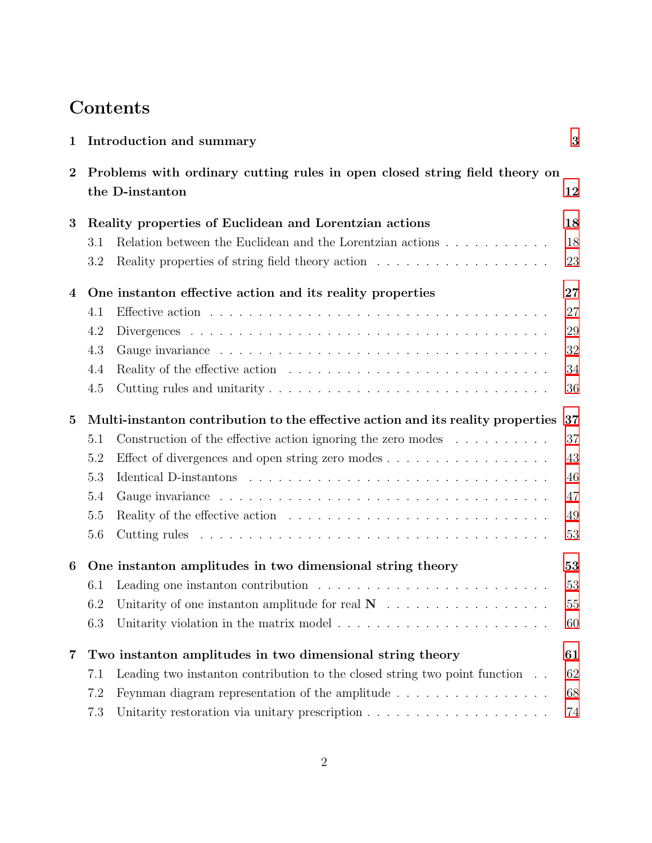# **Contents**

| $\mathbf{1}$            | Introduction and summary                                                                                | 3  |
|-------------------------|---------------------------------------------------------------------------------------------------------|----|
| $\bf{2}$                | Problems with ordinary cutting rules in open closed string field theory on<br>the D-instanton           | 12 |
| 3                       | Reality properties of Euclidean and Lorentzian actions                                                  | 18 |
|                         | Relation between the Euclidean and the Lorentzian actions<br>3.1                                        | 18 |
|                         | Reality properties of string field theory action $\ldots \ldots \ldots \ldots \ldots$<br>3.2            | 23 |
| 4                       | One instanton effective action and its reality properties                                               | 27 |
|                         | 4.1                                                                                                     | 27 |
|                         | 4.2                                                                                                     | 29 |
|                         | 4.3                                                                                                     | 32 |
|                         | Reality of the effective action $\ldots \ldots \ldots \ldots \ldots \ldots \ldots \ldots \ldots$<br>4.4 | 34 |
|                         | 4.5                                                                                                     | 36 |
| $\bf{5}$                | Multi-instanton contribution to the effective action and its reality properties                         | 37 |
|                         | Construction of the effective action ignoring the zero modes $\dots \dots \dots$<br>5.1                 | 37 |
|                         | 5.2<br>Effect of divergences and open string zero modes $\dots \dots \dots \dots \dots \dots$           | 43 |
|                         | 5.3                                                                                                     | 46 |
|                         | 5.4                                                                                                     | 47 |
|                         | 5.5                                                                                                     | 49 |
|                         | 5.6                                                                                                     | 53 |
| 6                       | One instanton amplitudes in two dimensional string theory                                               | 53 |
|                         | Leading one instanton contribution $\ldots \ldots \ldots \ldots \ldots \ldots \ldots \ldots$<br>6.1     | 53 |
|                         | 6.2                                                                                                     | 55 |
|                         | Unitarity violation in the matrix model $\ldots \ldots \ldots \ldots \ldots \ldots \ldots$<br>6.3       | 60 |
| $\overline{\mathbf{7}}$ | Two instanton amplitudes in two dimensional string theory                                               | 61 |
|                         | Leading two instanton contribution to the closed string two point function<br>7.1                       | 62 |
|                         | 7.2<br>Feynman diagram representation of the amplitude $\ldots$ , $\ldots$ , $\ldots$ , $\ldots$        | 68 |
|                         | 7.3<br>Unitarity restoration via unitary prescription $\ldots \ldots \ldots \ldots \ldots \ldots$       | 74 |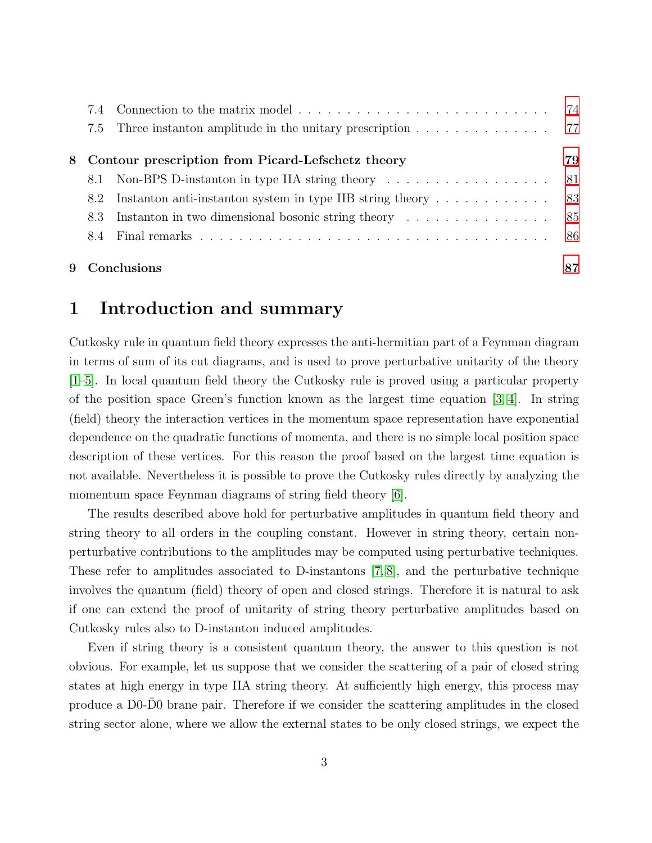|     | 7.4 Connection to the matrix model                                                          | 74  |
|-----|---------------------------------------------------------------------------------------------|-----|
|     | 7.5 Three instanton amplitude in the unitary prescription 77                                |     |
|     | 8 Contour prescription from Picard-Lefschetz theory                                         | 79  |
| 8.1 | Non-BPS D-instanton in type IIA string theory $\dots \dots \dots \dots \dots \dots$         | -81 |
| 8.2 | Instanton anti-instanton system in type IIB string theory $\dots \dots \dots \dots$         |     |
| 8.3 | Instanton in two dimensional bosonic string theory $\dots \dots \dots \dots \dots \dots$ 85 |     |
|     |                                                                                             |     |
|     | 9 Conclusions                                                                               | 87  |

### <span id="page-2-0"></span>1 Introduction and summary

Cutkosky rule in quantum field theory expresses the anti-hermitian part of a Feynman diagram in terms of sum of its cut diagrams, and is used to prove perturbative unitarity of the theory [\[1–](#page-87-0)[5\]](#page-87-1). In local quantum field theory the Cutkosky rule is proved using a particular property of the position space Green's function known as the largest time equation [\[3,](#page-87-2) [4\]](#page-87-3). In string (field) theory the interaction vertices in the momentum space representation have exponential dependence on the quadratic functions of momenta, and there is no simple local position space description of these vertices. For this reason the proof based on the largest time equation is not available. Nevertheless it is possible to prove the Cutkosky rules directly by analyzing the momentum space Feynman diagrams of string field theory [\[6\]](#page-87-4).

The results described above hold for perturbative amplitudes in quantum field theory and string theory to all orders in the coupling constant. However in string theory, certain nonperturbative contributions to the amplitudes may be computed using perturbative techniques. These refer to amplitudes associated to D-instantons [\[7,](#page-87-5) [8\]](#page-87-6), and the perturbative technique involves the quantum (field) theory of open and closed strings. Therefore it is natural to ask if one can extend the proof of unitarity of string theory perturbative amplitudes based on Cutkosky rules also to D-instanton induced amplitudes.

Even if string theory is a consistent quantum theory, the answer to this question is not obvious. For example, let us suppose that we consider the scattering of a pair of closed string states at high energy in type IIA string theory. At sufficiently high energy, this process may produce a D0-D0 brane pair. Therefore if we consider the scattering amplitudes in the closed string sector alone, where we allow the external states to be only closed strings, we expect the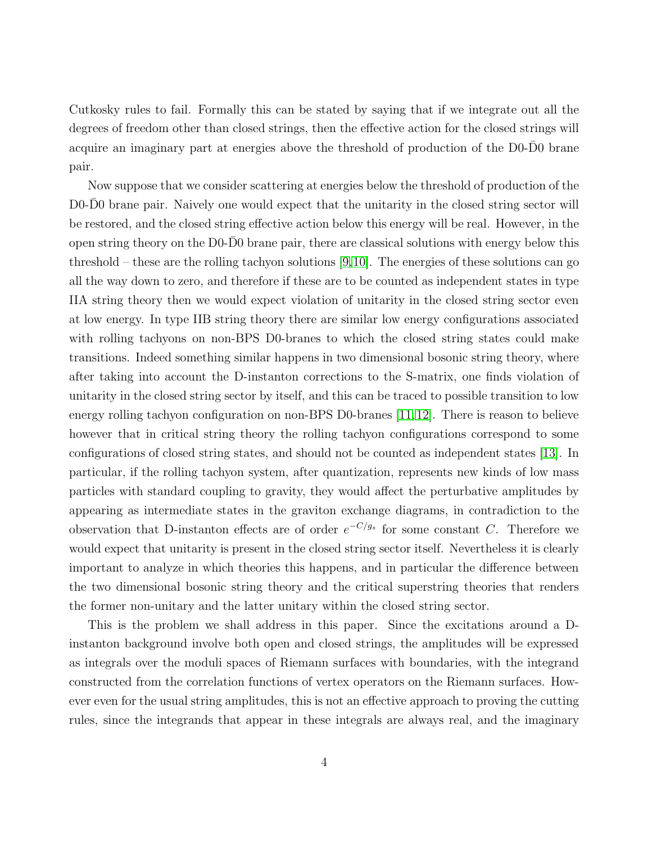Cutkosky rules to fail. Formally this can be stated by saying that if we integrate out all the degrees of freedom other than closed strings, then the effective action for the closed strings will acquire an imaginary part at energies above the threshold of production of the D0-D0 brane pair.

Now suppose that we consider scattering at energies below the threshold of production of the D0-D0 brane pair. Naively one would expect that the unitarity in the closed string sector will be restored, and the closed string effective action below this energy will be real. However, in the open string theory on the D0-D0 brane pair, there are classical solutions with energy below this ¯ threshold – these are the rolling tachyon solutions [\[9,](#page-87-7)[10\]](#page-87-8). The energies of these solutions can go all the way down to zero, and therefore if these are to be counted as independent states in type IIA string theory then we would expect violation of unitarity in the closed string sector even at low energy. In type IIB string theory there are similar low energy configurations associated with rolling tachyons on non-BPS D0-branes to which the closed string states could make transitions. Indeed something similar happens in two dimensional bosonic string theory, where after taking into account the D-instanton corrections to the S-matrix, one finds violation of unitarity in the closed string sector by itself, and this can be traced to possible transition to low energy rolling tachyon configuration on non-BPS D0-branes [\[11,](#page-87-9)[12\]](#page-88-0). There is reason to believe however that in critical string theory the rolling tachyon configurations correspond to some configurations of closed string states, and should not be counted as independent states [\[13\]](#page-88-1). In particular, if the rolling tachyon system, after quantization, represents new kinds of low mass particles with standard coupling to gravity, they would affect the perturbative amplitudes by appearing as intermediate states in the graviton exchange diagrams, in contradiction to the observation that D-instanton effects are of order  $e^{-C/g_s}$  for some constant C. Therefore we would expect that unitarity is present in the closed string sector itself. Nevertheless it is clearly important to analyze in which theories this happens, and in particular the difference between the two dimensional bosonic string theory and the critical superstring theories that renders the former non-unitary and the latter unitary within the closed string sector.

This is the problem we shall address in this paper. Since the excitations around a Dinstanton background involve both open and closed strings, the amplitudes will be expressed as integrals over the moduli spaces of Riemann surfaces with boundaries, with the integrand constructed from the correlation functions of vertex operators on the Riemann surfaces. However even for the usual string amplitudes, this is not an effective approach to proving the cutting rules, since the integrands that appear in these integrals are always real, and the imaginary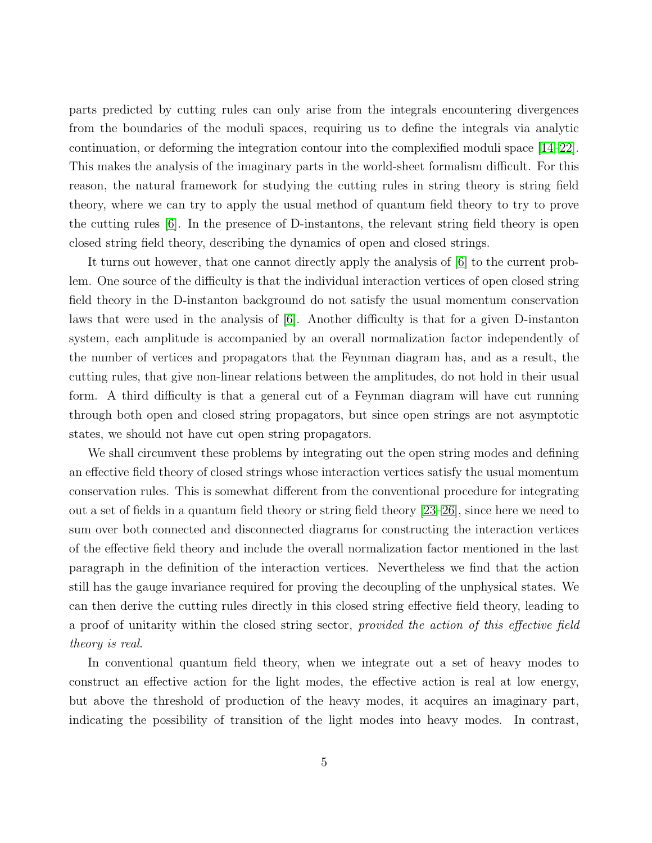parts predicted by cutting rules can only arise from the integrals encountering divergences from the boundaries of the moduli spaces, requiring us to define the integrals via analytic continuation, or deforming the integration contour into the complexified moduli space [\[14–](#page-88-2)[22\]](#page-88-3). This makes the analysis of the imaginary parts in the world-sheet formalism difficult. For this reason, the natural framework for studying the cutting rules in string theory is string field theory, where we can try to apply the usual method of quantum field theory to try to prove the cutting rules [\[6\]](#page-87-4). In the presence of D-instantons, the relevant string field theory is open closed string field theory, describing the dynamics of open and closed strings.

It turns out however, that one cannot directly apply the analysis of [\[6\]](#page-87-4) to the current problem. One source of the difficulty is that the individual interaction vertices of open closed string field theory in the D-instanton background do not satisfy the usual momentum conservation laws that were used in the analysis of  $|6|$ . Another difficulty is that for a given D-instanton system, each amplitude is accompanied by an overall normalization factor independently of the number of vertices and propagators that the Feynman diagram has, and as a result, the cutting rules, that give non-linear relations between the amplitudes, do not hold in their usual form. A third difficulty is that a general cut of a Feynman diagram will have cut running through both open and closed string propagators, but since open strings are not asymptotic states, we should not have cut open string propagators.

We shall circumvent these problems by integrating out the open string modes and defining an effective field theory of closed strings whose interaction vertices satisfy the usual momentum conservation rules. This is somewhat different from the conventional procedure for integrating out a set of fields in a quantum field theory or string field theory [\[23](#page-88-4)[–26\]](#page-89-0), since here we need to sum over both connected and disconnected diagrams for constructing the interaction vertices of the effective field theory and include the overall normalization factor mentioned in the last paragraph in the definition of the interaction vertices. Nevertheless we find that the action still has the gauge invariance required for proving the decoupling of the unphysical states. We can then derive the cutting rules directly in this closed string effective field theory, leading to a proof of unitarity within the closed string sector, *provided the action of this effective field* theory is real.

In conventional quantum field theory, when we integrate out a set of heavy modes to construct an effective action for the light modes, the effective action is real at low energy, but above the threshold of production of the heavy modes, it acquires an imaginary part, indicating the possibility of transition of the light modes into heavy modes. In contrast,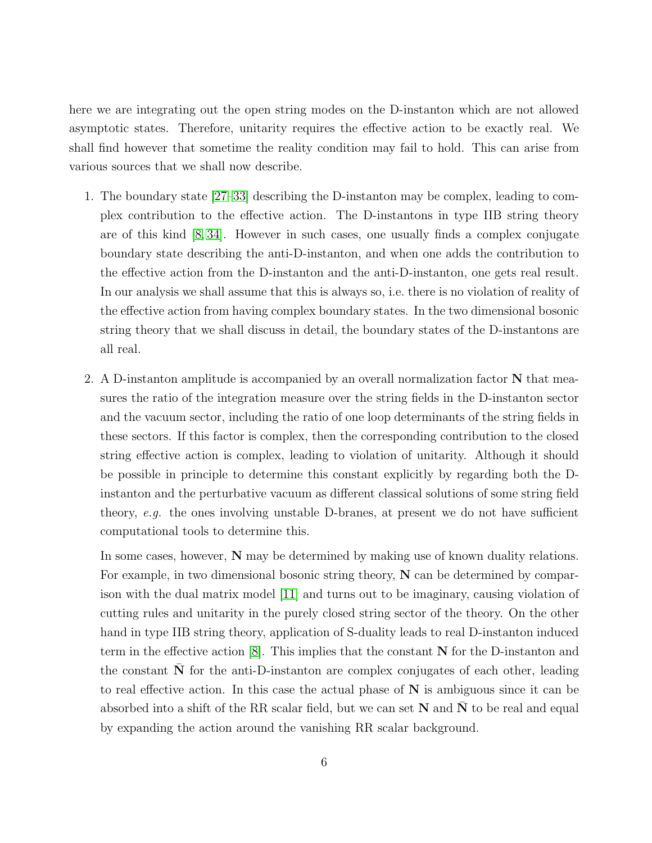here we are integrating out the open string modes on the D-instanton which are not allowed asymptotic states. Therefore, unitarity requires the effective action to be exactly real. We shall find however that sometime the reality condition may fail to hold. This can arise from various sources that we shall now describe.

- 1. The boundary state [\[27](#page-89-1)[–33\]](#page-89-2) describing the D-instanton may be complex, leading to complex contribution to the effective action. The D-instantons in type IIB string theory are of this kind [\[8,](#page-87-6) [34\]](#page-89-3). However in such cases, one usually finds a complex conjugate boundary state describing the anti-D-instanton, and when one adds the contribution to the effective action from the D-instanton and the anti-D-instanton, one gets real result. In our analysis we shall assume that this is always so, i.e. there is no violation of reality of the effective action from having complex boundary states. In the two dimensional bosonic string theory that we shall discuss in detail, the boundary states of the D-instantons are all real.
- 2. A D-instanton amplitude is accompanied by an overall normalization factor  $N$  that measures the ratio of the integration measure over the string fields in the D-instanton sector and the vacuum sector, including the ratio of one loop determinants of the string fields in these sectors. If this factor is complex, then the corresponding contribution to the closed string effective action is complex, leading to violation of unitarity. Although it should be possible in principle to determine this constant explicitly by regarding both the Dinstanton and the perturbative vacuum as different classical solutions of some string field theory, e.g. the ones involving unstable D-branes, at present we do not have sufficient computational tools to determine this.

In some cases, however, N may be determined by making use of known duality relations. For example, in two dimensional bosonic string theory,  $N$  can be determined by comparison with the dual matrix model [\[11\]](#page-87-9) and turns out to be imaginary, causing violation of cutting rules and unitarity in the purely closed string sector of the theory. On the other hand in type IIB string theory, application of S-duality leads to real D-instanton induced term in the effective action  $[8]$ . This implies that the constant N for the D-instanton and the constant  $N$  for the anti-D-instanton are complex conjugates of each other, leading to real effective action. In this case the actual phase of  $N$  is ambiguous since it can be absorbed into a shift of the RR scalar field, but we can set  $N$  and  $N$  to be real and equal by expanding the action around the vanishing RR scalar background.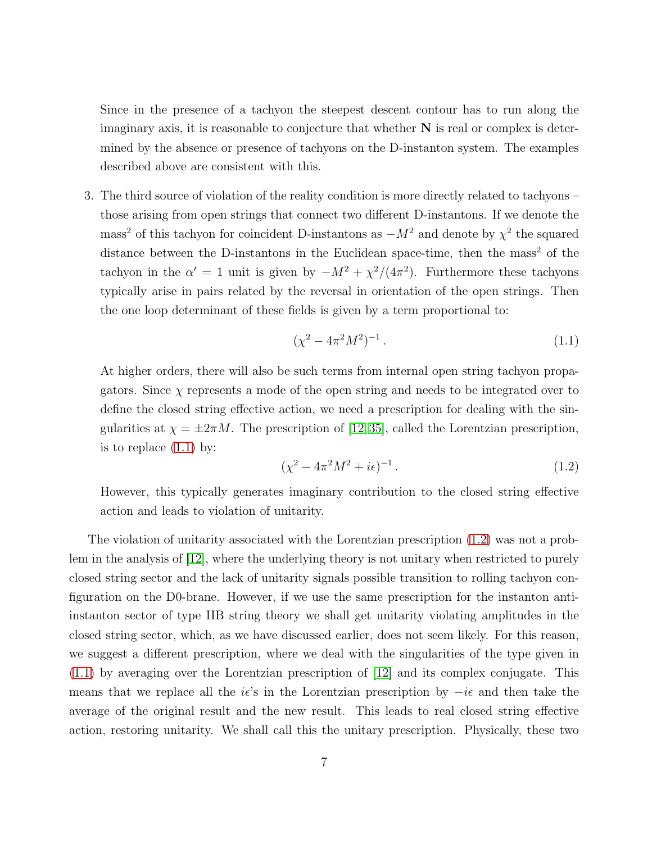Since in the presence of a tachyon the steepest descent contour has to run along the imaginary axis, it is reasonable to conjecture that whether  $N$  is real or complex is determined by the absence or presence of tachyons on the D-instanton system. The examples described above are consistent with this.

3. The third source of violation of the reality condition is more directly related to tachyons – those arising from open strings that connect two different D-instantons. If we denote the mass<sup>2</sup> of this tachyon for coincident D-instantons as  $-M^2$  and denote by  $\chi^2$  the squared distance between the D-instantons in the Euclidean space-time, then the mass<sup>2</sup> of the tachyon in the  $\alpha' = 1$  unit is given by  $-M^2 + \chi^2/(4\pi^2)$ . Furthermore these tachyons typically arise in pairs related by the reversal in orientation of the open strings. Then the one loop determinant of these fields is given by a term proportional to:

<span id="page-6-0"></span>
$$
(\chi^2 - 4\pi^2 M^2)^{-1} \,. \tag{1.1}
$$

At higher orders, there will also be such terms from internal open string tachyon propagators. Since  $\chi$  represents a mode of the open string and needs to be integrated over to define the closed string effective action, we need a prescription for dealing with the singularities at  $\chi = \pm 2\pi M$ . The prescription of [\[12,](#page-88-0)[35\]](#page-89-4), called the Lorentzian prescription, is to replace  $(1.1)$  by:

<span id="page-6-1"></span>
$$
(\chi^2 - 4\pi^2 M^2 + i\epsilon)^{-1} \,. \tag{1.2}
$$

However, this typically generates imaginary contribution to the closed string effective action and leads to violation of unitarity.

The violation of unitarity associated with the Lorentzian prescription [\(1.2\)](#page-6-1) was not a problem in the analysis of [\[12\]](#page-88-0), where the underlying theory is not unitary when restricted to purely closed string sector and the lack of unitarity signals possible transition to rolling tachyon configuration on the D0-brane. However, if we use the same prescription for the instanton antiinstanton sector of type IIB string theory we shall get unitarity violating amplitudes in the closed string sector, which, as we have discussed earlier, does not seem likely. For this reason, we suggest a different prescription, where we deal with the singularities of the type given in [\(1.1\)](#page-6-0) by averaging over the Lorentzian prescription of [\[12\]](#page-88-0) and its complex conjugate. This means that we replace all the  $i\epsilon$ 's in the Lorentzian prescription by  $-i\epsilon$  and then take the average of the original result and the new result. This leads to real closed string effective action, restoring unitarity. We shall call this the unitary prescription. Physically, these two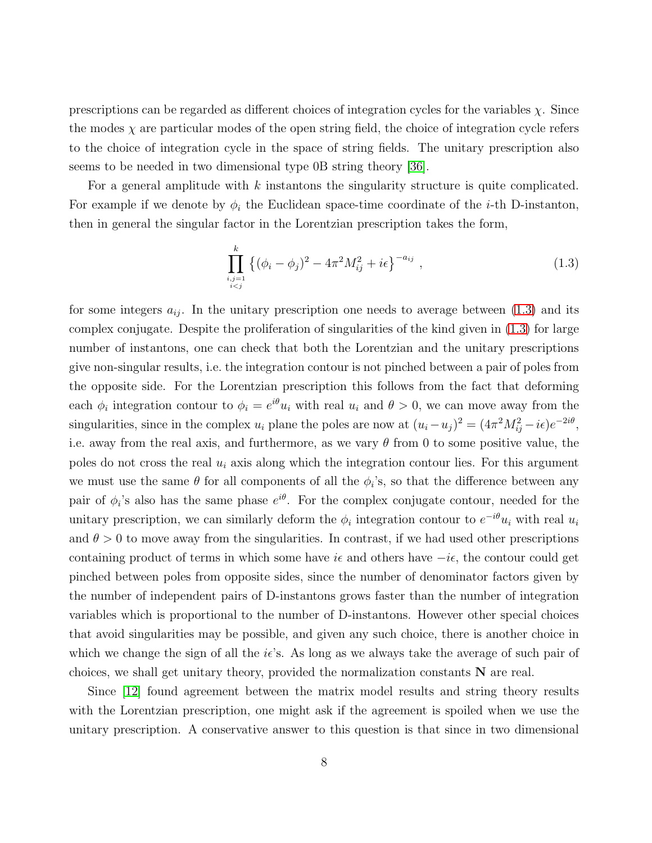prescriptions can be regarded as different choices of integration cycles for the variables  $\chi$ . Since the modes  $\chi$  are particular modes of the open string field, the choice of integration cycle refers to the choice of integration cycle in the space of string fields. The unitary prescription also seems to be needed in two dimensional type 0B string theory [\[36\]](#page-90-0).

For a general amplitude with k instantons the singularity structure is quite complicated. For example if we denote by  $\phi_i$  the Euclidean space-time coordinate of the *i*-th D-instanton, then in general the singular factor in the Lorentzian prescription takes the form,

<span id="page-7-0"></span>
$$
\prod_{\substack{i,j=1\\i
$$

for some integers  $a_{ij}$ . In the unitary prescription one needs to average between [\(1.3\)](#page-7-0) and its complex conjugate. Despite the proliferation of singularities of the kind given in [\(1.3\)](#page-7-0) for large number of instantons, one can check that both the Lorentzian and the unitary prescriptions give non-singular results, i.e. the integration contour is not pinched between a pair of poles from the opposite side. For the Lorentzian prescription this follows from the fact that deforming each  $\phi_i$  integration contour to  $\phi_i = e^{i\theta} u_i$  with real  $u_i$  and  $\theta > 0$ , we can move away from the singularities, since in the complex  $u_i$  plane the poles are now at  $(u_i - u_j)^2 = (4\pi^2 M_{ij}^2 - i\epsilon)e^{-2i\theta}$ , i.e. away from the real axis, and furthermore, as we vary  $\theta$  from 0 to some positive value, the poles do not cross the real  $u_i$  axis along which the integration contour lies. For this argument we must use the same  $\theta$  for all components of all the  $\phi_i$ 's, so that the difference between any pair of  $\phi_i$ 's also has the same phase  $e^{i\theta}$ . For the complex conjugate contour, needed for the unitary prescription, we can similarly deform the  $\phi_i$  integration contour to  $e^{-i\theta}u_i$  with real  $u_i$ and  $\theta > 0$  to move away from the singularities. In contrast, if we had used other prescriptions containing product of terms in which some have  $i\epsilon$  and others have  $-i\epsilon$ , the contour could get pinched between poles from opposite sides, since the number of denominator factors given by the number of independent pairs of D-instantons grows faster than the number of integration variables which is proportional to the number of D-instantons. However other special choices that avoid singularities may be possible, and given any such choice, there is another choice in which we change the sign of all the  $i\epsilon$ 's. As long as we always take the average of such pair of choices, we shall get unitary theory, provided the normalization constants N are real.

Since [\[12\]](#page-88-0) found agreement between the matrix model results and string theory results with the Lorentzian prescription, one might ask if the agreement is spoiled when we use the unitary prescription. A conservative answer to this question is that since in two dimensional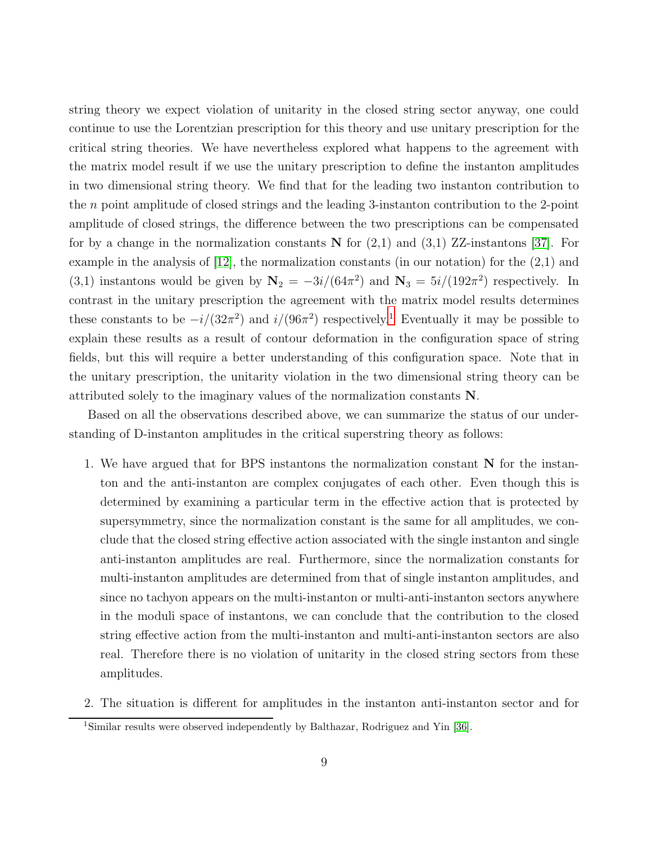string theory we expect violation of unitarity in the closed string sector anyway, one could continue to use the Lorentzian prescription for this theory and use unitary prescription for the critical string theories. We have nevertheless explored what happens to the agreement with the matrix model result if we use the unitary prescription to define the instanton amplitudes in two dimensional string theory. We find that for the leading two instanton contribution to the  $n$  point amplitude of closed strings and the leading 3-instanton contribution to the 2-point amplitude of closed strings, the difference between the two prescriptions can be compensated for by a change in the normalization constants  $N$  for  $(2,1)$  and  $(3,1)$  ZZ-instantons [\[37\]](#page-90-1). For example in the analysis of [\[12\]](#page-88-0), the normalization constants (in our notation) for the (2,1) and (3,1) instantons would be given by  $N_2 = -3i/(64\pi^2)$  and  $N_3 = 5i/(192\pi^2)$  respectively. In contrast in the unitary prescription the agreement with the matrix model results determines these constants to be  $-i/(32\pi^2)$  and  $i/(96\pi^2)$  respectively.<sup>[1](#page-8-0)</sup> Eventually it may be possible to explain these results as a result of contour deformation in the configuration space of string fields, but this will require a better understanding of this configuration space. Note that in the unitary prescription, the unitarity violation in the two dimensional string theory can be attributed solely to the imaginary values of the normalization constants N.

Based on all the observations described above, we can summarize the status of our understanding of D-instanton amplitudes in the critical superstring theory as follows:

- 1. We have argued that for BPS instantons the normalization constant N for the instanton and the anti-instanton are complex conjugates of each other. Even though this is determined by examining a particular term in the effective action that is protected by supersymmetry, since the normalization constant is the same for all amplitudes, we conclude that the closed string effective action associated with the single instanton and single anti-instanton amplitudes are real. Furthermore, since the normalization constants for multi-instanton amplitudes are determined from that of single instanton amplitudes, and since no tachyon appears on the multi-instanton or multi-anti-instanton sectors anywhere in the moduli space of instantons, we can conclude that the contribution to the closed string effective action from the multi-instanton and multi-anti-instanton sectors are also real. Therefore there is no violation of unitarity in the closed string sectors from these amplitudes.
- 2. The situation is different for amplitudes in the instanton anti-instanton sector and for

<span id="page-8-0"></span><sup>1</sup>Similar results were observed independently by Balthazar, Rodriguez and Yin [\[36\]](#page-90-0).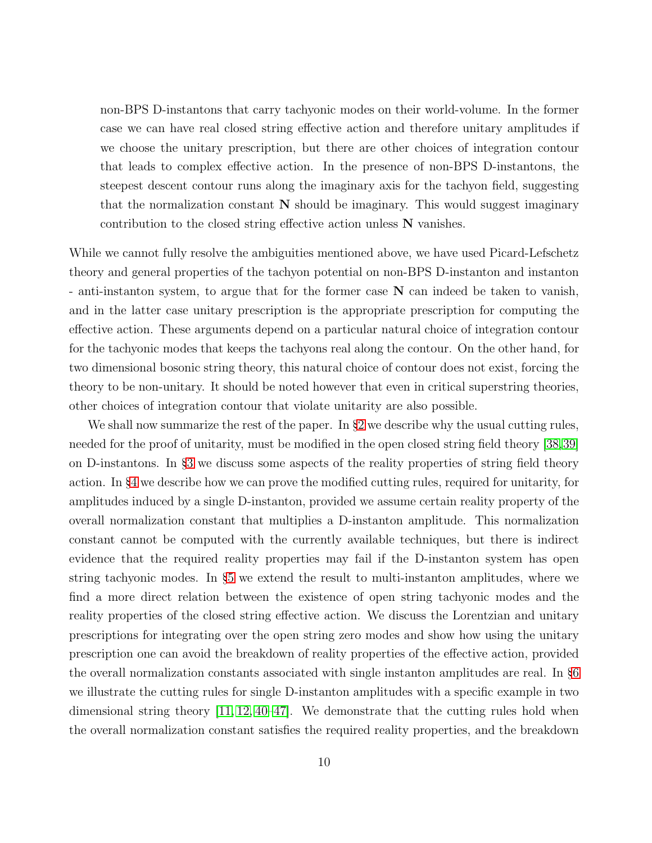non-BPS D-instantons that carry tachyonic modes on their world-volume. In the former case we can have real closed string effective action and therefore unitary amplitudes if we choose the unitary prescription, but there are other choices of integration contour that leads to complex effective action. In the presence of non-BPS D-instantons, the steepest descent contour runs along the imaginary axis for the tachyon field, suggesting that the normalization constant  $N$  should be imaginary. This would suggest imaginary contribution to the closed string effective action unless N vanishes.

While we cannot fully resolve the ambiguities mentioned above, we have used Picard-Lefschetz theory and general properties of the tachyon potential on non-BPS D-instanton and instanton - anti-instanton system, to argue that for the former case N can indeed be taken to vanish, and in the latter case unitary prescription is the appropriate prescription for computing the effective action. These arguments depend on a particular natural choice of integration contour for the tachyonic modes that keeps the tachyons real along the contour. On the other hand, for two dimensional bosonic string theory, this natural choice of contour does not exist, forcing the theory to be non-unitary. It should be noted however that even in critical superstring theories, other choices of integration contour that violate unitarity are also possible.

We shall now summarize the rest of the paper. In §[2](#page-11-0) we describe why the usual cutting rules, needed for the proof of unitarity, must be modified in the open closed string field theory [\[38,](#page-90-2)[39\]](#page-90-3) on D-instantons. In §[3](#page-17-0) we discuss some aspects of the reality properties of string field theory action. In §[4](#page-26-0) we describe how we can prove the modified cutting rules, required for unitarity, for amplitudes induced by a single D-instanton, provided we assume certain reality property of the overall normalization constant that multiplies a D-instanton amplitude. This normalization constant cannot be computed with the currently available techniques, but there is indirect evidence that the required reality properties may fail if the D-instanton system has open string tachyonic modes. In §[5](#page-36-0) we extend the result to multi-instanton amplitudes, where we find a more direct relation between the existence of open string tachyonic modes and the reality properties of the closed string effective action. We discuss the Lorentzian and unitary prescriptions for integrating over the open string zero modes and show how using the unitary prescription one can avoid the breakdown of reality properties of the effective action, provided the overall normalization constants associated with single instanton amplitudes are real. In §[6](#page-52-1) we illustrate the cutting rules for single D-instanton amplitudes with a specific example in two dimensional string theory [\[11,](#page-87-9) [12,](#page-88-0) [40](#page-90-4)[–47\]](#page-90-5). We demonstrate that the cutting rules hold when the overall normalization constant satisfies the required reality properties, and the breakdown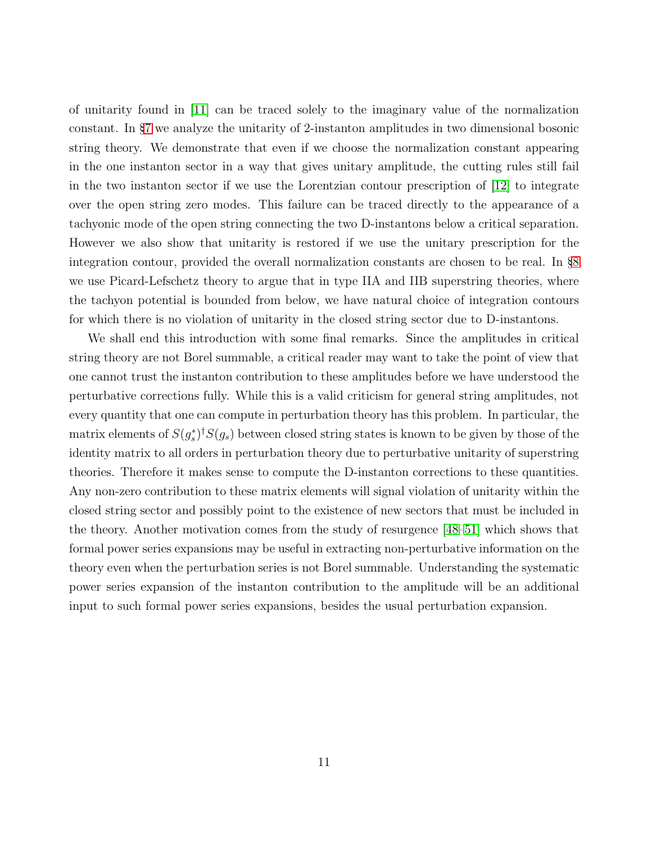of unitarity found in [\[11\]](#page-87-9) can be traced solely to the imaginary value of the normalization constant. In §[7](#page-60-0) we analyze the unitarity of 2-instanton amplitudes in two dimensional bosonic string theory. We demonstrate that even if we choose the normalization constant appearing in the one instanton sector in a way that gives unitary amplitude, the cutting rules still fail in the two instanton sector if we use the Lorentzian contour prescription of [\[12\]](#page-88-0) to integrate over the open string zero modes. This failure can be traced directly to the appearance of a tachyonic mode of the open string connecting the two D-instantons below a critical separation. However we also show that unitarity is restored if we use the unitary prescription for the integration contour, provided the overall normalization constants are chosen to be real. In §[8](#page-78-0) we use Picard-Lefschetz theory to argue that in type IIA and IIB superstring theories, where the tachyon potential is bounded from below, we have natural choice of integration contours for which there is no violation of unitarity in the closed string sector due to D-instantons.

We shall end this introduction with some final remarks. Since the amplitudes in critical string theory are not Borel summable, a critical reader may want to take the point of view that one cannot trust the instanton contribution to these amplitudes before we have understood the perturbative corrections fully. While this is a valid criticism for general string amplitudes, not every quantity that one can compute in perturbation theory has this problem. In particular, the matrix elements of  $S(g_s^*)^{\dagger}S(g_s)$  between closed string states is known to be given by those of the identity matrix to all orders in perturbation theory due to perturbative unitarity of superstring theories. Therefore it makes sense to compute the D-instanton corrections to these quantities. Any non-zero contribution to these matrix elements will signal violation of unitarity within the closed string sector and possibly point to the existence of new sectors that must be included in the theory. Another motivation comes from the study of resurgence [\[48–](#page-91-0)[51\]](#page-91-1) which shows that formal power series expansions may be useful in extracting non-perturbative information on the theory even when the perturbation series is not Borel summable. Understanding the systematic power series expansion of the instanton contribution to the amplitude will be an additional input to such formal power series expansions, besides the usual perturbation expansion.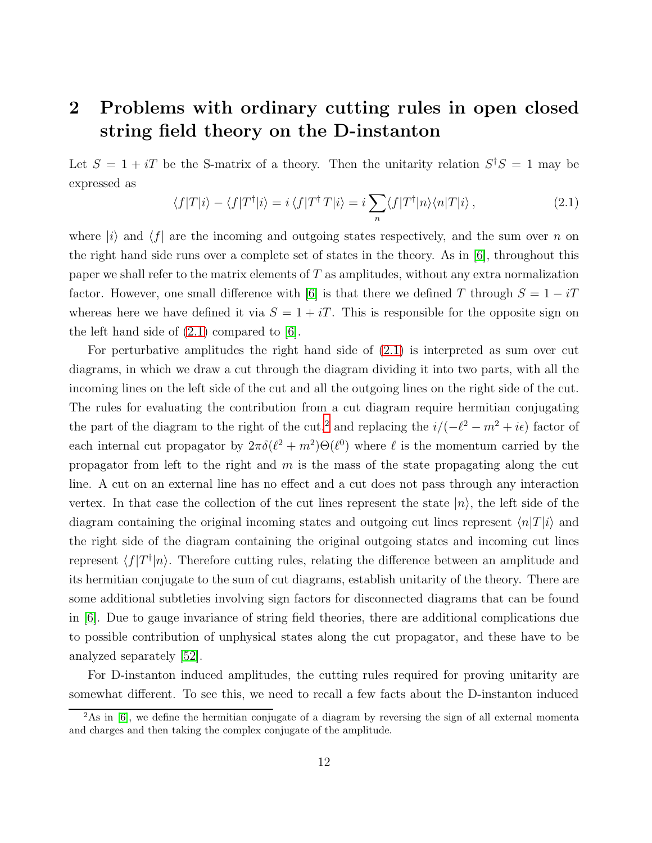### <span id="page-11-0"></span>2 Problems with ordinary cutting rules in open closed string field theory on the D-instanton

Let  $S = 1 + iT$  be the S-matrix of a theory. Then the unitarity relation  $S^{\dagger}S = 1$  may be expressed as

<span id="page-11-1"></span>
$$
\langle f|T|i\rangle - \langle f|T^{\dagger}|i\rangle = i\langle f|T^{\dagger}T|i\rangle = i\sum_{n} \langle f|T^{\dagger}|n\rangle \langle n|T|i\rangle , \qquad (2.1)
$$

where  $|i\rangle$  and  $\langle f|$  are the incoming and outgoing states respectively, and the sum over n on the right hand side runs over a complete set of states in the theory. As in [\[6\]](#page-87-4), throughout this paper we shall refer to the matrix elements of  $T$  as amplitudes, without any extra normalization factor. However, one small difference with [\[6\]](#page-87-4) is that there we defined T through  $S = 1 - iT$ whereas here we have defined it via  $S = 1 + iT$ . This is responsible for the opposite sign on the left hand side of  $(2.1)$  compared to [\[6\]](#page-87-4).

For perturbative amplitudes the right hand side of [\(2.1\)](#page-11-1) is interpreted as sum over cut diagrams, in which we draw a cut through the diagram dividing it into two parts, with all the incoming lines on the left side of the cut and all the outgoing lines on the right side of the cut. The rules for evaluating the contribution from a cut diagram require hermitian conjugating the part of the diagram to the right of the cut,<sup>[2](#page-11-2)</sup> and replacing the  $i/(-\ell^2 - m^2 + i\epsilon)$  factor of each internal cut propagator by  $2\pi\delta(\ell^2+m^2)\Theta(\ell^0)$  where  $\ell$  is the momentum carried by the propagator from left to the right and  $m$  is the mass of the state propagating along the cut line. A cut on an external line has no effect and a cut does not pass through any interaction vertex. In that case the collection of the cut lines represent the state  $|n\rangle$ , the left side of the diagram containing the original incoming states and outgoing cut lines represent  $\langle n|T|i\rangle$  and the right side of the diagram containing the original outgoing states and incoming cut lines represent  $\langle f|T^{\dagger}|n\rangle$ . Therefore cutting rules, relating the difference between an amplitude and its hermitian conjugate to the sum of cut diagrams, establish unitarity of the theory. There are some additional subtleties involving sign factors for disconnected diagrams that can be found in [\[6\]](#page-87-4). Due to gauge invariance of string field theories, there are additional complications due to possible contribution of unphysical states along the cut propagator, and these have to be analyzed separately [\[52\]](#page-91-2).

For D-instanton induced amplitudes, the cutting rules required for proving unitarity are somewhat different. To see this, we need to recall a few facts about the D-instanton induced

<span id="page-11-2"></span><sup>&</sup>lt;sup>2</sup>As in [\[6\]](#page-87-4), we define the hermitian conjugate of a diagram by reversing the sign of all external momenta and charges and then taking the complex conjugate of the amplitude.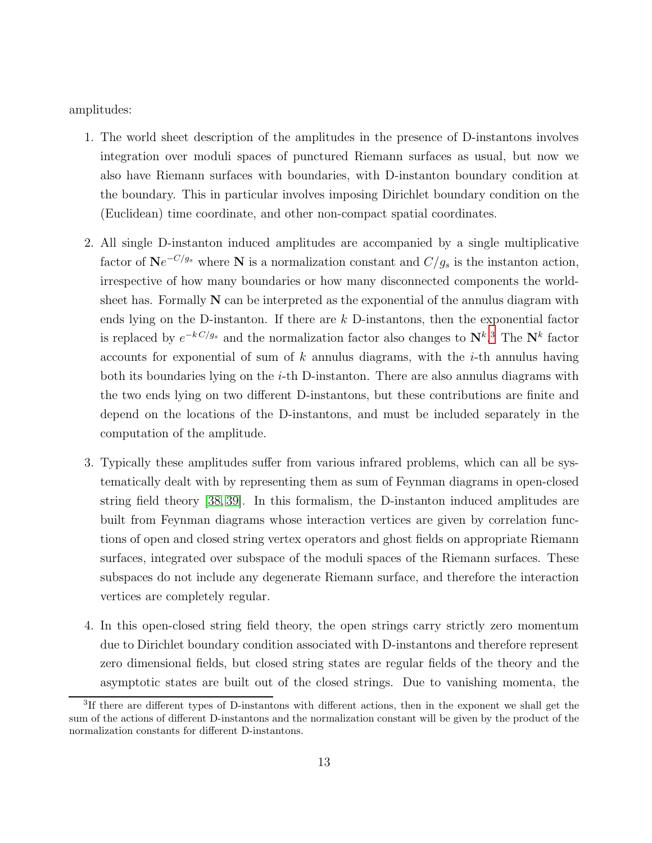amplitudes:

- 1. The world sheet description of the amplitudes in the presence of D-instantons involves integration over moduli spaces of punctured Riemann surfaces as usual, but now we also have Riemann surfaces with boundaries, with D-instanton boundary condition at the boundary. This in particular involves imposing Dirichlet boundary condition on the (Euclidean) time coordinate, and other non-compact spatial coordinates.
- 2. All single D-instanton induced amplitudes are accompanied by a single multiplicative factor of  $\mathbf{N}e^{-C/g_s}$  where  $\mathbf{N}$  is a normalization constant and  $C/g_s$  is the instanton action, irrespective of how many boundaries or how many disconnected components the worldsheet has. Formally  $N$  can be interpreted as the exponential of the annulus diagram with ends lying on the D-instanton. If there are  $k$  D-instantons, then the exponential factor is replaced by  $e^{-kC/g_s}$  and the normalization factor also changes to  $N^{k,3}$  $N^{k,3}$  $N^{k,3}$ . The  $N^k$  factor accounts for exponential of sum of  $k$  annulus diagrams, with the  $i$ -th annulus having both its boundaries lying on the  $i$ -th D-instanton. There are also annulus diagrams with the two ends lying on two different D-instantons, but these contributions are finite and depend on the locations of the D-instantons, and must be included separately in the computation of the amplitude.
- 3. Typically these amplitudes suffer from various infrared problems, which can all be systematically dealt with by representing them as sum of Feynman diagrams in open-closed string field theory [\[38,](#page-90-2) [39\]](#page-90-3). In this formalism, the D-instanton induced amplitudes are built from Feynman diagrams whose interaction vertices are given by correlation functions of open and closed string vertex operators and ghost fields on appropriate Riemann surfaces, integrated over subspace of the moduli spaces of the Riemann surfaces. These subspaces do not include any degenerate Riemann surface, and therefore the interaction vertices are completely regular.
- 4. In this open-closed string field theory, the open strings carry strictly zero momentum due to Dirichlet boundary condition associated with D-instantons and therefore represent zero dimensional fields, but closed string states are regular fields of the theory and the asymptotic states are built out of the closed strings. Due to vanishing momenta, the

<span id="page-12-0"></span><sup>&</sup>lt;sup>3</sup>If there are different types of D-instantons with different actions, then in the exponent we shall get the sum of the actions of different D-instantons and the normalization constant will be given by the product of the normalization constants for different D-instantons.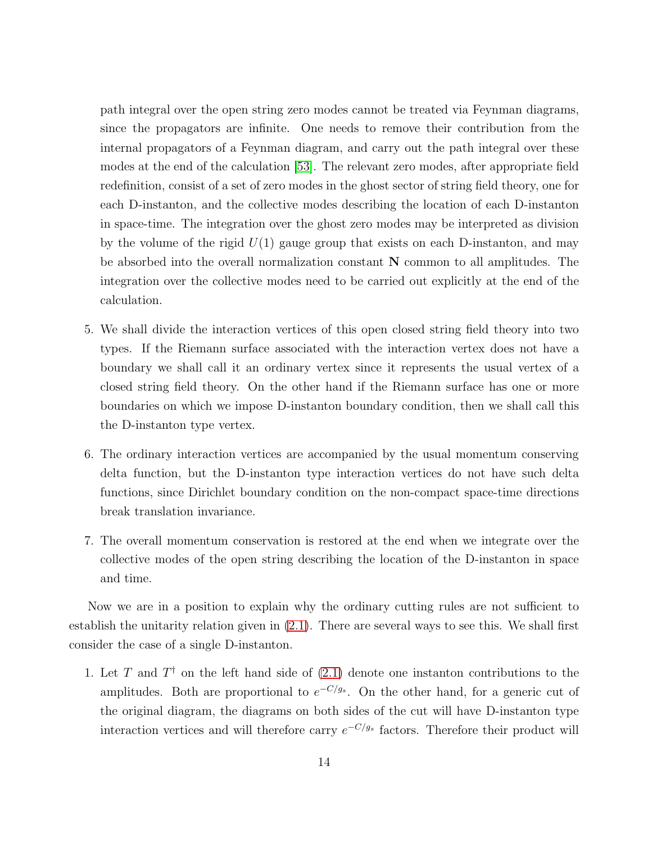path integral over the open string zero modes cannot be treated via Feynman diagrams, since the propagators are infinite. One needs to remove their contribution from the internal propagators of a Feynman diagram, and carry out the path integral over these modes at the end of the calculation [\[53\]](#page-91-3). The relevant zero modes, after appropriate field redefinition, consist of a set of zero modes in the ghost sector of string field theory, one for each D-instanton, and the collective modes describing the location of each D-instanton in space-time. The integration over the ghost zero modes may be interpreted as division by the volume of the rigid  $U(1)$  gauge group that exists on each D-instanton, and may be absorbed into the overall normalization constant N common to all amplitudes. The integration over the collective modes need to be carried out explicitly at the end of the calculation.

- 5. We shall divide the interaction vertices of this open closed string field theory into two types. If the Riemann surface associated with the interaction vertex does not have a boundary we shall call it an ordinary vertex since it represents the usual vertex of a closed string field theory. On the other hand if the Riemann surface has one or more boundaries on which we impose D-instanton boundary condition, then we shall call this the D-instanton type vertex.
- 6. The ordinary interaction vertices are accompanied by the usual momentum conserving delta function, but the D-instanton type interaction vertices do not have such delta functions, since Dirichlet boundary condition on the non-compact space-time directions break translation invariance.
- 7. The overall momentum conservation is restored at the end when we integrate over the collective modes of the open string describing the location of the D-instanton in space and time.

Now we are in a position to explain why the ordinary cutting rules are not sufficient to establish the unitarity relation given in [\(2.1\)](#page-11-1). There are several ways to see this. We shall first consider the case of a single D-instanton.

1. Let T and  $T^{\dagger}$  on the left hand side of  $(2.1)$  denote one instanton contributions to the amplitudes. Both are proportional to  $e^{-C/g_s}$ . On the other hand, for a generic cut of the original diagram, the diagrams on both sides of the cut will have D-instanton type interaction vertices and will therefore carry  $e^{-C/g_s}$  factors. Therefore their product will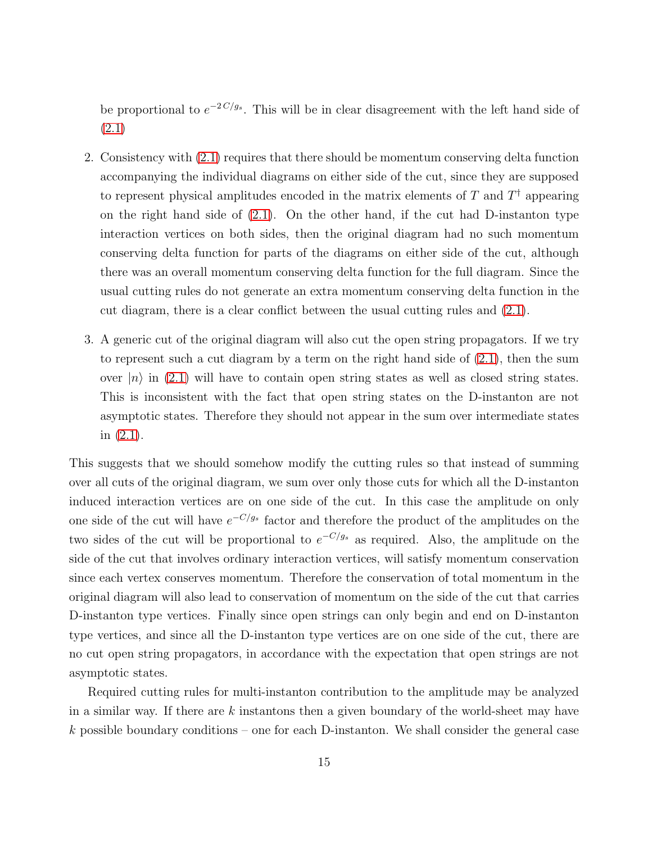be proportional to  $e^{-2C/g_s}$ . This will be in clear disagreement with the left hand side of [\(2.1\)](#page-11-1)

- 2. Consistency with [\(2.1\)](#page-11-1) requires that there should be momentum conserving delta function accompanying the individual diagrams on either side of the cut, since they are supposed to represent physical amplitudes encoded in the matrix elements of T and  $T^{\dagger}$  appearing on the right hand side of  $(2.1)$ . On the other hand, if the cut had D-instanton type interaction vertices on both sides, then the original diagram had no such momentum conserving delta function for parts of the diagrams on either side of the cut, although there was an overall momentum conserving delta function for the full diagram. Since the usual cutting rules do not generate an extra momentum conserving delta function in the cut diagram, there is a clear conflict between the usual cutting rules and [\(2.1\)](#page-11-1).
- 3. A generic cut of the original diagram will also cut the open string propagators. If we try to represent such a cut diagram by a term on the right hand side of  $(2.1)$ , then the sum over  $|n\rangle$  in [\(2.1\)](#page-11-1) will have to contain open string states as well as closed string states. This is inconsistent with the fact that open string states on the D-instanton are not asymptotic states. Therefore they should not appear in the sum over intermediate states in [\(2.1\)](#page-11-1).

This suggests that we should somehow modify the cutting rules so that instead of summing over all cuts of the original diagram, we sum over only those cuts for which all the D-instanton induced interaction vertices are on one side of the cut. In this case the amplitude on only one side of the cut will have  $e^{-C/g_s}$  factor and therefore the product of the amplitudes on the two sides of the cut will be proportional to  $e^{-C/g_s}$  as required. Also, the amplitude on the side of the cut that involves ordinary interaction vertices, will satisfy momentum conservation since each vertex conserves momentum. Therefore the conservation of total momentum in the original diagram will also lead to conservation of momentum on the side of the cut that carries D-instanton type vertices. Finally since open strings can only begin and end on D-instanton type vertices, and since all the D-instanton type vertices are on one side of the cut, there are no cut open string propagators, in accordance with the expectation that open strings are not asymptotic states.

Required cutting rules for multi-instanton contribution to the amplitude may be analyzed in a similar way. If there are k instantons then a given boundary of the world-sheet may have k possible boundary conditions – one for each D-instanton. We shall consider the general case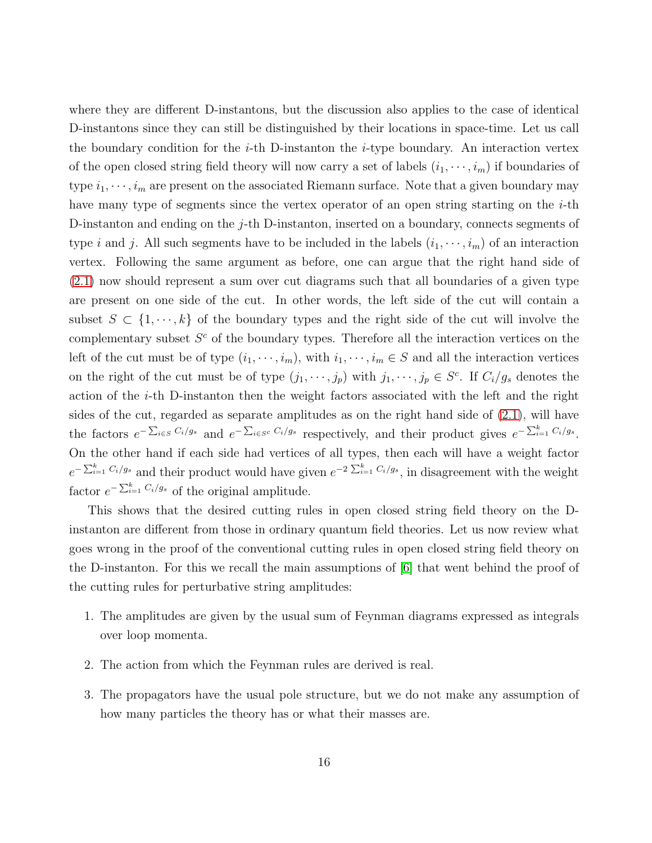where they are different D-instantons, but the discussion also applies to the case of identical D-instantons since they can still be distinguished by their locations in space-time. Let us call the boundary condition for the *i*-th D-instanton the *i*-type boundary. An interaction vertex of the open closed string field theory will now carry a set of labels  $(i_1, \dots, i_m)$  if boundaries of type  $i_1, \dots, i_m$  are present on the associated Riemann surface. Note that a given boundary may have many type of segments since the vertex operator of an open string starting on the  $i$ -th D-instanton and ending on the j-th D-instanton, inserted on a boundary, connects segments of type *i* and *j*. All such segments have to be included in the labels  $(i_1, \dots, i_m)$  of an interaction vertex. Following the same argument as before, one can argue that the right hand side of [\(2.1\)](#page-11-1) now should represent a sum over cut diagrams such that all boundaries of a given type are present on one side of the cut. In other words, the left side of the cut will contain a subset  $S \subset \{1, \dots, k\}$  of the boundary types and the right side of the cut will involve the complementary subset  $S<sup>c</sup>$  of the boundary types. Therefore all the interaction vertices on the left of the cut must be of type  $(i_1, \dots, i_m)$ , with  $i_1, \dots, i_m \in S$  and all the interaction vertices on the right of the cut must be of type  $(j_1, \dots, j_p)$  with  $j_1, \dots, j_p \in S^c$ . If  $C_i/g_s$  denotes the action of the i-th D-instanton then the weight factors associated with the left and the right sides of the cut, regarded as separate amplitudes as on the right hand side of [\(2.1\)](#page-11-1), will have the factors  $e^{-\sum_{i\in S}C_i/g_s}$  and  $e^{-\sum_{i\in S^c}C_i/g_s}$  respectively, and their product gives  $e^{-\sum_{i=1}^k C_i/g_s}$ . On the other hand if each side had vertices of all types, then each will have a weight factor  $e^{-\sum_{i=1}^k C_i/g_s}$  and their product would have given  $e^{-2\sum_{i=1}^k C_i/g_s}$ , in disagreement with the weight factor  $e^{-\sum_{i=1}^{k} C_i/g_s}$  of the original amplitude.

This shows that the desired cutting rules in open closed string field theory on the Dinstanton are different from those in ordinary quantum field theories. Let us now review what goes wrong in the proof of the conventional cutting rules in open closed string field theory on the D-instanton. For this we recall the main assumptions of [\[6\]](#page-87-4) that went behind the proof of the cutting rules for perturbative string amplitudes:

- 1. The amplitudes are given by the usual sum of Feynman diagrams expressed as integrals over loop momenta.
- 2. The action from which the Feynman rules are derived is real.
- 3. The propagators have the usual pole structure, but we do not make any assumption of how many particles the theory has or what their masses are.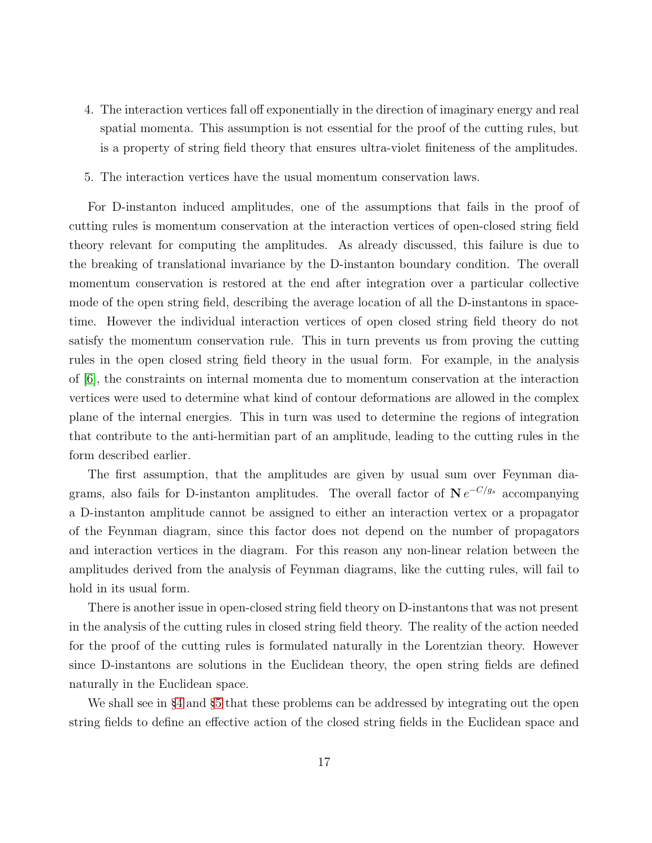- 4. The interaction vertices fall off exponentially in the direction of imaginary energy and real spatial momenta. This assumption is not essential for the proof of the cutting rules, but is a property of string field theory that ensures ultra-violet finiteness of the amplitudes.
- 5. The interaction vertices have the usual momentum conservation laws.

For D-instanton induced amplitudes, one of the assumptions that fails in the proof of cutting rules is momentum conservation at the interaction vertices of open-closed string field theory relevant for computing the amplitudes. As already discussed, this failure is due to the breaking of translational invariance by the D-instanton boundary condition. The overall momentum conservation is restored at the end after integration over a particular collective mode of the open string field, describing the average location of all the D-instantons in spacetime. However the individual interaction vertices of open closed string field theory do not satisfy the momentum conservation rule. This in turn prevents us from proving the cutting rules in the open closed string field theory in the usual form. For example, in the analysis of [\[6\]](#page-87-4), the constraints on internal momenta due to momentum conservation at the interaction vertices were used to determine what kind of contour deformations are allowed in the complex plane of the internal energies. This in turn was used to determine the regions of integration that contribute to the anti-hermitian part of an amplitude, leading to the cutting rules in the form described earlier.

The first assumption, that the amplitudes are given by usual sum over Feynman diagrams, also fails for D-instanton amplitudes. The overall factor of  $N e^{-C/g_s}$  accompanying a D-instanton amplitude cannot be assigned to either an interaction vertex or a propagator of the Feynman diagram, since this factor does not depend on the number of propagators and interaction vertices in the diagram. For this reason any non-linear relation between the amplitudes derived from the analysis of Feynman diagrams, like the cutting rules, will fail to hold in its usual form.

There is another issue in open-closed string field theory on D-instantons that was not present in the analysis of the cutting rules in closed string field theory. The reality of the action needed for the proof of the cutting rules is formulated naturally in the Lorentzian theory. However since D-instantons are solutions in the Euclidean theory, the open string fields are defined naturally in the Euclidean space.

We shall see in §[4](#page-26-0) and §[5](#page-36-0) that these problems can be addressed by integrating out the open string fields to define an effective action of the closed string fields in the Euclidean space and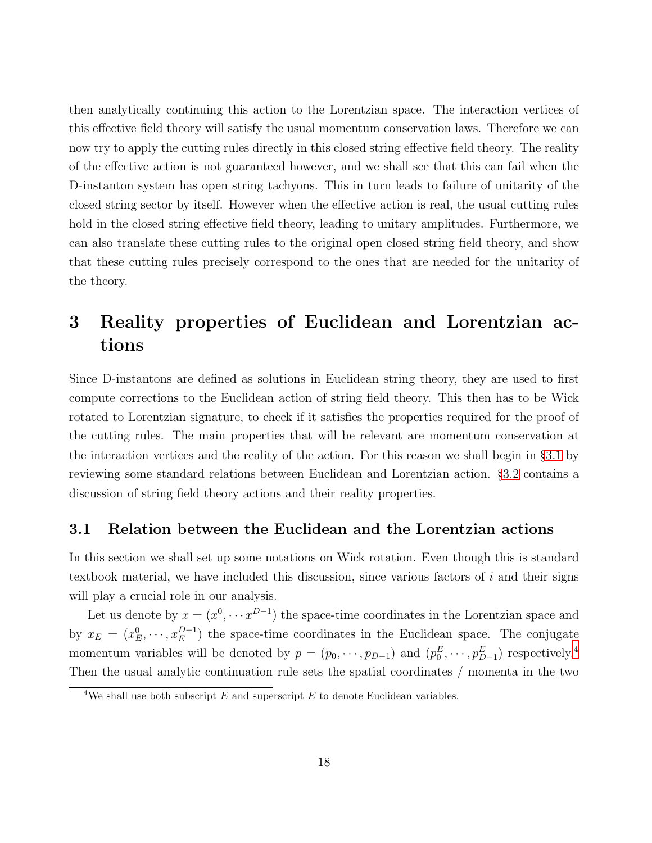then analytically continuing this action to the Lorentzian space. The interaction vertices of this effective field theory will satisfy the usual momentum conservation laws. Therefore we can now try to apply the cutting rules directly in this closed string effective field theory. The reality of the effective action is not guaranteed however, and we shall see that this can fail when the D-instanton system has open string tachyons. This in turn leads to failure of unitarity of the closed string sector by itself. However when the effective action is real, the usual cutting rules hold in the closed string effective field theory, leading to unitary amplitudes. Furthermore, we can also translate these cutting rules to the original open closed string field theory, and show that these cutting rules precisely correspond to the ones that are needed for the unitarity of the theory.

## <span id="page-17-0"></span>3 Reality properties of Euclidean and Lorentzian actions

Since D-instantons are defined as solutions in Euclidean string theory, they are used to first compute corrections to the Euclidean action of string field theory. This then has to be Wick rotated to Lorentzian signature, to check if it satisfies the properties required for the proof of the cutting rules. The main properties that will be relevant are momentum conservation at the interaction vertices and the reality of the action. For this reason we shall begin in §[3.1](#page-17-1) by reviewing some standard relations between Euclidean and Lorentzian action. §[3.2](#page-22-0) contains a discussion of string field theory actions and their reality properties.

#### <span id="page-17-1"></span>3.1 Relation between the Euclidean and the Lorentzian actions

In this section we shall set up some notations on Wick rotation. Even though this is standard textbook material, we have included this discussion, since various factors of  $i$  and their signs will play a crucial role in our analysis.

Let us denote by  $x = (x^0, \dots, x^{D-1})$  the space-time coordinates in the Lorentzian space and by  $x_E = (x_E^0, \dots, x_E^{D-1})$  the space-time coordinates in the Euclidean space. The conjugate momentum variables will be denoted by  $p = (p_0, \dots, p_{D-1})$  and  $(p_0^E, \dots, p_{D-1}^E)$  respectively.<sup>[4](#page-17-2)</sup> Then the usual analytic continuation rule sets the spatial coordinates / momenta in the two

<span id="page-17-2"></span><sup>&</sup>lt;sup>4</sup>We shall use both subscript  $E$  and superscript  $E$  to denote Euclidean variables.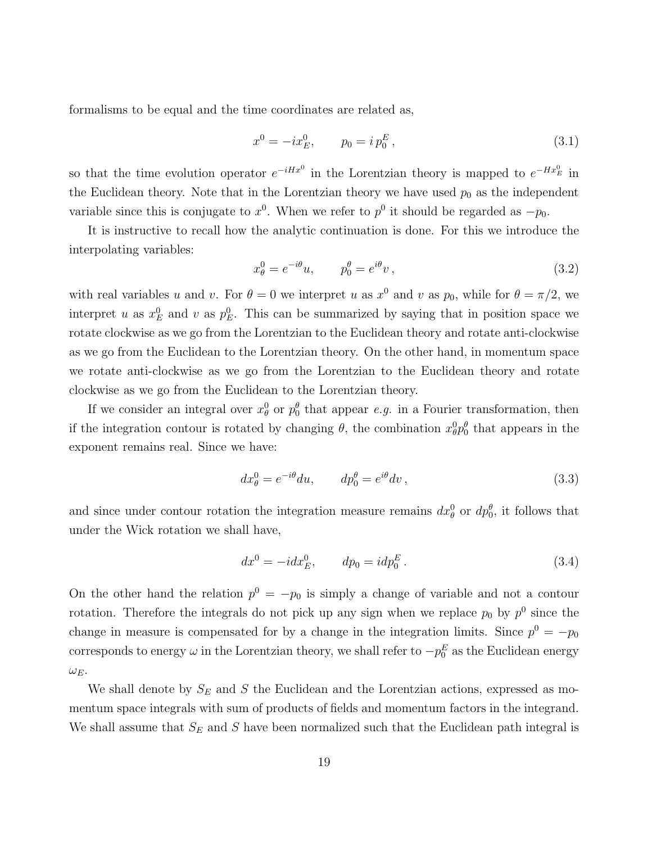formalisms to be equal and the time coordinates are related as,

<span id="page-18-0"></span>
$$
x^{0} = -ix_{E}^{0}, \qquad p_{0} = ip_{0}^{E}, \qquad (3.1)
$$

so that the time evolution operator  $e^{-iHx^0}$  in the Lorentzian theory is mapped to  $e^{-Hx^0}$  in the Euclidean theory. Note that in the Lorentzian theory we have used  $p_0$  as the independent variable since this is conjugate to  $x^0$ . When we refer to  $p^0$  it should be regarded as  $-p_0$ .

It is instructive to recall how the analytic continuation is done. For this we introduce the interpolating variables:

<span id="page-18-2"></span>
$$
x_{\theta}^{0} = e^{-i\theta}u, \qquad p_{0}^{\theta} = e^{i\theta}v, \qquad (3.2)
$$

with real variables u and v. For  $\theta = 0$  we interpret u as  $x^0$  and v as  $p_0$ , while for  $\theta = \pi/2$ , we interpret u as  $x_E^0$  and v as  $p_E^0$ . This can be summarized by saying that in position space we rotate clockwise as we go from the Lorentzian to the Euclidean theory and rotate anti-clockwise as we go from the Euclidean to the Lorentzian theory. On the other hand, in momentum space we rotate anti-clockwise as we go from the Lorentzian to the Euclidean theory and rotate clockwise as we go from the Euclidean to the Lorentzian theory.

If we consider an integral over  $x_{\theta}^0$  or  $p_0^{\theta}$  that appear e.g. in a Fourier transformation, then if the integration contour is rotated by changing  $\theta$ , the combination  $x_0^0 p_0^{\theta}$  that appears in the exponent remains real. Since we have:

$$
dx_{\theta}^{0} = e^{-i\theta} du, \qquad dp_{0}^{\theta} = e^{i\theta} dv,
$$
\n(3.3)

and since under contour rotation the integration measure remains  $dx_{\theta}^0$  or  $dp_0^{\theta}$ , it follows that under the Wick rotation we shall have,

<span id="page-18-1"></span>
$$
dx^{0} = -i dx_{E}^{0}, \qquad dp_{0} = idp_{0}^{E}. \qquad (3.4)
$$

On the other hand the relation  $p^0 = -p_0$  is simply a change of variable and not a contour rotation. Therefore the integrals do not pick up any sign when we replace  $p_0$  by  $p^0$  since the change in measure is compensated for by a change in the integration limits. Since  $p^0 = -p_0$ corresponds to energy  $\omega$  in the Lorentzian theory, we shall refer to  $-p_0^E$  as the Euclidean energy  $\omega_E$ .

We shall denote by  $S_E$  and S the Euclidean and the Lorentzian actions, expressed as momentum space integrals with sum of products of fields and momentum factors in the integrand. We shall assume that  $S_E$  and S have been normalized such that the Euclidean path integral is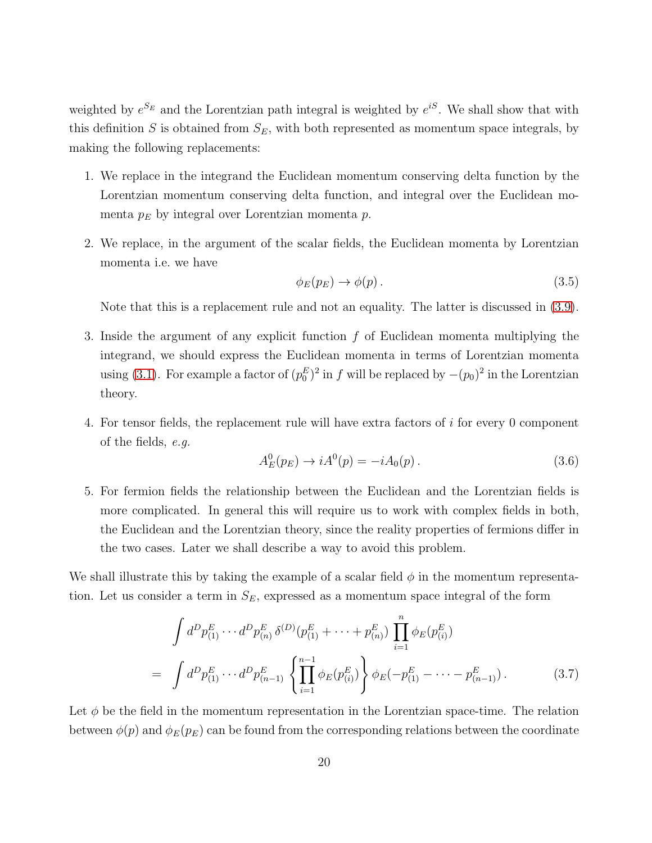weighted by  $e^{S_E}$  and the Lorentzian path integral is weighted by  $e^{iS}$ . We shall show that with this definition S is obtained from  $S_E$ , with both represented as momentum space integrals, by making the following replacements:

- 1. We replace in the integrand the Euclidean momentum conserving delta function by the Lorentzian momentum conserving delta function, and integral over the Euclidean momenta  $p_E$  by integral over Lorentzian momenta  $p$ .
- 2. We replace, in the argument of the scalar fields, the Euclidean momenta by Lorentzian momenta i.e. we have

$$
\phi_E(p_E) \to \phi(p). \tag{3.5}
$$

Note that this is a replacement rule and not an equality. The latter is discussed in [\(3.9\)](#page-20-0).

- 3. Inside the argument of any explicit function f of Euclidean momenta multiplying the integrand, we should express the Euclidean momenta in terms of Lorentzian momenta using [\(3.1\)](#page-18-0). For example a factor of  $(p_0^E)^2$  in f will be replaced by  $-(p_0)^2$  in the Lorentzian theory.
- 4. For tensor fields, the replacement rule will have extra factors of i for every 0 component of the fields, e.g.

<span id="page-19-1"></span>
$$
A_E^0(p_E) \to iA^0(p) = -iA_0(p). \tag{3.6}
$$

5. For fermion fields the relationship between the Euclidean and the Lorentzian fields is more complicated. In general this will require us to work with complex fields in both, the Euclidean and the Lorentzian theory, since the reality properties of fermions differ in the two cases. Later we shall describe a way to avoid this problem.

We shall illustrate this by taking the example of a scalar field  $\phi$  in the momentum representation. Let us consider a term in  $S_E$ , expressed as a momentum space integral of the form

<span id="page-19-0"></span>
$$
\int d^D p_{(1)}^E \cdots d^D p_{(n)}^E \delta^{(D)}(p_{(1)}^E + \cdots + p_{(n)}^E) \prod_{i=1}^n \phi_E(p_{(i)}^E)
$$
\n
$$
= \int d^D p_{(1)}^E \cdots d^D p_{(n-1)}^E \left\{ \prod_{i=1}^{n-1} \phi_E(p_{(i)}^E) \right\} \phi_E(-p_{(1)}^E - \cdots - p_{(n-1)}^E). \tag{3.7}
$$

Let  $\phi$  be the field in the momentum representation in the Lorentzian space-time. The relation between  $\phi(p)$  and  $\phi_E(p_E)$  can be found from the corresponding relations between the coordinate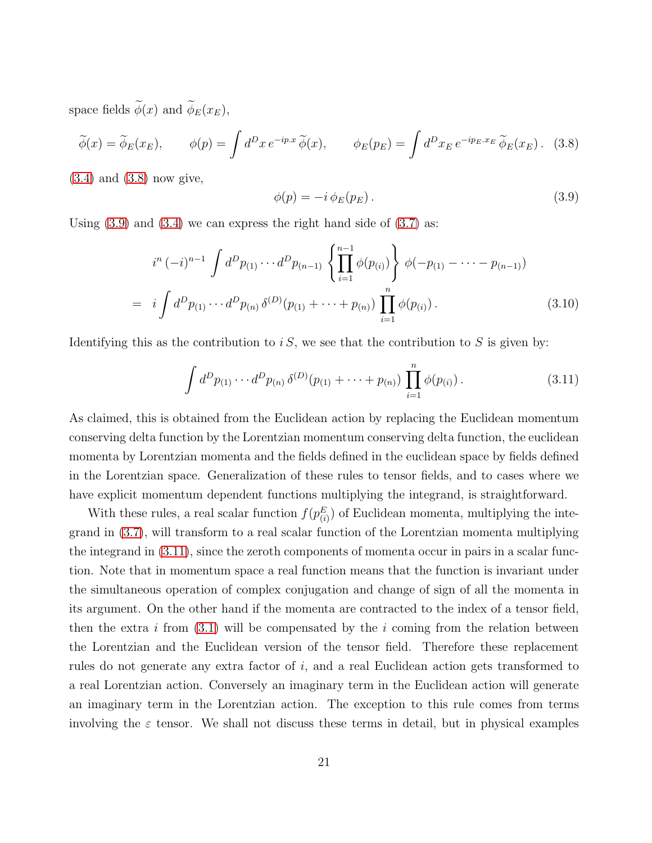space fields  $\phi(x)$  and  $\phi_E(x_E)$ ,

<span id="page-20-1"></span>
$$
\widetilde{\phi}(x) = \widetilde{\phi}_E(x_E), \qquad \phi(p) = \int d^D x \, e^{-ip.x} \, \widetilde{\phi}(x), \qquad \phi_E(p_E) = \int d^D x_E \, e^{-ip_E.x_E} \, \widetilde{\phi}_E(x_E). \tag{3.8}
$$

 $(3.4)$  and  $(3.8)$  now give,

<span id="page-20-0"></span>
$$
\phi(p) = -i \phi_E(p_E). \tag{3.9}
$$

Using  $(3.9)$  and  $(3.4)$  we can express the right hand side of  $(3.7)$  as:

$$
i^{n} (-i)^{n-1} \int d^{D} p_{(1)} \cdots d^{D} p_{(n-1)} \left\{ \prod_{i=1}^{n-1} \phi(p_{(i)}) \right\} \phi(-p_{(1)} - \cdots - p_{(n-1)})
$$
  
=  $i \int d^{D} p_{(1)} \cdots d^{D} p_{(n)} \delta^{(D)}(p_{(1)} + \cdots + p_{(n)}) \prod_{i=1}^{n} \phi(p_{(i)})$ . (3.10)

Identifying this as the contribution to is, we see that the contribution to S is given by:

<span id="page-20-2"></span>
$$
\int d^D p_{(1)} \cdots d^D p_{(n)} \, \delta^{(D)}(p_{(1)} + \cdots + p_{(n)}) \, \prod_{i=1}^n \phi(p_{(i)}).
$$
 (3.11)

As claimed, this is obtained from the Euclidean action by replacing the Euclidean momentum conserving delta function by the Lorentzian momentum conserving delta function, the euclidean momenta by Lorentzian momenta and the fields defined in the euclidean space by fields defined in the Lorentzian space. Generalization of these rules to tensor fields, and to cases where we have explicit momentum dependent functions multiplying the integrand, is straightforward.

With these rules, a real scalar function  $f(p_{(i)}^E)$  of Euclidean momenta, multiplying the integrand in [\(3.7\)](#page-19-0), will transform to a real scalar function of the Lorentzian momenta multiplying the integrand in [\(3.11\)](#page-20-2), since the zeroth components of momenta occur in pairs in a scalar function. Note that in momentum space a real function means that the function is invariant under the simultaneous operation of complex conjugation and change of sign of all the momenta in its argument. On the other hand if the momenta are contracted to the index of a tensor field, then the extra i from  $(3.1)$  will be compensated by the i coming from the relation between the Lorentzian and the Euclidean version of the tensor field. Therefore these replacement rules do not generate any extra factor of i, and a real Euclidean action gets transformed to a real Lorentzian action. Conversely an imaginary term in the Euclidean action will generate an imaginary term in the Lorentzian action. The exception to this rule comes from terms involving the  $\varepsilon$  tensor. We shall not discuss these terms in detail, but in physical examples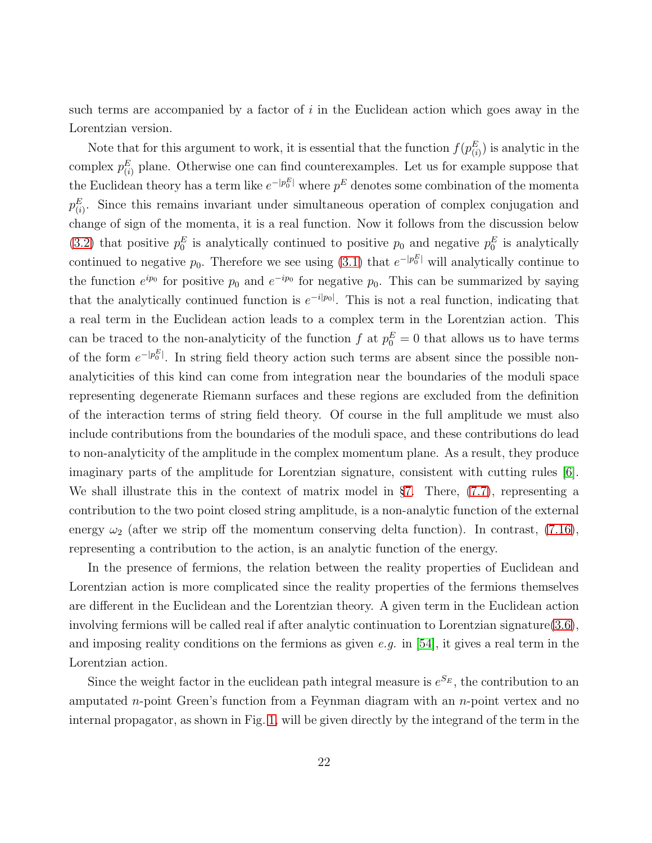such terms are accompanied by a factor of  $i$  in the Euclidean action which goes away in the Lorentzian version.

Note that for this argument to work, it is essential that the function  $f(p_{(i)}^E)$  is analytic in the complex  $p_{(i)}^E$  plane. Otherwise one can find counterexamples. Let us for example suppose that the Euclidean theory has a term like  $e^{-|p_0^E|}$  where  $p^E$  denotes some combination of the momenta  $p_{(i)}^E$ . Since this remains invariant under simultaneous operation of complex conjugation and change of sign of the momenta, it is a real function. Now it follows from the discussion below [\(3.2\)](#page-18-2) that positive  $p_0^E$  is analytically continued to positive  $p_0$  and negative  $p_0^E$  is analytically continued to negative  $p_0$ . Therefore we see using [\(3.1\)](#page-18-0) that  $e^{-|p_0^E|}$  will analytically continue to the function  $e^{ip_0}$  for positive  $p_0$  and  $e^{-ip_0}$  for negative  $p_0$ . This can be summarized by saying that the analytically continued function is  $e^{-i|p_0|}$ . This is not a real function, indicating that a real term in the Euclidean action leads to a complex term in the Lorentzian action. This can be traced to the non-analyticity of the function  $f$  at  $p_0^E = 0$  that allows us to have terms of the form  $e^{-|p_0^E|}$ . In string field theory action such terms are absent since the possible nonanalyticities of this kind can come from integration near the boundaries of the moduli space representing degenerate Riemann surfaces and these regions are excluded from the definition of the interaction terms of string field theory. Of course in the full amplitude we must also include contributions from the boundaries of the moduli space, and these contributions do lead to non-analyticity of the amplitude in the complex momentum plane. As a result, they produce imaginary parts of the amplitude for Lorentzian signature, consistent with cutting rules [\[6\]](#page-87-4). We shall illustrate this in the context of matrix model in §[7.](#page-60-0) There,  $(7.7)$ , representing a contribution to the two point closed string amplitude, is a non-analytic function of the external energy  $\omega_2$  (after we strip off the momentum conserving delta function). In contrast, [\(7.16\)](#page-69-0), representing a contribution to the action, is an analytic function of the energy.

In the presence of fermions, the relation between the reality properties of Euclidean and Lorentzian action is more complicated since the reality properties of the fermions themselves are different in the Euclidean and the Lorentzian theory. A given term in the Euclidean action involving fermions will be called real if after analytic continuation to Lorentzian signature[\(3.6\)](#page-19-1), and imposing reality conditions on the fermions as given  $e.g.$  in [\[54\]](#page-91-4), it gives a real term in the Lorentzian action.

Since the weight factor in the euclidean path integral measure is  $e^{S_E}$ , the contribution to an amputated n-point Green's function from a Feynman diagram with an  $n$ -point vertex and no internal propagator, as shown in Fig. [1,](#page-22-1) will be given directly by the integrand of the term in the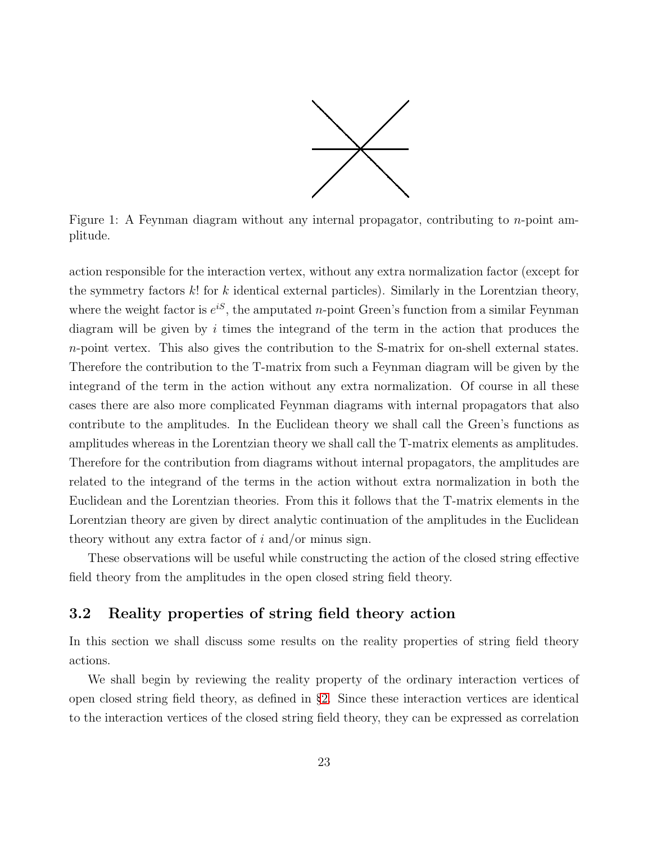

<span id="page-22-1"></span>Figure 1: A Feynman diagram without any internal propagator, contributing to  $n$ -point amplitude.

action responsible for the interaction vertex, without any extra normalization factor (except for the symmetry factors  $k!$  for k identical external particles). Similarly in the Lorentzian theory, where the weight factor is  $e^{iS}$ , the amputated *n*-point Green's function from a similar Feynman diagram will be given by i times the integrand of the term in the action that produces the n-point vertex. This also gives the contribution to the S-matrix for on-shell external states. Therefore the contribution to the T-matrix from such a Feynman diagram will be given by the integrand of the term in the action without any extra normalization. Of course in all these cases there are also more complicated Feynman diagrams with internal propagators that also contribute to the amplitudes. In the Euclidean theory we shall call the Green's functions as amplitudes whereas in the Lorentzian theory we shall call the T-matrix elements as amplitudes. Therefore for the contribution from diagrams without internal propagators, the amplitudes are related to the integrand of the terms in the action without extra normalization in both the Euclidean and the Lorentzian theories. From this it follows that the T-matrix elements in the Lorentzian theory are given by direct analytic continuation of the amplitudes in the Euclidean theory without any extra factor of  $i$  and/or minus sign.

These observations will be useful while constructing the action of the closed string effective field theory from the amplitudes in the open closed string field theory.

### <span id="page-22-0"></span>3.2 Reality properties of string field theory action

In this section we shall discuss some results on the reality properties of string field theory actions.

We shall begin by reviewing the reality property of the ordinary interaction vertices of open closed string field theory, as defined in §[2.](#page-11-0) Since these interaction vertices are identical to the interaction vertices of the closed string field theory, they can be expressed as correlation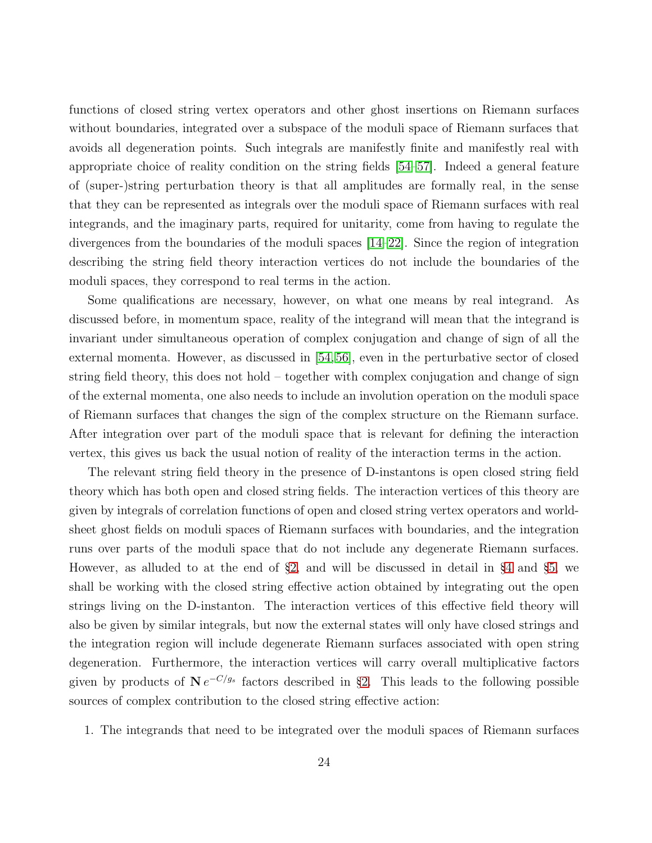functions of closed string vertex operators and other ghost insertions on Riemann surfaces without boundaries, integrated over a subspace of the moduli space of Riemann surfaces that avoids all degeneration points. Such integrals are manifestly finite and manifestly real with appropriate choice of reality condition on the string fields [\[54–](#page-91-4)[57\]](#page-91-5). Indeed a general feature of (super-)string perturbation theory is that all amplitudes are formally real, in the sense that they can be represented as integrals over the moduli space of Riemann surfaces with real integrands, and the imaginary parts, required for unitarity, come from having to regulate the divergences from the boundaries of the moduli spaces [\[14–](#page-88-2)[22\]](#page-88-3). Since the region of integration describing the string field theory interaction vertices do not include the boundaries of the moduli spaces, they correspond to real terms in the action.

Some qualifications are necessary, however, on what one means by real integrand. As discussed before, in momentum space, reality of the integrand will mean that the integrand is invariant under simultaneous operation of complex conjugation and change of sign of all the external momenta. However, as discussed in [\[54,](#page-91-4) [56\]](#page-91-6), even in the perturbative sector of closed string field theory, this does not hold – together with complex conjugation and change of sign of the external momenta, one also needs to include an involution operation on the moduli space of Riemann surfaces that changes the sign of the complex structure on the Riemann surface. After integration over part of the moduli space that is relevant for defining the interaction vertex, this gives us back the usual notion of reality of the interaction terms in the action.

The relevant string field theory in the presence of D-instantons is open closed string field theory which has both open and closed string fields. The interaction vertices of this theory are given by integrals of correlation functions of open and closed string vertex operators and worldsheet ghost fields on moduli spaces of Riemann surfaces with boundaries, and the integration runs over parts of the moduli space that do not include any degenerate Riemann surfaces. However, as alluded to at the end of §[2,](#page-11-0) and will be discussed in detail in §[4](#page-26-0) and §[5,](#page-36-0) we shall be working with the closed string effective action obtained by integrating out the open strings living on the D-instanton. The interaction vertices of this effective field theory will also be given by similar integrals, but now the external states will only have closed strings and the integration region will include degenerate Riemann surfaces associated with open string degeneration. Furthermore, the interaction vertices will carry overall multiplicative factors given by products of  $N e^{-C/g_s}$  factors described in §[2.](#page-11-0) This leads to the following possible sources of complex contribution to the closed string effective action:

1. The integrands that need to be integrated over the moduli spaces of Riemann surfaces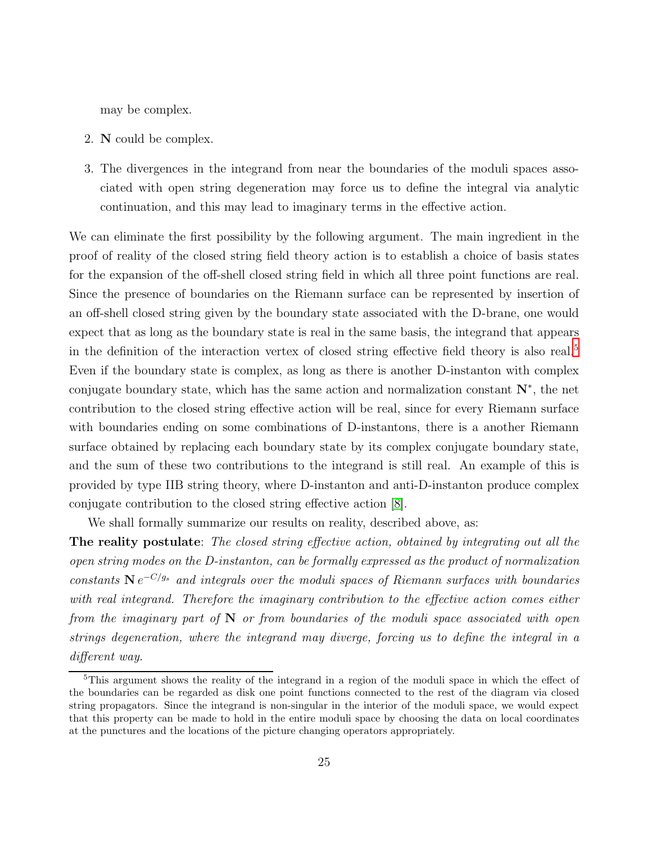may be complex.

- 2. N could be complex.
- 3. The divergences in the integrand from near the boundaries of the moduli spaces associated with open string degeneration may force us to define the integral via analytic continuation, and this may lead to imaginary terms in the effective action.

We can eliminate the first possibility by the following argument. The main ingredient in the proof of reality of the closed string field theory action is to establish a choice of basis states for the expansion of the off-shell closed string field in which all three point functions are real. Since the presence of boundaries on the Riemann surface can be represented by insertion of an off-shell closed string given by the boundary state associated with the D-brane, one would expect that as long as the boundary state is real in the same basis, the integrand that appears in the definition of the interaction vertex of closed string effective field theory is also real.[5](#page-24-0) Even if the boundary state is complex, as long as there is another D-instanton with complex conjugate boundary state, which has the same action and normalization constant N<sup>∗</sup> , the net contribution to the closed string effective action will be real, since for every Riemann surface with boundaries ending on some combinations of D-instantons, there is a another Riemann surface obtained by replacing each boundary state by its complex conjugate boundary state, and the sum of these two contributions to the integrand is still real. An example of this is provided by type IIB string theory, where D-instanton and anti-D-instanton produce complex conjugate contribution to the closed string effective action [\[8\]](#page-87-6).

We shall formally summarize our results on reality, described above, as:

The reality postulate: The closed string effective action, obtained by integrating out all the open string modes on the D-instanton, can be formally expressed as the product of normalization constants  $N e^{-C/g_s}$  and integrals over the moduli spaces of Riemann surfaces with boundaries with real integrand. Therefore the imaginary contribution to the effective action comes either from the imaginary part of  $N$  or from boundaries of the moduli space associated with open strings degeneration, where the integrand may diverge, forcing us to define the integral in a different way.

<span id="page-24-0"></span><sup>5</sup>This argument shows the reality of the integrand in a region of the moduli space in which the effect of the boundaries can be regarded as disk one point functions connected to the rest of the diagram via closed string propagators. Since the integrand is non-singular in the interior of the moduli space, we would expect that this property can be made to hold in the entire moduli space by choosing the data on local coordinates at the punctures and the locations of the picture changing operators appropriately.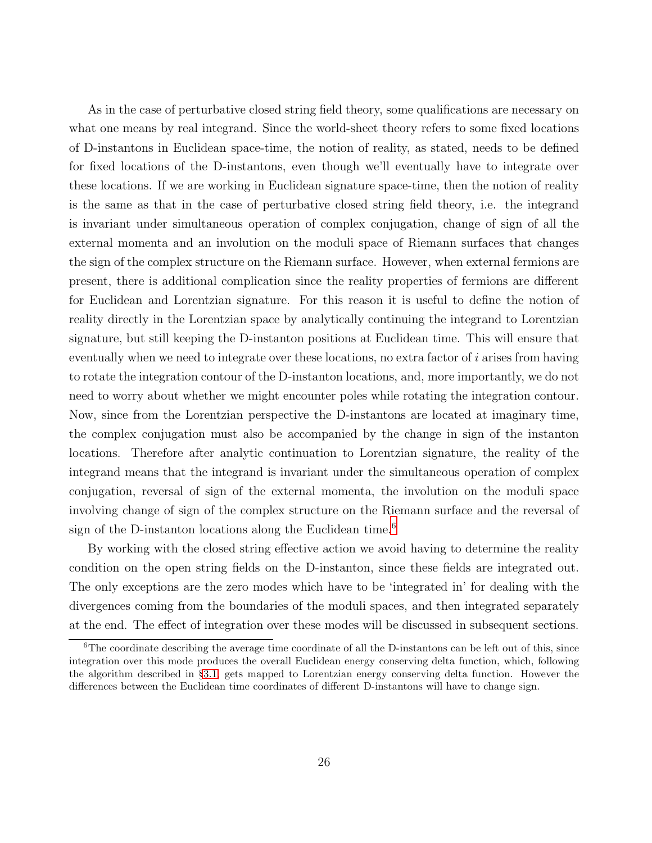As in the case of perturbative closed string field theory, some qualifications are necessary on what one means by real integrand. Since the world-sheet theory refers to some fixed locations of D-instantons in Euclidean space-time, the notion of reality, as stated, needs to be defined for fixed locations of the D-instantons, even though we'll eventually have to integrate over these locations. If we are working in Euclidean signature space-time, then the notion of reality is the same as that in the case of perturbative closed string field theory, i.e. the integrand is invariant under simultaneous operation of complex conjugation, change of sign of all the external momenta and an involution on the moduli space of Riemann surfaces that changes the sign of the complex structure on the Riemann surface. However, when external fermions are present, there is additional complication since the reality properties of fermions are different for Euclidean and Lorentzian signature. For this reason it is useful to define the notion of reality directly in the Lorentzian space by analytically continuing the integrand to Lorentzian signature, but still keeping the D-instanton positions at Euclidean time. This will ensure that eventually when we need to integrate over these locations, no extra factor of  $i$  arises from having to rotate the integration contour of the D-instanton locations, and, more importantly, we do not need to worry about whether we might encounter poles while rotating the integration contour. Now, since from the Lorentzian perspective the D-instantons are located at imaginary time, the complex conjugation must also be accompanied by the change in sign of the instanton locations. Therefore after analytic continuation to Lorentzian signature, the reality of the integrand means that the integrand is invariant under the simultaneous operation of complex conjugation, reversal of sign of the external momenta, the involution on the moduli space involving change of sign of the complex structure on the Riemann surface and the reversal of sign of the D-instanton locations along the Euclidean time.<sup>[6](#page-25-0)</sup>

By working with the closed string effective action we avoid having to determine the reality condition on the open string fields on the D-instanton, since these fields are integrated out. The only exceptions are the zero modes which have to be 'integrated in' for dealing with the divergences coming from the boundaries of the moduli spaces, and then integrated separately at the end. The effect of integration over these modes will be discussed in subsequent sections.

<span id="page-25-0"></span> $6$ The coordinate describing the average time coordinate of all the D-instantons can be left out of this, since integration over this mode produces the overall Euclidean energy conserving delta function, which, following the algorithm described in §[3.1,](#page-17-1) gets mapped to Lorentzian energy conserving delta function. However the differences between the Euclidean time coordinates of different D-instantons will have to change sign.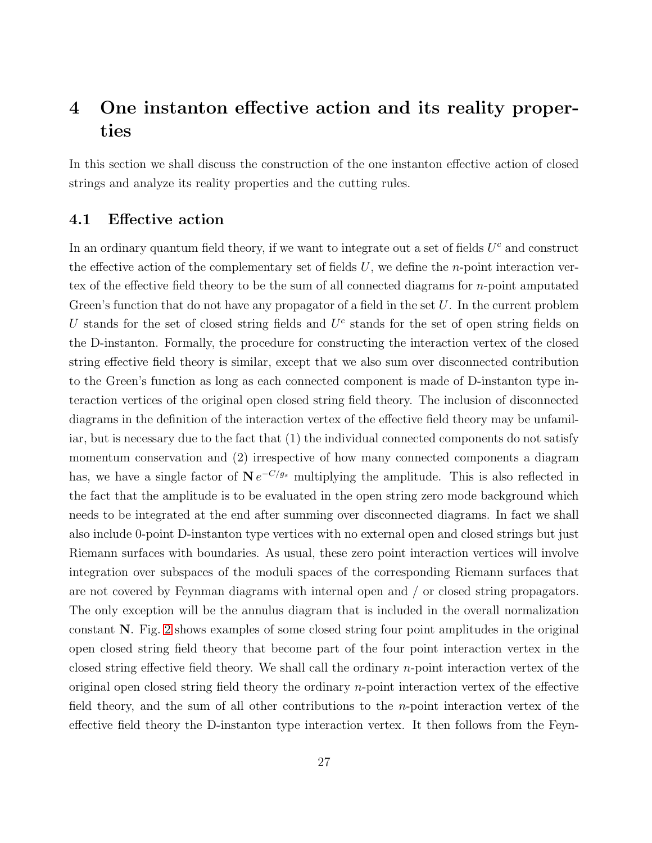### <span id="page-26-0"></span>4 One instanton effective action and its reality properties

In this section we shall discuss the construction of the one instanton effective action of closed strings and analyze its reality properties and the cutting rules.

#### <span id="page-26-1"></span>4.1 Effective action

In an ordinary quantum field theory, if we want to integrate out a set of fields  $U<sup>c</sup>$  and construct the effective action of the complementary set of fields  $U$ , we define the *n*-point interaction vertex of the effective field theory to be the sum of all connected diagrams for n-point amputated Green's function that do not have any propagator of a field in the set  $U$ . In the current problem U stands for the set of closed string fields and  $U^c$  stands for the set of open string fields on the D-instanton. Formally, the procedure for constructing the interaction vertex of the closed string effective field theory is similar, except that we also sum over disconnected contribution to the Green's function as long as each connected component is made of D-instanton type interaction vertices of the original open closed string field theory. The inclusion of disconnected diagrams in the definition of the interaction vertex of the effective field theory may be unfamiliar, but is necessary due to the fact that (1) the individual connected components do not satisfy momentum conservation and (2) irrespective of how many connected components a diagram has, we have a single factor of  $N e^{-C/g_s}$  multiplying the amplitude. This is also reflected in the fact that the amplitude is to be evaluated in the open string zero mode background which needs to be integrated at the end after summing over disconnected diagrams. In fact we shall also include 0-point D-instanton type vertices with no external open and closed strings but just Riemann surfaces with boundaries. As usual, these zero point interaction vertices will involve integration over subspaces of the moduli spaces of the corresponding Riemann surfaces that are not covered by Feynman diagrams with internal open and / or closed string propagators. The only exception will be the annulus diagram that is included in the overall normalization constant N. Fig. [2](#page-27-0) shows examples of some closed string four point amplitudes in the original open closed string field theory that become part of the four point interaction vertex in the closed string effective field theory. We shall call the ordinary  $n$ -point interaction vertex of the original open closed string field theory the ordinary n-point interaction vertex of the effective field theory, and the sum of all other contributions to the n-point interaction vertex of the effective field theory the D-instanton type interaction vertex. It then follows from the Feyn-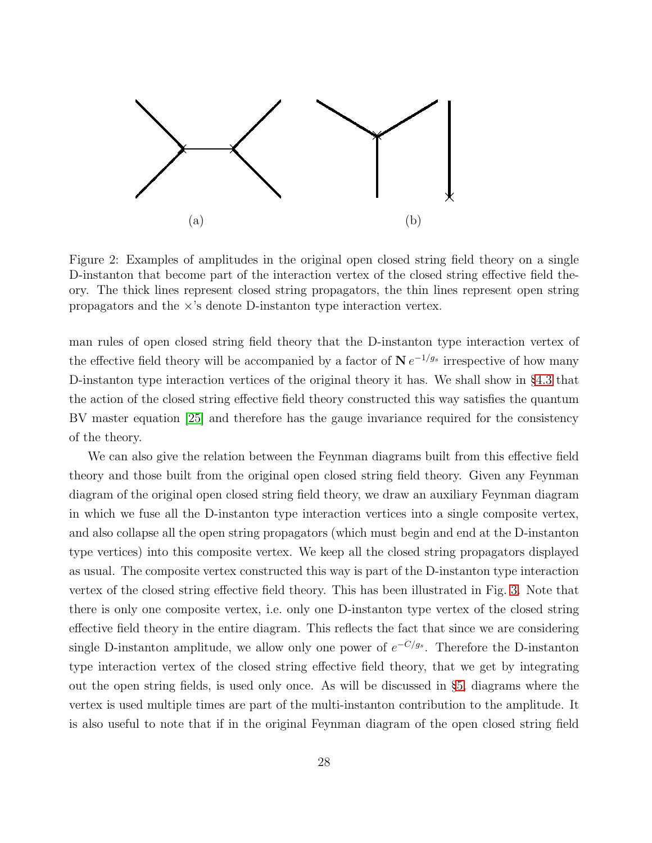

<span id="page-27-0"></span>Figure 2: Examples of amplitudes in the original open closed string field theory on a single D-instanton that become part of the interaction vertex of the closed string effective field theory. The thick lines represent closed string propagators, the thin lines represent open string propagators and the  $\times$ 's denote D-instanton type interaction vertex.

man rules of open closed string field theory that the D-instanton type interaction vertex of the effective field theory will be accompanied by a factor of  $N e^{-1/g_s}$  irrespective of how many D-instanton type interaction vertices of the original theory it has. We shall show in §[4.3](#page-31-0) that the action of the closed string effective field theory constructed this way satisfies the quantum BV master equation [\[25\]](#page-89-5) and therefore has the gauge invariance required for the consistency of the theory.

We can also give the relation between the Feynman diagrams built from this effective field theory and those built from the original open closed string field theory. Given any Feynman diagram of the original open closed string field theory, we draw an auxiliary Feynman diagram in which we fuse all the D-instanton type interaction vertices into a single composite vertex, and also collapse all the open string propagators (which must begin and end at the D-instanton type vertices) into this composite vertex. We keep all the closed string propagators displayed as usual. The composite vertex constructed this way is part of the D-instanton type interaction vertex of the closed string effective field theory. This has been illustrated in Fig. [3.](#page-28-1) Note that there is only one composite vertex, i.e. only one D-instanton type vertex of the closed string effective field theory in the entire diagram. This reflects the fact that since we are considering single D-instanton amplitude, we allow only one power of  $e^{-C/g_s}$ . Therefore the D-instanton type interaction vertex of the closed string effective field theory, that we get by integrating out the open string fields, is used only once. As will be discussed in §[5,](#page-36-0) diagrams where the vertex is used multiple times are part of the multi-instanton contribution to the amplitude. It is also useful to note that if in the original Feynman diagram of the open closed string field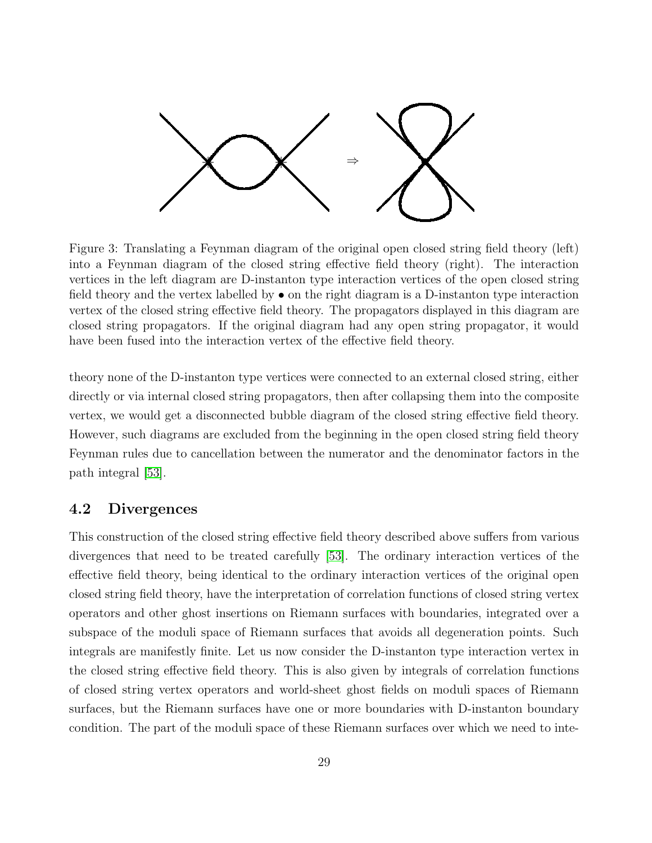

<span id="page-28-1"></span>Figure 3: Translating a Feynman diagram of the original open closed string field theory (left) into a Feynman diagram of the closed string effective field theory (right). The interaction vertices in the left diagram are D-instanton type interaction vertices of the open closed string field theory and the vertex labelled by • on the right diagram is a D-instanton type interaction vertex of the closed string effective field theory. The propagators displayed in this diagram are closed string propagators. If the original diagram had any open string propagator, it would have been fused into the interaction vertex of the effective field theory.

theory none of the D-instanton type vertices were connected to an external closed string, either directly or via internal closed string propagators, then after collapsing them into the composite vertex, we would get a disconnected bubble diagram of the closed string effective field theory. However, such diagrams are excluded from the beginning in the open closed string field theory Feynman rules due to cancellation between the numerator and the denominator factors in the path integral [\[53\]](#page-91-3).

#### <span id="page-28-0"></span>4.2 Divergences

This construction of the closed string effective field theory described above suffers from various divergences that need to be treated carefully [\[53\]](#page-91-3). The ordinary interaction vertices of the effective field theory, being identical to the ordinary interaction vertices of the original open closed string field theory, have the interpretation of correlation functions of closed string vertex operators and other ghost insertions on Riemann surfaces with boundaries, integrated over a subspace of the moduli space of Riemann surfaces that avoids all degeneration points. Such integrals are manifestly finite. Let us now consider the D-instanton type interaction vertex in the closed string effective field theory. This is also given by integrals of correlation functions of closed string vertex operators and world-sheet ghost fields on moduli spaces of Riemann surfaces, but the Riemann surfaces have one or more boundaries with D-instanton boundary condition. The part of the moduli space of these Riemann surfaces over which we need to inte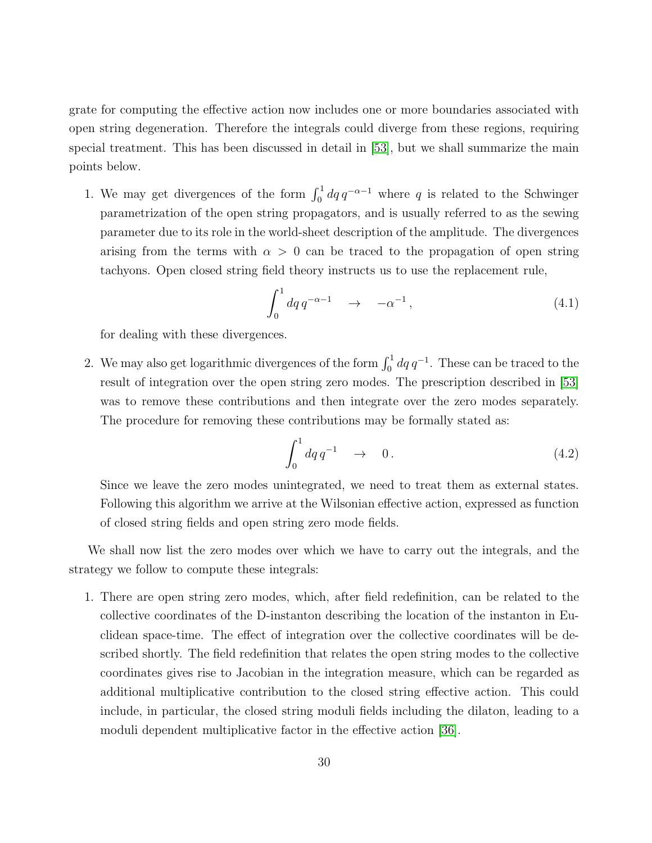grate for computing the effective action now includes one or more boundaries associated with open string degeneration. Therefore the integrals could diverge from these regions, requiring special treatment. This has been discussed in detail in [\[53\]](#page-91-3), but we shall summarize the main points below.

1. We may get divergences of the form  $\int_0^1 dq \, q^{-\alpha-1}$  where q is related to the Schwinger parametrization of the open string propagators, and is usually referred to as the sewing parameter due to its role in the world-sheet description of the amplitude. The divergences arising from the terms with  $\alpha > 0$  can be traced to the propagation of open string tachyons. Open closed string field theory instructs us to use the replacement rule,

<span id="page-29-0"></span>
$$
\int_0^1 dq \, q^{-\alpha - 1} \quad \to \quad -\alpha^{-1} \,, \tag{4.1}
$$

for dealing with these divergences.

2. We may also get logarithmic divergences of the form  $\int_0^1 dq q^{-1}$ . These can be traced to the result of integration over the open string zero modes. The prescription described in [\[53\]](#page-91-3) was to remove these contributions and then integrate over the zero modes separately. The procedure for removing these contributions may be formally stated as:

<span id="page-29-1"></span>
$$
\int_0^1 dq \, q^{-1} \quad \to \quad 0 \, . \tag{4.2}
$$

Since we leave the zero modes unintegrated, we need to treat them as external states. Following this algorithm we arrive at the Wilsonian effective action, expressed as function of closed string fields and open string zero mode fields.

We shall now list the zero modes over which we have to carry out the integrals, and the strategy we follow to compute these integrals:

1. There are open string zero modes, which, after field redefinition, can be related to the collective coordinates of the D-instanton describing the location of the instanton in Euclidean space-time. The effect of integration over the collective coordinates will be described shortly. The field redefinition that relates the open string modes to the collective coordinates gives rise to Jacobian in the integration measure, which can be regarded as additional multiplicative contribution to the closed string effective action. This could include, in particular, the closed string moduli fields including the dilaton, leading to a moduli dependent multiplicative factor in the effective action [\[36\]](#page-90-0).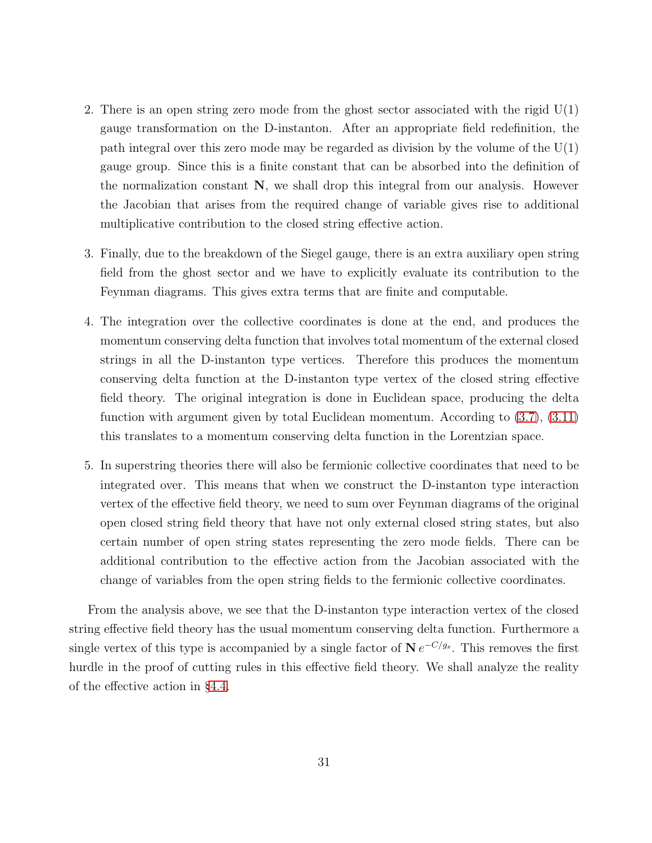- 2. There is an open string zero mode from the ghost sector associated with the rigid  $U(1)$ gauge transformation on the D-instanton. After an appropriate field redefinition, the path integral over this zero mode may be regarded as division by the volume of the  $U(1)$ gauge group. Since this is a finite constant that can be absorbed into the definition of the normalization constant  $N$ , we shall drop this integral from our analysis. However the Jacobian that arises from the required change of variable gives rise to additional multiplicative contribution to the closed string effective action.
- 3. Finally, due to the breakdown of the Siegel gauge, there is an extra auxiliary open string field from the ghost sector and we have to explicitly evaluate its contribution to the Feynman diagrams. This gives extra terms that are finite and computable.
- 4. The integration over the collective coordinates is done at the end, and produces the momentum conserving delta function that involves total momentum of the external closed strings in all the D-instanton type vertices. Therefore this produces the momentum conserving delta function at the D-instanton type vertex of the closed string effective field theory. The original integration is done in Euclidean space, producing the delta function with argument given by total Euclidean momentum. According to [\(3.7\)](#page-19-0), [\(3.11\)](#page-20-2) this translates to a momentum conserving delta function in the Lorentzian space.
- 5. In superstring theories there will also be fermionic collective coordinates that need to be integrated over. This means that when we construct the D-instanton type interaction vertex of the effective field theory, we need to sum over Feynman diagrams of the original open closed string field theory that have not only external closed string states, but also certain number of open string states representing the zero mode fields. There can be additional contribution to the effective action from the Jacobian associated with the change of variables from the open string fields to the fermionic collective coordinates.

From the analysis above, we see that the D-instanton type interaction vertex of the closed string effective field theory has the usual momentum conserving delta function. Furthermore a single vertex of this type is accompanied by a single factor of  $N e^{-C/g_s}$ . This removes the first hurdle in the proof of cutting rules in this effective field theory. We shall analyze the reality of the effective action in §[4.4.](#page-33-0)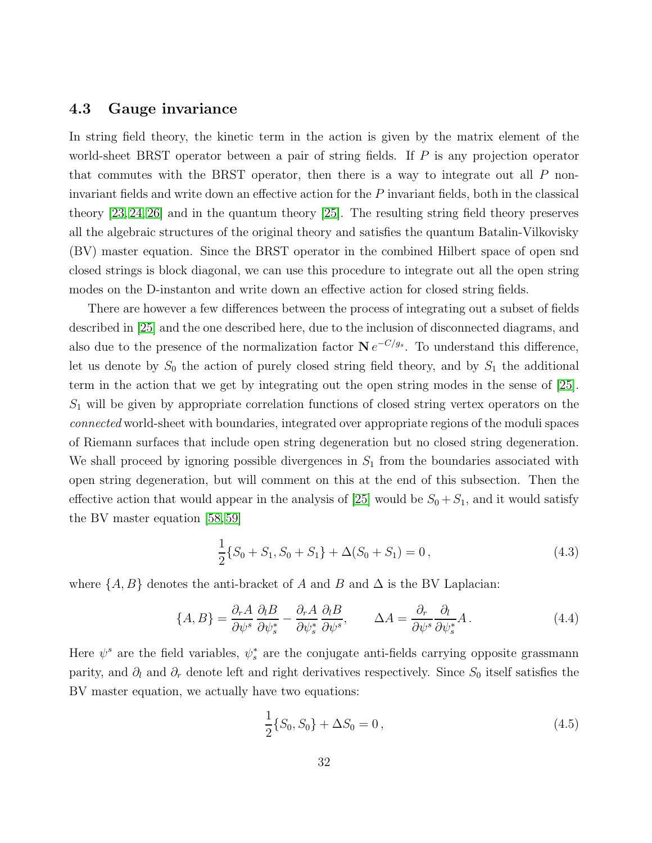#### <span id="page-31-0"></span>4.3 Gauge invariance

In string field theory, the kinetic term in the action is given by the matrix element of the world-sheet BRST operator between a pair of string fields. If P is any projection operator that commutes with the BRST operator, then there is a way to integrate out all  $P$  noninvariant fields and write down an effective action for the P invariant fields, both in the classical theory [\[23,](#page-88-4) [24,](#page-89-6) [26\]](#page-89-0) and in the quantum theory [\[25\]](#page-89-5). The resulting string field theory preserves all the algebraic structures of the original theory and satisfies the quantum Batalin-Vilkovisky (BV) master equation. Since the BRST operator in the combined Hilbert space of open snd closed strings is block diagonal, we can use this procedure to integrate out all the open string modes on the D-instanton and write down an effective action for closed string fields.

There are however a few differences between the process of integrating out a subset of fields described in [\[25\]](#page-89-5) and the one described here, due to the inclusion of disconnected diagrams, and also due to the presence of the normalization factor  $N e^{-C/g_s}$ . To understand this difference, let us denote by  $S_0$  the action of purely closed string field theory, and by  $S_1$  the additional term in the action that we get by integrating out the open string modes in the sense of [\[25\]](#page-89-5).  $S_1$  will be given by appropriate correlation functions of closed string vertex operators on the connected world-sheet with boundaries, integrated over appropriate regions of the moduli spaces of Riemann surfaces that include open string degeneration but no closed string degeneration. We shall proceed by ignoring possible divergences in  $S_1$  from the boundaries associated with open string degeneration, but will comment on this at the end of this subsection. Then the effective action that would appear in the analysis of [\[25\]](#page-89-5) would be  $S_0 + S_1$ , and it would satisfy the BV master equation [\[58,](#page-91-7) [59\]](#page-92-0)

$$
\frac{1}{2}\{S_0 + S_1, S_0 + S_1\} + \Delta(S_0 + S_1) = 0, \qquad (4.3)
$$

where  $\{A, B\}$  denotes the anti-bracket of A and B and  $\Delta$  is the BV Laplacian:

<span id="page-31-1"></span>
$$
\{A, B\} = \frac{\partial_r A}{\partial \psi^s} \frac{\partial_l B}{\partial \psi^*_s} - \frac{\partial_r A}{\partial \psi^*_s} \frac{\partial_l B}{\partial \psi^s}, \qquad \Delta A = \frac{\partial_r}{\partial \psi^s} \frac{\partial_l}{\partial \psi^*_s} A. \tag{4.4}
$$

Here  $\psi^s$  are the field variables,  $\psi^*_s$  are the conjugate anti-fields carrying opposite grassmann parity, and  $\partial_l$  and  $\partial_r$  denote left and right derivatives respectively. Since  $S_0$  itself satisfies the BV master equation, we actually have two equations:

<span id="page-31-2"></span>
$$
\frac{1}{2}\{S_0, S_0\} + \Delta S_0 = 0, \qquad (4.5)
$$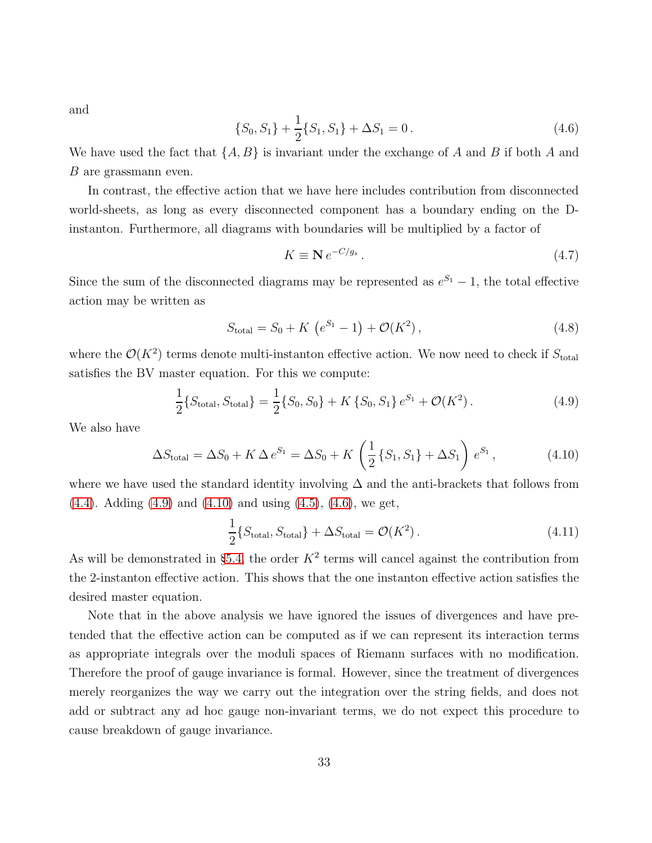and

<span id="page-32-2"></span>
$$
\{S_0, S_1\} + \frac{1}{2} \{S_1, S_1\} + \Delta S_1 = 0. \tag{4.6}
$$

We have used the fact that  $\{A, B\}$  is invariant under the exchange of A and B if both A and B are grassmann even.

In contrast, the effective action that we have here includes contribution from disconnected world-sheets, as long as every disconnected component has a boundary ending on the Dinstanton. Furthermore, all diagrams with boundaries will be multiplied by a factor of

$$
K \equiv \mathbf{N} \, e^{-C/g_s} \,. \tag{4.7}
$$

Since the sum of the disconnected diagrams may be represented as  $e^{S_1} - 1$ , the total effective action may be written as

$$
S_{\text{total}} = S_0 + K \left( e^{S_1} - 1 \right) + \mathcal{O}(K^2) \,, \tag{4.8}
$$

where the  $\mathcal{O}(K^2)$  terms denote multi-instanton effective action. We now need to check if  $S_{\text{total}}$ satisfies the BV master equation. For this we compute:

<span id="page-32-0"></span>
$$
\frac{1}{2}\lbrace S_{\text{total}}, S_{\text{total}} \rbrace = \frac{1}{2}\lbrace S_0, S_0 \rbrace + K \lbrace S_0, S_1 \rbrace e^{S_1} + \mathcal{O}(K^2). \tag{4.9}
$$

We also have

<span id="page-32-1"></span>
$$
\Delta S_{\text{total}} = \Delta S_0 + K \Delta e^{S_1} = \Delta S_0 + K \left(\frac{1}{2} \{S_1, S_1\} + \Delta S_1\right) e^{S_1}, \tag{4.10}
$$

where we have used the standard identity involving  $\Delta$  and the anti-brackets that follows from  $(4.4)$ . Adding  $(4.9)$  and  $(4.10)$  and using  $(4.5)$ ,  $(4.6)$ , we get,

$$
\frac{1}{2} \{ S_{\text{total}}, S_{\text{total}} \} + \Delta S_{\text{total}} = \mathcal{O}(K^2) \,. \tag{4.11}
$$

As will be demonstrated in §[5.4,](#page-46-0) the order  $K^2$  terms will cancel against the contribution from the 2-instanton effective action. This shows that the one instanton effective action satisfies the desired master equation.

Note that in the above analysis we have ignored the issues of divergences and have pretended that the effective action can be computed as if we can represent its interaction terms as appropriate integrals over the moduli spaces of Riemann surfaces with no modification. Therefore the proof of gauge invariance is formal. However, since the treatment of divergences merely reorganizes the way we carry out the integration over the string fields, and does not add or subtract any ad hoc gauge non-invariant terms, we do not expect this procedure to cause breakdown of gauge invariance.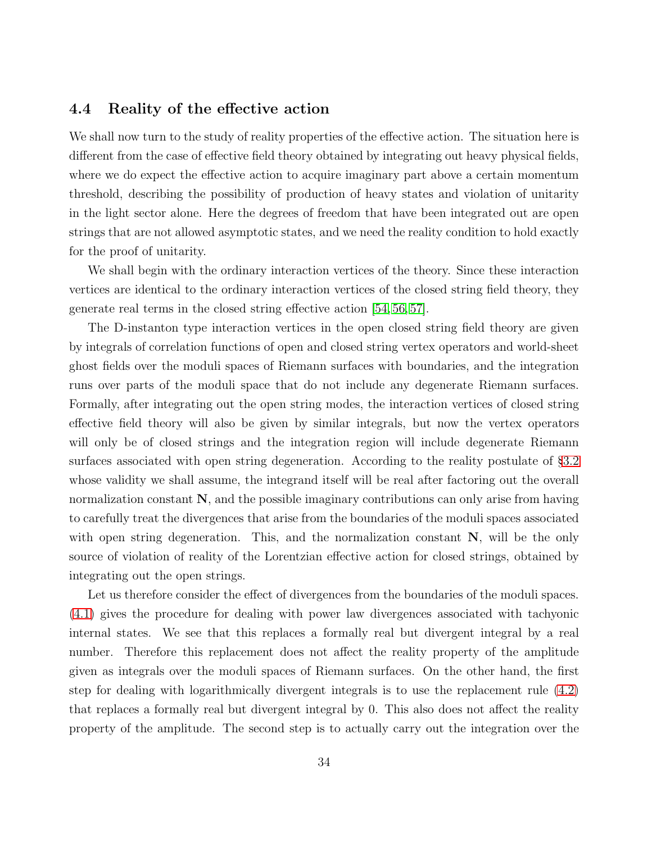#### <span id="page-33-0"></span>4.4 Reality of the effective action

We shall now turn to the study of reality properties of the effective action. The situation here is different from the case of effective field theory obtained by integrating out heavy physical fields, where we do expect the effective action to acquire imaginary part above a certain momentum threshold, describing the possibility of production of heavy states and violation of unitarity in the light sector alone. Here the degrees of freedom that have been integrated out are open strings that are not allowed asymptotic states, and we need the reality condition to hold exactly for the proof of unitarity.

We shall begin with the ordinary interaction vertices of the theory. Since these interaction vertices are identical to the ordinary interaction vertices of the closed string field theory, they generate real terms in the closed string effective action [\[54,](#page-91-4) [56,](#page-91-6) [57\]](#page-91-5).

The D-instanton type interaction vertices in the open closed string field theory are given by integrals of correlation functions of open and closed string vertex operators and world-sheet ghost fields over the moduli spaces of Riemann surfaces with boundaries, and the integration runs over parts of the moduli space that do not include any degenerate Riemann surfaces. Formally, after integrating out the open string modes, the interaction vertices of closed string effective field theory will also be given by similar integrals, but now the vertex operators will only be of closed strings and the integration region will include degenerate Riemann surfaces associated with open string degeneration. According to the reality postulate of §[3.2](#page-22-0) whose validity we shall assume, the integrand itself will be real after factoring out the overall normalization constant N, and the possible imaginary contributions can only arise from having to carefully treat the divergences that arise from the boundaries of the moduli spaces associated with open string degeneration. This, and the normalization constant  $N$ , will be the only source of violation of reality of the Lorentzian effective action for closed strings, obtained by integrating out the open strings.

Let us therefore consider the effect of divergences from the boundaries of the moduli spaces. [\(4.1\)](#page-29-0) gives the procedure for dealing with power law divergences associated with tachyonic internal states. We see that this replaces a formally real but divergent integral by a real number. Therefore this replacement does not affect the reality property of the amplitude given as integrals over the moduli spaces of Riemann surfaces. On the other hand, the first step for dealing with logarithmically divergent integrals is to use the replacement rule [\(4.2\)](#page-29-1) that replaces a formally real but divergent integral by 0. This also does not affect the reality property of the amplitude. The second step is to actually carry out the integration over the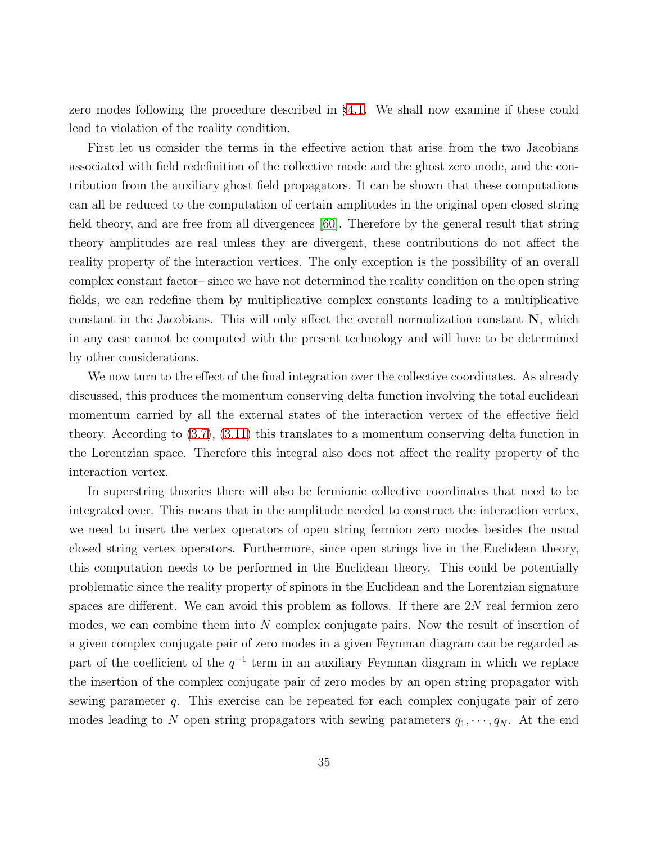zero modes following the procedure described in §[4.1.](#page-26-1) We shall now examine if these could lead to violation of the reality condition.

First let us consider the terms in the effective action that arise from the two Jacobians associated with field redefinition of the collective mode and the ghost zero mode, and the contribution from the auxiliary ghost field propagators. It can be shown that these computations can all be reduced to the computation of certain amplitudes in the original open closed string field theory, and are free from all divergences [\[60\]](#page-92-1). Therefore by the general result that string theory amplitudes are real unless they are divergent, these contributions do not affect the reality property of the interaction vertices. The only exception is the possibility of an overall complex constant factor– since we have not determined the reality condition on the open string fields, we can redefine them by multiplicative complex constants leading to a multiplicative constant in the Jacobians. This will only affect the overall normalization constant  $N$ , which in any case cannot be computed with the present technology and will have to be determined by other considerations.

We now turn to the effect of the final integration over the collective coordinates. As already discussed, this produces the momentum conserving delta function involving the total euclidean momentum carried by all the external states of the interaction vertex of the effective field theory. According to [\(3.7\)](#page-19-0), [\(3.11\)](#page-20-2) this translates to a momentum conserving delta function in the Lorentzian space. Therefore this integral also does not affect the reality property of the interaction vertex.

In superstring theories there will also be fermionic collective coordinates that need to be integrated over. This means that in the amplitude needed to construct the interaction vertex, we need to insert the vertex operators of open string fermion zero modes besides the usual closed string vertex operators. Furthermore, since open strings live in the Euclidean theory, this computation needs to be performed in the Euclidean theory. This could be potentially problematic since the reality property of spinors in the Euclidean and the Lorentzian signature spaces are different. We can avoid this problem as follows. If there are  $2N$  real fermion zero modes, we can combine them into  $N$  complex conjugate pairs. Now the result of insertion of a given complex conjugate pair of zero modes in a given Feynman diagram can be regarded as part of the coefficient of the  $q^{-1}$  term in an auxiliary Feynman diagram in which we replace the insertion of the complex conjugate pair of zero modes by an open string propagator with sewing parameter q. This exercise can be repeated for each complex conjugate pair of zero modes leading to N open string propagators with sewing parameters  $q_1, \dots, q_N$ . At the end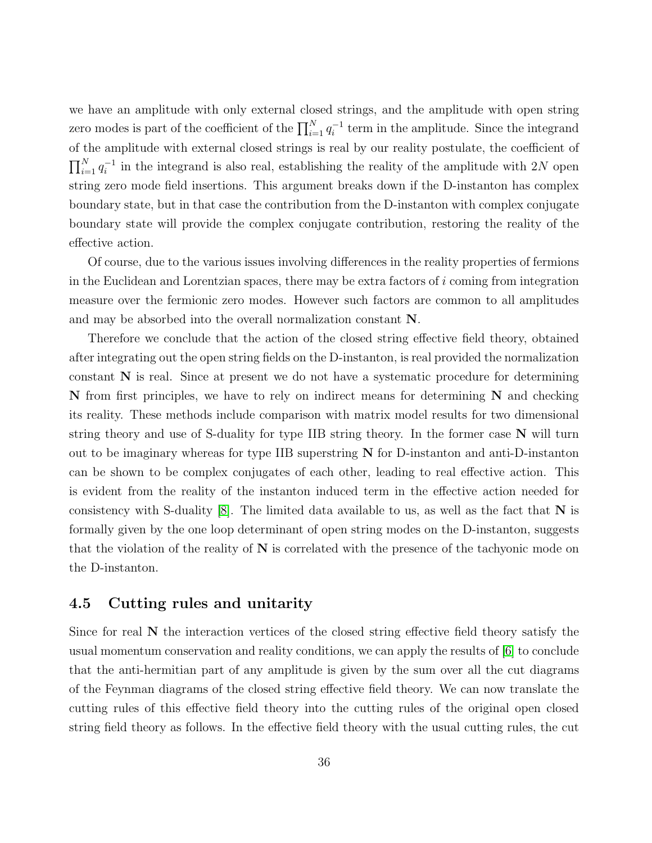we have an amplitude with only external closed strings, and the amplitude with open string zero modes is part of the coefficient of the  $\prod_{i=1}^{N} q_i^{-1}$  $i^{-1}$  term in the amplitude. Since the integrand of the amplitude with external closed strings is real by our reality postulate, the coefficient of  $\prod_{i=1}^{N} q_i^{-1}$  $i<sup>-1</sup>$  in the integrand is also real, establishing the reality of the amplitude with 2N open string zero mode field insertions. This argument breaks down if the D-instanton has complex boundary state, but in that case the contribution from the D-instanton with complex conjugate boundary state will provide the complex conjugate contribution, restoring the reality of the effective action.

Of course, due to the various issues involving differences in the reality properties of fermions in the Euclidean and Lorentzian spaces, there may be extra factors of  $i$  coming from integration measure over the fermionic zero modes. However such factors are common to all amplitudes and may be absorbed into the overall normalization constant N.

Therefore we conclude that the action of the closed string effective field theory, obtained after integrating out the open string fields on the D-instanton, is real provided the normalization constant N is real. Since at present we do not have a systematic procedure for determining  $N$  from first principles, we have to rely on indirect means for determining  $N$  and checking its reality. These methods include comparison with matrix model results for two dimensional string theory and use of S-duality for type IIB string theory. In the former case  $N$  will turn out to be imaginary whereas for type IIB superstring N for D-instanton and anti-D-instanton can be shown to be complex conjugates of each other, leading to real effective action. This is evident from the reality of the instanton induced term in the effective action needed for consistency with S-duality  $[8]$ . The limited data available to us, as well as the fact that N is formally given by the one loop determinant of open string modes on the D-instanton, suggests that the violation of the reality of  $N$  is correlated with the presence of the tachyonic mode on the D-instanton.

#### <span id="page-35-0"></span>4.5 Cutting rules and unitarity

Since for real  $N$  the interaction vertices of the closed string effective field theory satisfy the usual momentum conservation and reality conditions, we can apply the results of [\[6\]](#page-87-4) to conclude that the anti-hermitian part of any amplitude is given by the sum over all the cut diagrams of the Feynman diagrams of the closed string effective field theory. We can now translate the cutting rules of this effective field theory into the cutting rules of the original open closed string field theory as follows. In the effective field theory with the usual cutting rules, the cut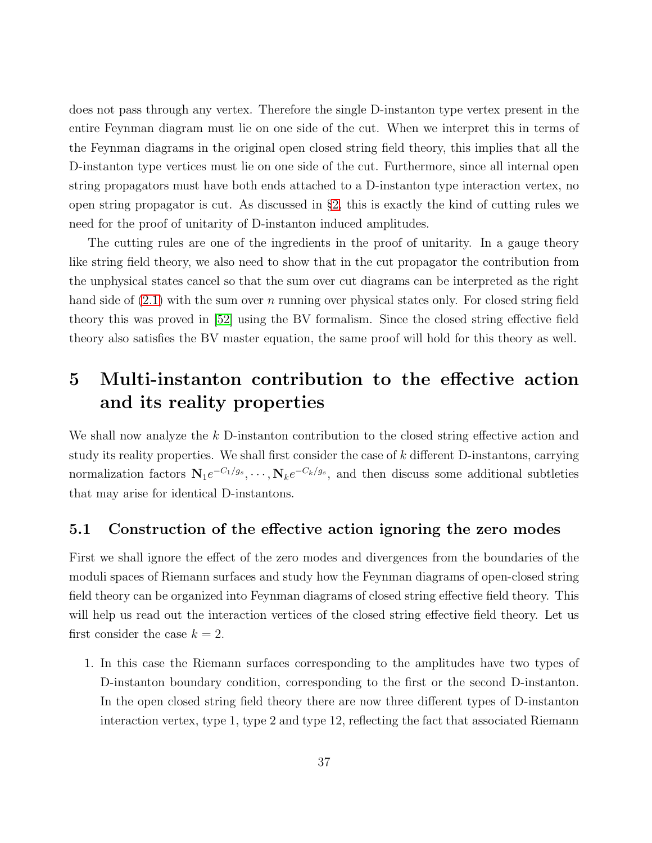does not pass through any vertex. Therefore the single D-instanton type vertex present in the entire Feynman diagram must lie on one side of the cut. When we interpret this in terms of the Feynman diagrams in the original open closed string field theory, this implies that all the D-instanton type vertices must lie on one side of the cut. Furthermore, since all internal open string propagators must have both ends attached to a D-instanton type interaction vertex, no open string propagator is cut. As discussed in §[2,](#page-11-0) this is exactly the kind of cutting rules we need for the proof of unitarity of D-instanton induced amplitudes.

The cutting rules are one of the ingredients in the proof of unitarity. In a gauge theory like string field theory, we also need to show that in the cut propagator the contribution from the unphysical states cancel so that the sum over cut diagrams can be interpreted as the right hand side of  $(2.1)$  with the sum over n running over physical states only. For closed string field theory this was proved in [\[52\]](#page-91-0) using the BV formalism. Since the closed string effective field theory also satisfies the BV master equation, the same proof will hold for this theory as well.

# <span id="page-36-1"></span>5 Multi-instanton contribution to the effective action and its reality properties

We shall now analyze the k D-instanton contribution to the closed string effective action and study its reality properties. We shall first consider the case of  $k$  different D-instantons, carrying normalization factors  $N_1e^{-C_1/g_s}, \dots, N_ke^{-C_k/g_s}$ , and then discuss some additional subtleties that may arise for identical D-instantons.

## <span id="page-36-0"></span>5.1 Construction of the effective action ignoring the zero modes

First we shall ignore the effect of the zero modes and divergences from the boundaries of the moduli spaces of Riemann surfaces and study how the Feynman diagrams of open-closed string field theory can be organized into Feynman diagrams of closed string effective field theory. This will help us read out the interaction vertices of the closed string effective field theory. Let us first consider the case  $k = 2$ .

1. In this case the Riemann surfaces corresponding to the amplitudes have two types of D-instanton boundary condition, corresponding to the first or the second D-instanton. In the open closed string field theory there are now three different types of D-instanton interaction vertex, type 1, type 2 and type 12, reflecting the fact that associated Riemann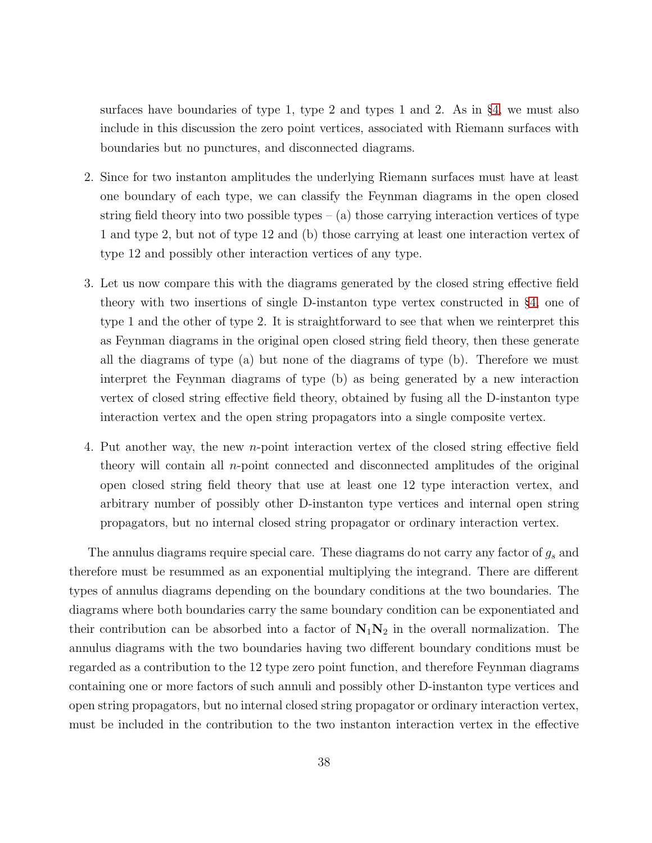surfaces have boundaries of type 1, type 2 and types 1 and 2. As in  $\S4$ , we must also include in this discussion the zero point vertices, associated with Riemann surfaces with boundaries but no punctures, and disconnected diagrams.

- 2. Since for two instanton amplitudes the underlying Riemann surfaces must have at least one boundary of each type, we can classify the Feynman diagrams in the open closed string field theory into two possible types  $-$  (a) those carrying interaction vertices of type 1 and type 2, but not of type 12 and (b) those carrying at least one interaction vertex of type 12 and possibly other interaction vertices of any type.
- 3. Let us now compare this with the diagrams generated by the closed string effective field theory with two insertions of single D-instanton type vertex constructed in §[4,](#page-26-0) one of type 1 and the other of type 2. It is straightforward to see that when we reinterpret this as Feynman diagrams in the original open closed string field theory, then these generate all the diagrams of type (a) but none of the diagrams of type (b). Therefore we must interpret the Feynman diagrams of type (b) as being generated by a new interaction vertex of closed string effective field theory, obtained by fusing all the D-instanton type interaction vertex and the open string propagators into a single composite vertex.
- 4. Put another way, the new n-point interaction vertex of the closed string effective field theory will contain all n-point connected and disconnected amplitudes of the original open closed string field theory that use at least one 12 type interaction vertex, and arbitrary number of possibly other D-instanton type vertices and internal open string propagators, but no internal closed string propagator or ordinary interaction vertex.

The annulus diagrams require special care. These diagrams do not carry any factor of  $g_s$  and therefore must be resummed as an exponential multiplying the integrand. There are different types of annulus diagrams depending on the boundary conditions at the two boundaries. The diagrams where both boundaries carry the same boundary condition can be exponentiated and their contribution can be absorbed into a factor of  $N_1N_2$  in the overall normalization. The annulus diagrams with the two boundaries having two different boundary conditions must be regarded as a contribution to the 12 type zero point function, and therefore Feynman diagrams containing one or more factors of such annuli and possibly other D-instanton type vertices and open string propagators, but no internal closed string propagator or ordinary interaction vertex, must be included in the contribution to the two instanton interaction vertex in the effective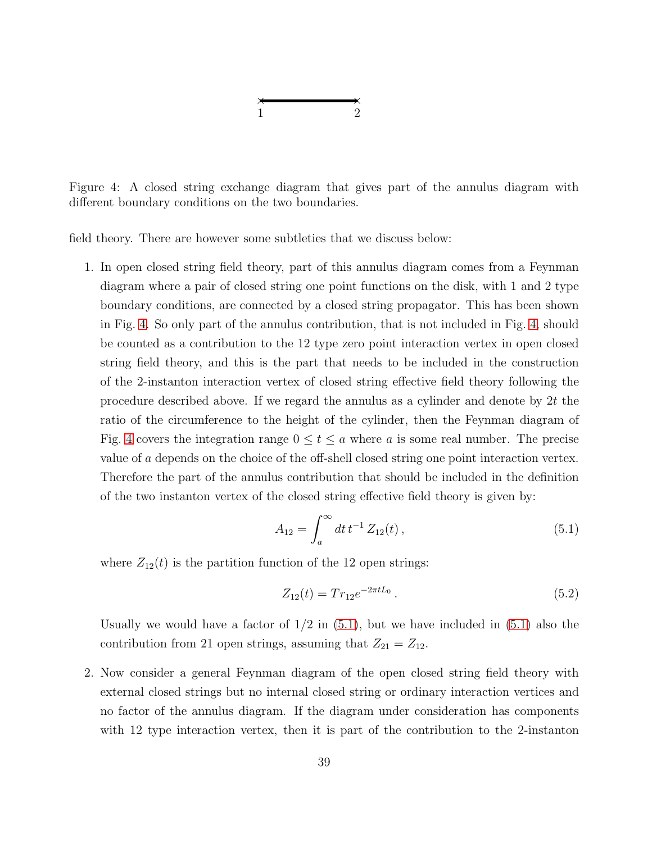$$
\begin{array}{c}\n \times \\
1 \\
\end{array}
$$

<span id="page-38-0"></span>Figure 4: A closed string exchange diagram that gives part of the annulus diagram with different boundary conditions on the two boundaries.

field theory. There are however some subtleties that we discuss below:

1. In open closed string field theory, part of this annulus diagram comes from a Feynman diagram where a pair of closed string one point functions on the disk, with 1 and 2 type boundary conditions, are connected by a closed string propagator. This has been shown in Fig. [4.](#page-38-0) So only part of the annulus contribution, that is not included in Fig. [4,](#page-38-0) should be counted as a contribution to the 12 type zero point interaction vertex in open closed string field theory, and this is the part that needs to be included in the construction of the 2-instanton interaction vertex of closed string effective field theory following the procedure described above. If we regard the annulus as a cylinder and denote by 2t the ratio of the circumference to the height of the cylinder, then the Feynman diagram of Fig. [4](#page-38-0) covers the integration range  $0 \le t \le a$  where a is some real number. The precise value of a depends on the choice of the off-shell closed string one point interaction vertex. Therefore the part of the annulus contribution that should be included in the definition of the two instanton vertex of the closed string effective field theory is given by:

<span id="page-38-1"></span>
$$
A_{12} = \int_{a}^{\infty} dt \, t^{-1} \, Z_{12}(t) \,, \tag{5.1}
$$

where  $Z_{12}(t)$  is the partition function of the 12 open strings:

$$
Z_{12}(t) = Tr_{12}e^{-2\pi tL_0}.
$$
\n(5.2)

Usually we would have a factor of  $1/2$  in  $(5.1)$ , but we have included in  $(5.1)$  also the contribution from 21 open strings, assuming that  $Z_{21} = Z_{12}$ .

2. Now consider a general Feynman diagram of the open closed string field theory with external closed strings but no internal closed string or ordinary interaction vertices and no factor of the annulus diagram. If the diagram under consideration has components with 12 type interaction vertex, then it is part of the contribution to the 2-instanton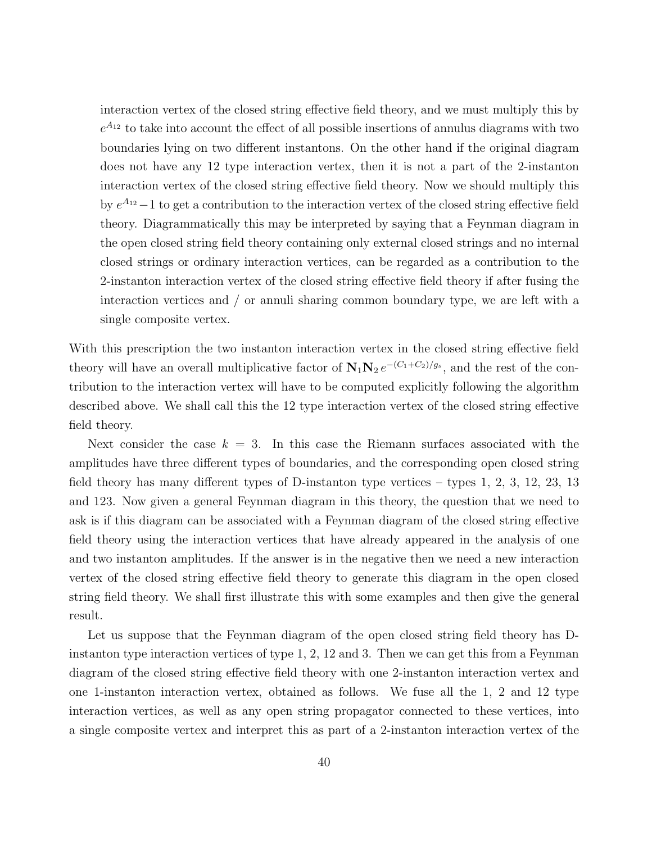interaction vertex of the closed string effective field theory, and we must multiply this by  $e^{A_{12}}$  to take into account the effect of all possible insertions of annulus diagrams with two boundaries lying on two different instantons. On the other hand if the original diagram does not have any 12 type interaction vertex, then it is not a part of the 2-instanton interaction vertex of the closed string effective field theory. Now we should multiply this by  $e^{A_{12}}-1$  to get a contribution to the interaction vertex of the closed string effective field theory. Diagrammatically this may be interpreted by saying that a Feynman diagram in the open closed string field theory containing only external closed strings and no internal closed strings or ordinary interaction vertices, can be regarded as a contribution to the 2-instanton interaction vertex of the closed string effective field theory if after fusing the interaction vertices and / or annuli sharing common boundary type, we are left with a single composite vertex.

With this prescription the two instanton interaction vertex in the closed string effective field theory will have an overall multiplicative factor of  $N_1N_2 e^{-(C_1+C_2)/g_s}$ , and the rest of the contribution to the interaction vertex will have to be computed explicitly following the algorithm described above. We shall call this the 12 type interaction vertex of the closed string effective field theory.

Next consider the case  $k = 3$ . In this case the Riemann surfaces associated with the amplitudes have three different types of boundaries, and the corresponding open closed string field theory has many different types of D-instanton type vertices – types 1, 2, 3, 12, 23, 13 and 123. Now given a general Feynman diagram in this theory, the question that we need to ask is if this diagram can be associated with a Feynman diagram of the closed string effective field theory using the interaction vertices that have already appeared in the analysis of one and two instanton amplitudes. If the answer is in the negative then we need a new interaction vertex of the closed string effective field theory to generate this diagram in the open closed string field theory. We shall first illustrate this with some examples and then give the general result.

Let us suppose that the Feynman diagram of the open closed string field theory has Dinstanton type interaction vertices of type 1, 2, 12 and 3. Then we can get this from a Feynman diagram of the closed string effective field theory with one 2-instanton interaction vertex and one 1-instanton interaction vertex, obtained as follows. We fuse all the 1, 2 and 12 type interaction vertices, as well as any open string propagator connected to these vertices, into a single composite vertex and interpret this as part of a 2-instanton interaction vertex of the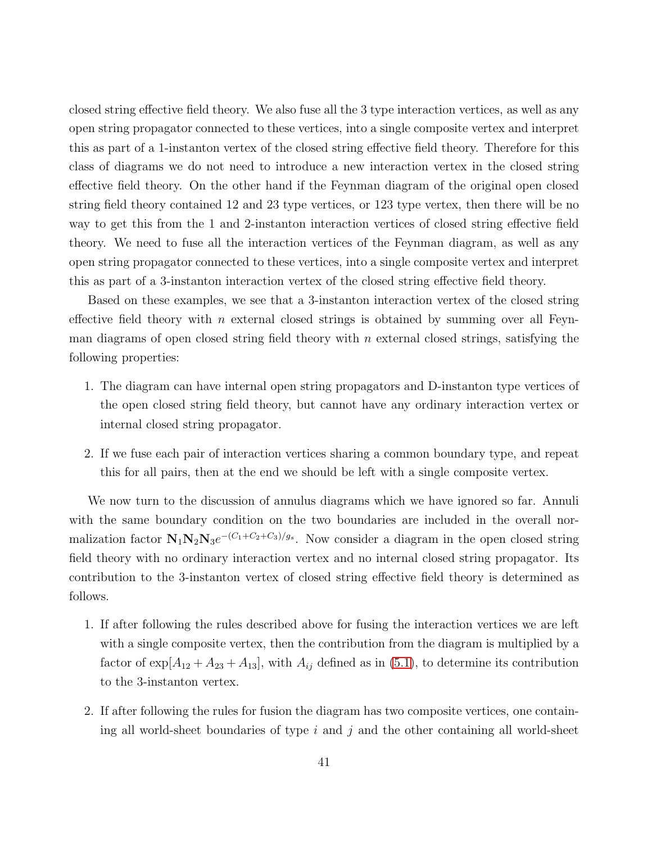closed string effective field theory. We also fuse all the 3 type interaction vertices, as well as any open string propagator connected to these vertices, into a single composite vertex and interpret this as part of a 1-instanton vertex of the closed string effective field theory. Therefore for this class of diagrams we do not need to introduce a new interaction vertex in the closed string effective field theory. On the other hand if the Feynman diagram of the original open closed string field theory contained 12 and 23 type vertices, or 123 type vertex, then there will be no way to get this from the 1 and 2-instanton interaction vertices of closed string effective field theory. We need to fuse all the interaction vertices of the Feynman diagram, as well as any open string propagator connected to these vertices, into a single composite vertex and interpret this as part of a 3-instanton interaction vertex of the closed string effective field theory.

Based on these examples, we see that a 3-instanton interaction vertex of the closed string effective field theory with n external closed strings is obtained by summing over all Feynman diagrams of open closed string field theory with  $n$  external closed strings, satisfying the following properties:

- 1. The diagram can have internal open string propagators and D-instanton type vertices of the open closed string field theory, but cannot have any ordinary interaction vertex or internal closed string propagator.
- 2. If we fuse each pair of interaction vertices sharing a common boundary type, and repeat this for all pairs, then at the end we should be left with a single composite vertex.

We now turn to the discussion of annulus diagrams which we have ignored so far. Annuli with the same boundary condition on the two boundaries are included in the overall normalization factor  $N_1N_2N_3e^{-(C_1+C_2+C_3)/g_s}$ . Now consider a diagram in the open closed string field theory with no ordinary interaction vertex and no internal closed string propagator. Its contribution to the 3-instanton vertex of closed string effective field theory is determined as follows.

- 1. If after following the rules described above for fusing the interaction vertices we are left with a single composite vertex, then the contribution from the diagram is multiplied by a factor of  $\exp[A_{12} + A_{23} + A_{13}]$ , with  $A_{ij}$  defined as in [\(5.1\)](#page-38-1), to determine its contribution to the 3-instanton vertex.
- 2. If after following the rules for fusion the diagram has two composite vertices, one containing all world-sheet boundaries of type  $i$  and  $j$  and the other containing all world-sheet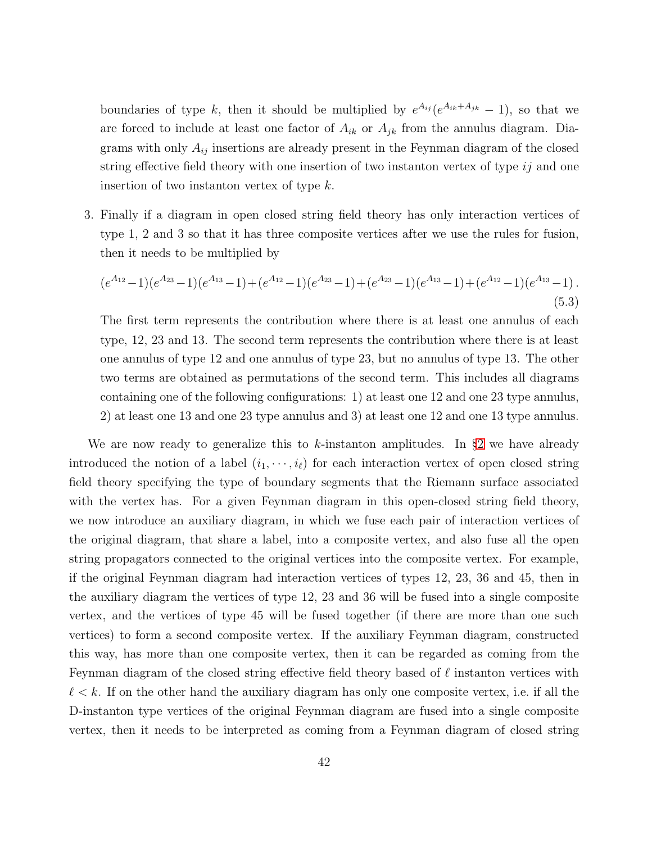boundaries of type k, then it should be multiplied by  $e^{A_{ij}}(e^{A_{ik}+A_{jk}}-1)$ , so that we are forced to include at least one factor of  $A_{ik}$  or  $A_{jk}$  from the annulus diagram. Diagrams with only  $A_{ij}$  insertions are already present in the Feynman diagram of the closed string effective field theory with one insertion of two instanton vertex of type  $ij$  and one insertion of two instanton vertex of type  $k$ .

3. Finally if a diagram in open closed string field theory has only interaction vertices of type 1, 2 and 3 so that it has three composite vertices after we use the rules for fusion, then it needs to be multiplied by

$$
(e^{A_{12}}-1)(e^{A_{23}}-1)(e^{A_{13}}-1)+(e^{A_{12}}-1)(e^{A_{23}}-1)+(e^{A_{23}}-1)(e^{A_{13}}-1)+(e^{A_{12}}-1)(e^{A_{13}}-1).
$$
\n(5.3)

The first term represents the contribution where there is at least one annulus of each type, 12, 23 and 13. The second term represents the contribution where there is at least one annulus of type 12 and one annulus of type 23, but no annulus of type 13. The other two terms are obtained as permutations of the second term. This includes all diagrams containing one of the following configurations: 1) at least one 12 and one 23 type annulus, 2) at least one 13 and one 23 type annulus and 3) at least one 12 and one 13 type annulus.

We are now ready to generalize this to  $k$ -instanton amplitudes. In §[2](#page-11-0) we have already introduced the notion of a label  $(i_1, \dots, i_\ell)$  for each interaction vertex of open closed string field theory specifying the type of boundary segments that the Riemann surface associated with the vertex has. For a given Feynman diagram in this open-closed string field theory, we now introduce an auxiliary diagram, in which we fuse each pair of interaction vertices of the original diagram, that share a label, into a composite vertex, and also fuse all the open string propagators connected to the original vertices into the composite vertex. For example, if the original Feynman diagram had interaction vertices of types 12, 23, 36 and 45, then in the auxiliary diagram the vertices of type 12, 23 and 36 will be fused into a single composite vertex, and the vertices of type 45 will be fused together (if there are more than one such vertices) to form a second composite vertex. If the auxiliary Feynman diagram, constructed this way, has more than one composite vertex, then it can be regarded as coming from the Feynman diagram of the closed string effective field theory based of  $\ell$  instanton vertices with  $\ell < k$ . If on the other hand the auxiliary diagram has only one composite vertex, i.e. if all the D-instanton type vertices of the original Feynman diagram are fused into a single composite vertex, then it needs to be interpreted as coming from a Feynman diagram of closed string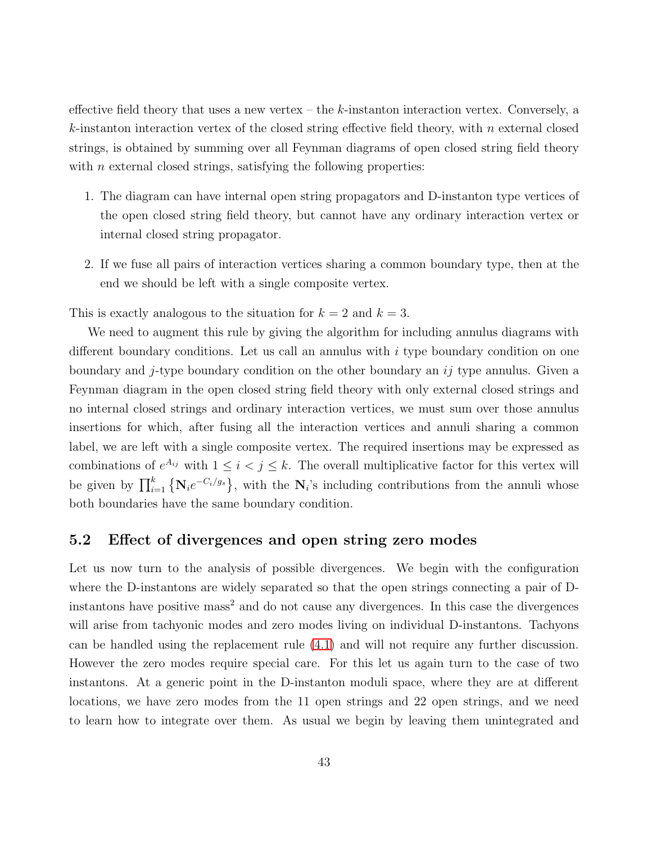effective field theory that uses a new vertex – the  $k$ -instanton interaction vertex. Conversely, a  $k$ -instanton interaction vertex of the closed string effective field theory, with n external closed strings, is obtained by summing over all Feynman diagrams of open closed string field theory with  $n$  external closed strings, satisfying the following properties:

- 1. The diagram can have internal open string propagators and D-instanton type vertices of the open closed string field theory, but cannot have any ordinary interaction vertex or internal closed string propagator.
- 2. If we fuse all pairs of interaction vertices sharing a common boundary type, then at the end we should be left with a single composite vertex.

This is exactly analogous to the situation for  $k = 2$  and  $k = 3$ .

We need to augment this rule by giving the algorithm for including annulus diagrams with different boundary conditions. Let us call an annulus with i type boundary condition on one boundary and j-type boundary condition on the other boundary an  $ij$  type annulus. Given a Feynman diagram in the open closed string field theory with only external closed strings and no internal closed strings and ordinary interaction vertices, we must sum over those annulus insertions for which, after fusing all the interaction vertices and annuli sharing a common label, we are left with a single composite vertex. The required insertions may be expressed as combinations of  $e^{A_{ij}}$  with  $1 \leq i < j \leq k$ . The overall multiplicative factor for this vertex will be given by  $\prod_{i=1}^k \{N_i e^{-C_i/g_s}\}\$ , with the  $N_i$ 's including contributions from the annuli whose both boundaries have the same boundary condition.

#### 5.2 Effect of divergences and open string zero modes

Let us now turn to the analysis of possible divergences. We begin with the configuration where the D-instantons are widely separated so that the open strings connecting a pair of Dinstantons have positive mass<sup>2</sup> and do not cause any divergences. In this case the divergences will arise from tachyonic modes and zero modes living on individual D-instantons. Tachyons can be handled using the replacement rule [\(4.1\)](#page-29-0) and will not require any further discussion. However the zero modes require special care. For this let us again turn to the case of two instantons. At a generic point in the D-instanton moduli space, where they are at different locations, we have zero modes from the 11 open strings and 22 open strings, and we need to learn how to integrate over them. As usual we begin by leaving them unintegrated and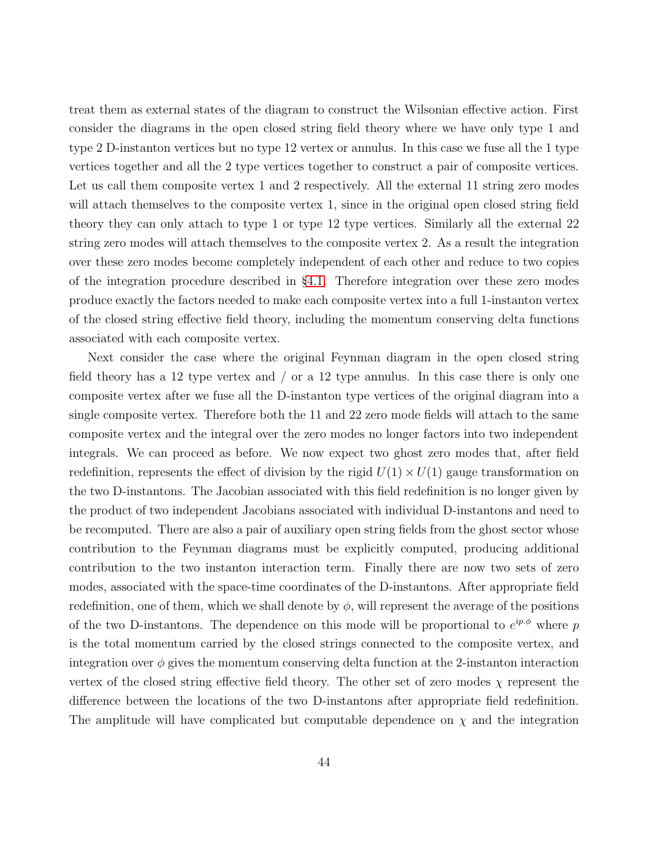treat them as external states of the diagram to construct the Wilsonian effective action. First consider the diagrams in the open closed string field theory where we have only type 1 and type 2 D-instanton vertices but no type 12 vertex or annulus. In this case we fuse all the 1 type vertices together and all the 2 type vertices together to construct a pair of composite vertices. Let us call them composite vertex 1 and 2 respectively. All the external 11 string zero modes will attach themselves to the composite vertex 1, since in the original open closed string field theory they can only attach to type 1 or type 12 type vertices. Similarly all the external 22 string zero modes will attach themselves to the composite vertex 2. As a result the integration over these zero modes become completely independent of each other and reduce to two copies of the integration procedure described in §[4.1.](#page-26-1) Therefore integration over these zero modes produce exactly the factors needed to make each composite vertex into a full 1-instanton vertex of the closed string effective field theory, including the momentum conserving delta functions associated with each composite vertex.

Next consider the case where the original Feynman diagram in the open closed string field theory has a 12 type vertex and / or a 12 type annulus. In this case there is only one composite vertex after we fuse all the D-instanton type vertices of the original diagram into a single composite vertex. Therefore both the 11 and 22 zero mode fields will attach to the same composite vertex and the integral over the zero modes no longer factors into two independent integrals. We can proceed as before. We now expect two ghost zero modes that, after field redefinition, represents the effect of division by the rigid  $U(1) \times U(1)$  gauge transformation on the two D-instantons. The Jacobian associated with this field redefinition is no longer given by the product of two independent Jacobians associated with individual D-instantons and need to be recomputed. There are also a pair of auxiliary open string fields from the ghost sector whose contribution to the Feynman diagrams must be explicitly computed, producing additional contribution to the two instanton interaction term. Finally there are now two sets of zero modes, associated with the space-time coordinates of the D-instantons. After appropriate field redefinition, one of them, which we shall denote by  $\phi$ , will represent the average of the positions of the two D-instantons. The dependence on this mode will be proportional to  $e^{ip\phi}$  where p is the total momentum carried by the closed strings connected to the composite vertex, and integration over  $\phi$  gives the momentum conserving delta function at the 2-instanton interaction vertex of the closed string effective field theory. The other set of zero modes  $\chi$  represent the difference between the locations of the two D-instantons after appropriate field redefinition. The amplitude will have complicated but computable dependence on  $\chi$  and the integration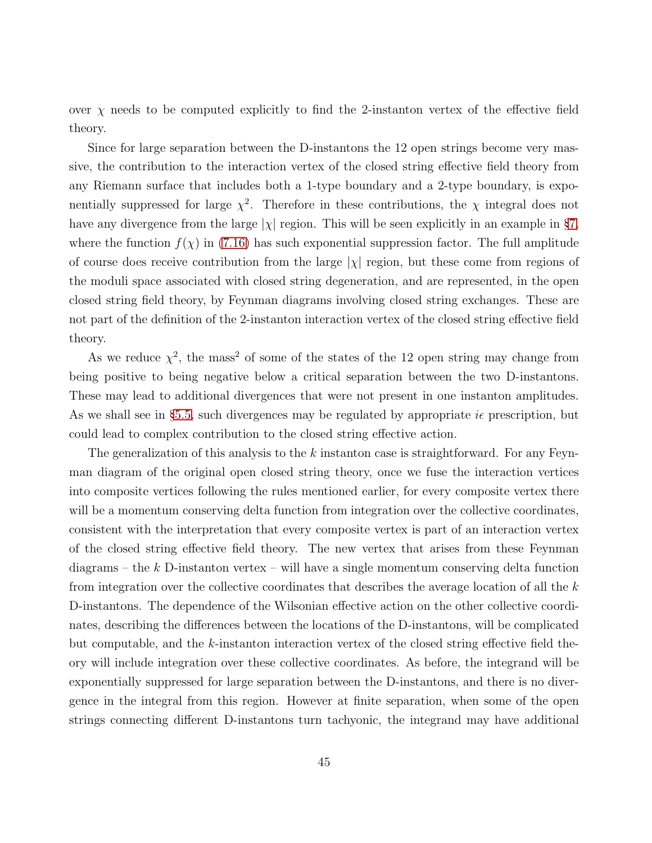over  $\chi$  needs to be computed explicitly to find the 2-instanton vertex of the effective field theory.

Since for large separation between the D-instantons the 12 open strings become very massive, the contribution to the interaction vertex of the closed string effective field theory from any Riemann surface that includes both a 1-type boundary and a 2-type boundary, is exponentially suppressed for large  $\chi^2$ . Therefore in these contributions, the  $\chi$  integral does not have any divergence from the large  $|\chi|$  region. This will be seen explicitly in an example in §[7,](#page-60-0) where the function  $f(\chi)$  in [\(7.16\)](#page-69-0) has such exponential suppression factor. The full amplitude of course does receive contribution from the large  $|\chi|$  region, but these come from regions of the moduli space associated with closed string degeneration, and are represented, in the open closed string field theory, by Feynman diagrams involving closed string exchanges. These are not part of the definition of the 2-instanton interaction vertex of the closed string effective field theory.

As we reduce  $\chi^2$ , the mass<sup>2</sup> of some of the states of the 12 open string may change from being positive to being negative below a critical separation between the two D-instantons. These may lead to additional divergences that were not present in one instanton amplitudes. As we shall see in §[5.5,](#page-48-0) such divergences may be regulated by appropriate  $i\epsilon$  prescription, but could lead to complex contribution to the closed string effective action.

The generalization of this analysis to the k instanton case is straightforward. For any Feynman diagram of the original open closed string theory, once we fuse the interaction vertices into composite vertices following the rules mentioned earlier, for every composite vertex there will be a momentum conserving delta function from integration over the collective coordinates, consistent with the interpretation that every composite vertex is part of an interaction vertex of the closed string effective field theory. The new vertex that arises from these Feynman diagrams – the  $k$  D-instanton vertex – will have a single momentum conserving delta function from integration over the collective coordinates that describes the average location of all the  $k$ D-instantons. The dependence of the Wilsonian effective action on the other collective coordinates, describing the differences between the locations of the D-instantons, will be complicated but computable, and the k-instanton interaction vertex of the closed string effective field theory will include integration over these collective coordinates. As before, the integrand will be exponentially suppressed for large separation between the D-instantons, and there is no divergence in the integral from this region. However at finite separation, when some of the open strings connecting different D-instantons turn tachyonic, the integrand may have additional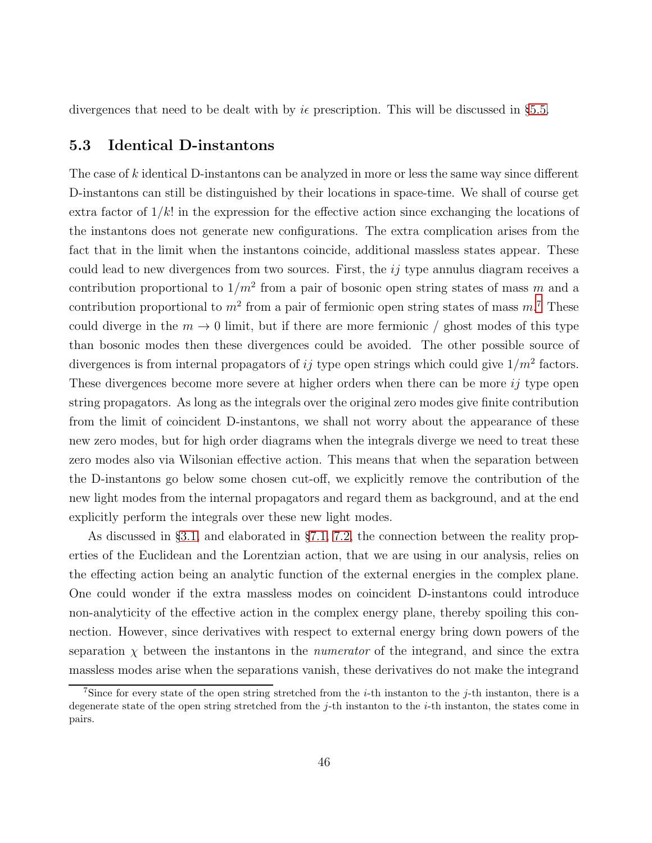divergences that need to be dealt with by  $i\epsilon$  prescription. This will be discussed in §[5.5.](#page-48-0)

## 5.3 Identical D-instantons

The case of k identical D-instantons can be analyzed in more or less the same way since different D-instantons can still be distinguished by their locations in space-time. We shall of course get extra factor of  $1/k!$  in the expression for the effective action since exchanging the locations of the instantons does not generate new configurations. The extra complication arises from the fact that in the limit when the instantons coincide, additional massless states appear. These could lead to new divergences from two sources. First, the  $ij$  type annulus diagram receives a contribution proportional to  $1/m^2$  from a pair of bosonic open string states of mass m and a contribution proportional to  $m^2$  from a pair of fermionic open string states of mass  $m^2$ . These could diverge in the  $m \to 0$  limit, but if there are more fermionic / ghost modes of this type than bosonic modes then these divergences could be avoided. The other possible source of divergences is from internal propagators of ij type open strings which could give  $1/m^2$  factors. These divergences become more severe at higher orders when there can be more *ij* type open string propagators. As long as the integrals over the original zero modes give finite contribution from the limit of coincident D-instantons, we shall not worry about the appearance of these new zero modes, but for high order diagrams when the integrals diverge we need to treat these zero modes also via Wilsonian effective action. This means that when the separation between the D-instantons go below some chosen cut-off, we explicitly remove the contribution of the new light modes from the internal propagators and regard them as background, and at the end explicitly perform the integrals over these new light modes.

As discussed in §[3.1,](#page-17-0) and elaborated in §[7.1,](#page-61-0) [7.2,](#page-67-0) the connection between the reality properties of the Euclidean and the Lorentzian action, that we are using in our analysis, relies on the effecting action being an analytic function of the external energies in the complex plane. One could wonder if the extra massless modes on coincident D-instantons could introduce non-analyticity of the effective action in the complex energy plane, thereby spoiling this connection. However, since derivatives with respect to external energy bring down powers of the separation  $\chi$  between the instantons in the *numerator* of the integrand, and since the extra massless modes arise when the separations vanish, these derivatives do not make the integrand

<span id="page-45-0"></span><sup>&</sup>lt;sup>7</sup>Since for every state of the open string stretched from the *i*-th instanton to the *j*-th instanton, there is a degenerate state of the open string stretched from the j-th instanton to the i-th instanton, the states come in pairs.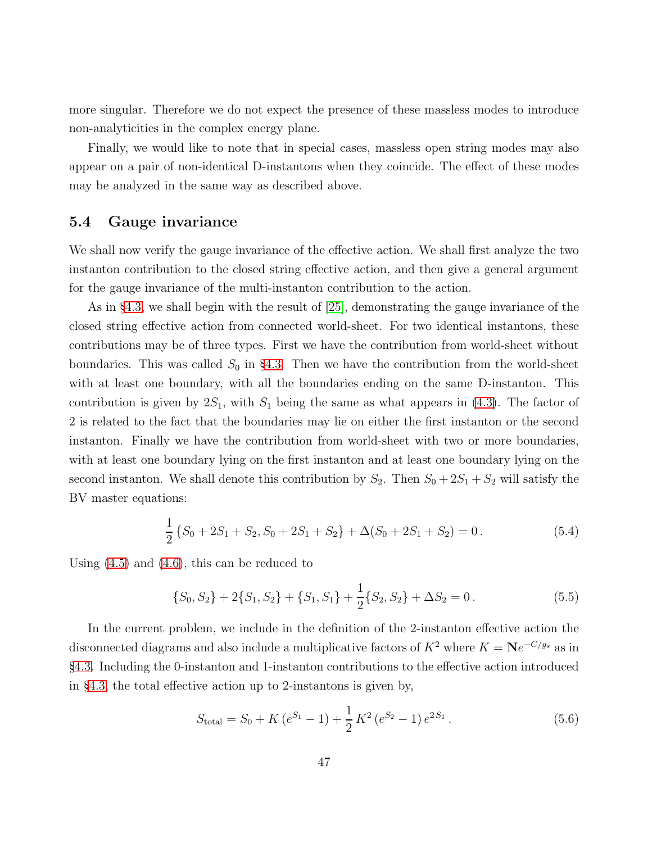more singular. Therefore we do not expect the presence of these massless modes to introduce non-analyticities in the complex energy plane.

Finally, we would like to note that in special cases, massless open string modes may also appear on a pair of non-identical D-instantons when they coincide. The effect of these modes may be analyzed in the same way as described above.

## 5.4 Gauge invariance

We shall now verify the gauge invariance of the effective action. We shall first analyze the two instanton contribution to the closed string effective action, and then give a general argument for the gauge invariance of the multi-instanton contribution to the action.

As in §[4.3,](#page-31-0) we shall begin with the result of [\[25\]](#page-89-0), demonstrating the gauge invariance of the closed string effective action from connected world-sheet. For two identical instantons, these contributions may be of three types. First we have the contribution from world-sheet without boundaries. This was called  $S_0$  in §[4.3.](#page-31-0) Then we have the contribution from the world-sheet with at least one boundary, with all the boundaries ending on the same D-instanton. This contribution is given by  $2S_1$ , with  $S_1$  being the same as what appears in [\(4.3\)](#page-31-1). The factor of 2 is related to the fact that the boundaries may lie on either the first instanton or the second instanton. Finally we have the contribution from world-sheet with two or more boundaries, with at least one boundary lying on the first instanton and at least one boundary lying on the second instanton. We shall denote this contribution by  $S_2$ . Then  $S_0 + 2S_1 + S_2$  will satisfy the BV master equations:

<span id="page-46-1"></span>
$$
\frac{1}{2}\left\{S_0 + 2S_1 + S_2, S_0 + 2S_1 + S_2\right\} + \Delta(S_0 + 2S_1 + S_2) = 0.
$$
\n(5.4)

Using [\(4.5\)](#page-31-2) and [\(4.6\)](#page-32-0), this can be reduced to

<span id="page-46-0"></span>
$$
\{S_0, S_2\} + 2\{S_1, S_2\} + \{S_1, S_1\} + \frac{1}{2}\{S_2, S_2\} + \Delta S_2 = 0.
$$
 (5.5)

In the current problem, we include in the definition of the 2-instanton effective action the disconnected diagrams and also include a multiplicative factors of  $K^2$  where  $K = Ne^{-C/g_s}$  as in §[4.3.](#page-31-0) Including the 0-instanton and 1-instanton contributions to the effective action introduced in §[4.3,](#page-31-0) the total effective action up to 2-instantons is given by,

<span id="page-46-2"></span>
$$
S_{\text{total}} = S_0 + K\left(e^{S_1} - 1\right) + \frac{1}{2}K^2\left(e^{S_2} - 1\right)e^{2S_1}.
$$
 (5.6)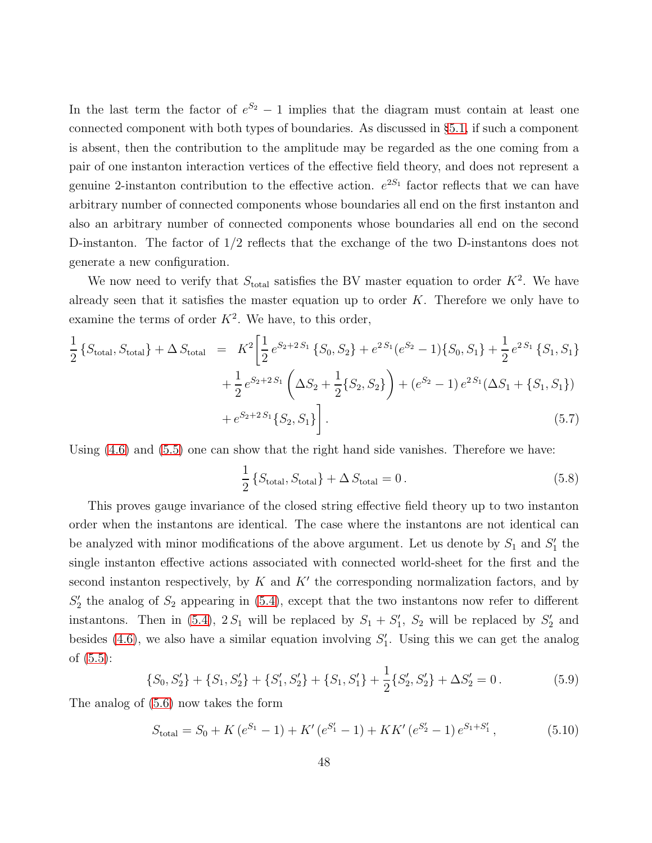In the last term the factor of  $e^{S_2} - 1$  implies that the diagram must contain at least one connected component with both types of boundaries. As discussed in §[5.1,](#page-36-0) if such a component is absent, then the contribution to the amplitude may be regarded as the one coming from a pair of one instanton interaction vertices of the effective field theory, and does not represent a genuine 2-instanton contribution to the effective action.  $e^{2S_1}$  factor reflects that we can have arbitrary number of connected components whose boundaries all end on the first instanton and also an arbitrary number of connected components whose boundaries all end on the second D-instanton. The factor of 1/2 reflects that the exchange of the two D-instantons does not generate a new configuration.

We now need to verify that  $S_{total}$  satisfies the BV master equation to order  $K^2$ . We have already seen that it satisfies the master equation up to order  $K$ . Therefore we only have to examine the terms of order  $K^2$ . We have, to this order,

$$
\frac{1}{2} \left\{ S_{\text{total}}, S_{\text{total}} \right\} + \Delta S_{\text{total}} = K^2 \left[ \frac{1}{2} e^{S_2 + 2S_1} \left\{ S_0, S_2 \right\} + e^{2S_1} (e^{S_2} - 1) \left\{ S_0, S_1 \right\} + \frac{1}{2} e^{2S_1} \left\{ S_1, S_1 \right\} + \frac{1}{2} e^{S_2 + 2S_1} \left( \Delta S_2 + \frac{1}{2} \left\{ S_2, S_2 \right\} \right) + (e^{S_2} - 1) e^{2S_1} (\Delta S_1 + \left\{ S_1, S_1 \right\}) + e^{S_2 + 2S_1} \left\{ S_2, S_1 \right\} \right].
$$
\n(5.7)

Using [\(4.6\)](#page-32-0) and [\(5.5\)](#page-46-0) one can show that the right hand side vanishes. Therefore we have:

$$
\frac{1}{2} \left\{ S_{\text{total}}, S_{\text{total}} \right\} + \Delta S_{\text{total}} = 0. \tag{5.8}
$$

This proves gauge invariance of the closed string effective field theory up to two instanton order when the instantons are identical. The case where the instantons are not identical can be analyzed with minor modifications of the above argument. Let us denote by  $S_1$  and  $S'_1$  the single instanton effective actions associated with connected world-sheet for the first and the second instanton respectively, by  $K$  and  $K'$  the corresponding normalization factors, and by  $S'_2$  the analog of  $S_2$  appearing in [\(5.4\)](#page-46-1), except that the two instantons now refer to different instantons. Then in [\(5.4\)](#page-46-1),  $2S_1$  will be replaced by  $S_1 + S'_1$ ,  $S_2$  will be replaced by  $S'_2$  and besides [\(4.6\)](#page-32-0), we also have a similar equation involving  $S'_1$ . Using this we can get the analog of [\(5.5\)](#page-46-0):

<span id="page-47-0"></span>
$$
\{S_0, S_2'\} + \{S_1, S_2'\} + \{S_1', S_2'\} + \{S_1, S_1'\} + \frac{1}{2}\{S_2', S_2'\} + \Delta S_2' = 0.
$$
 (5.9)

The analog of [\(5.6\)](#page-46-2) now takes the form

$$
S_{\text{total}} = S_0 + K(e^{S_1} - 1) + K'(e^{S_1'} - 1) + KK'(e^{S_2'} - 1)e^{S_1 + S_1'}, \tag{5.10}
$$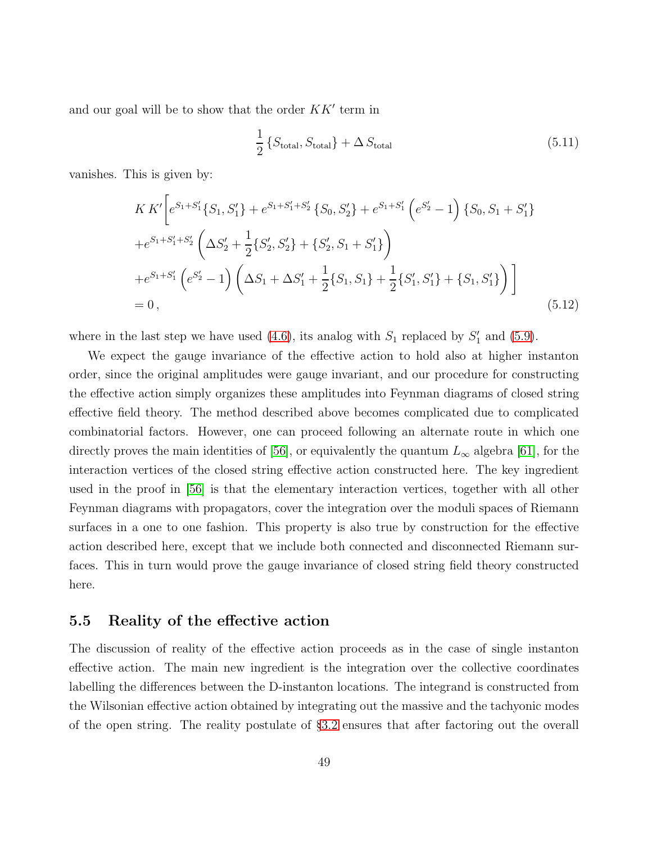and our goal will be to show that the order  $KK'$  term in

$$
\frac{1}{2} \left\{ S_{\text{total}} \, S_{\text{total}} \right\} + \Delta \, S_{\text{total}} \tag{5.11}
$$

vanishes. This is given by:

$$
KK'\left[e^{S_1+S_1'}\{S_1, S_1'\} + e^{S_1+S_1'+S_2'}\{S_0, S_2'\} + e^{S_1+S_1'}\left(e^{S_2'}-1\right)\{S_0, S_1+S_1'\} + e^{S_1+S_1'+S_2'}\left(\Delta S_2' + \frac{1}{2}\{S_2', S_2'\} + \{S_2', S_1+S_1'\}\right) + e^{S_1+S_1'}\left(e^{S_2'}-1\right)\left(\Delta S_1 + \Delta S_1' + \frac{1}{2}\{S_1, S_1\} + \frac{1}{2}\{S_1', S_1'\} + \{S_1, S_1'\}\right)\right]
$$
  
= 0, (5.12)

where in the last step we have used  $(4.6)$ , its analog with  $S_1$  replaced by  $S'_1$  and  $(5.9)$ .

We expect the gauge invariance of the effective action to hold also at higher instanton order, since the original amplitudes were gauge invariant, and our procedure for constructing the effective action simply organizes these amplitudes into Feynman diagrams of closed string effective field theory. The method described above becomes complicated due to complicated combinatorial factors. However, one can proceed following an alternate route in which one directly proves the main identities of [\[56\]](#page-91-1), or equivalently the quantum  $L_{\infty}$  algebra [\[61\]](#page-92-0), for the interaction vertices of the closed string effective action constructed here. The key ingredient used in the proof in [\[56\]](#page-91-1) is that the elementary interaction vertices, together with all other Feynman diagrams with propagators, cover the integration over the moduli spaces of Riemann surfaces in a one to one fashion. This property is also true by construction for the effective action described here, except that we include both connected and disconnected Riemann surfaces. This in turn would prove the gauge invariance of closed string field theory constructed here.

### <span id="page-48-0"></span>5.5 Reality of the effective action

The discussion of reality of the effective action proceeds as in the case of single instanton effective action. The main new ingredient is the integration over the collective coordinates labelling the differences between the D-instanton locations. The integrand is constructed from the Wilsonian effective action obtained by integrating out the massive and the tachyonic modes of the open string. The reality postulate of §[3.2](#page-22-0) ensures that after factoring out the overall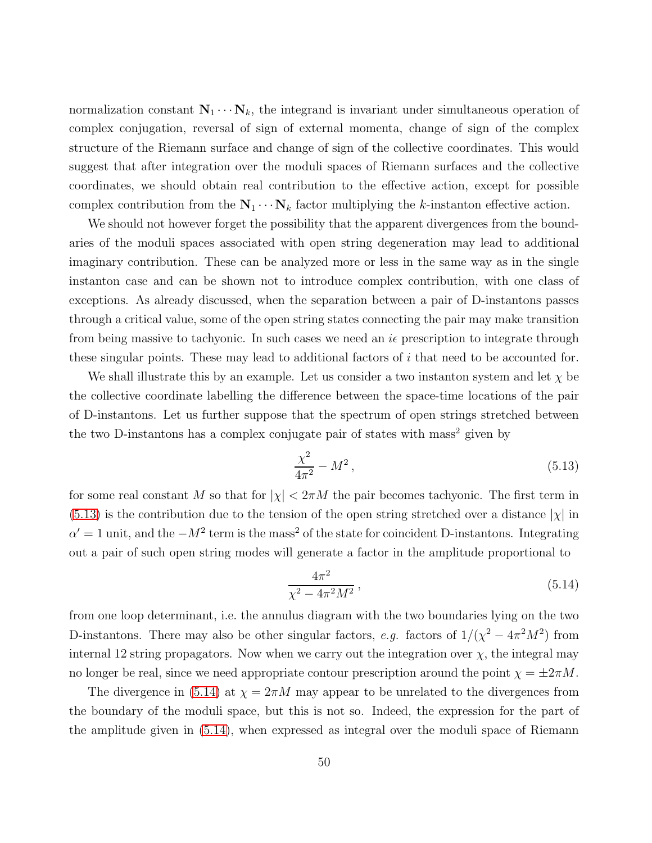normalization constant  $N_1 \cdots N_k$ , the integrand is invariant under simultaneous operation of complex conjugation, reversal of sign of external momenta, change of sign of the complex structure of the Riemann surface and change of sign of the collective coordinates. This would suggest that after integration over the moduli spaces of Riemann surfaces and the collective coordinates, we should obtain real contribution to the effective action, except for possible complex contribution from the  $N_1 \cdots N_k$  factor multiplying the k-instanton effective action.

We should not however forget the possibility that the apparent divergences from the boundaries of the moduli spaces associated with open string degeneration may lead to additional imaginary contribution. These can be analyzed more or less in the same way as in the single instanton case and can be shown not to introduce complex contribution, with one class of exceptions. As already discussed, when the separation between a pair of D-instantons passes through a critical value, some of the open string states connecting the pair may make transition from being massive to tachyonic. In such cases we need an  $i\epsilon$  prescription to integrate through these singular points. These may lead to additional factors of i that need to be accounted for.

We shall illustrate this by an example. Let us consider a two instanton system and let  $\chi$  be the collective coordinate labelling the difference between the space-time locations of the pair of D-instantons. Let us further suppose that the spectrum of open strings stretched between the two D-instantons has a complex conjugate pair of states with mass<sup>2</sup> given by

<span id="page-49-0"></span>
$$
\frac{\chi^2}{4\pi^2} - M^2 \,,\tag{5.13}
$$

for some real constant M so that for  $|\chi| < 2\pi M$  the pair becomes tachyonic. The first term in  $(5.13)$  is the contribution due to the tension of the open string stretched over a distance  $|\chi|$  in  $\alpha' = 1$  unit, and the  $-M^2$  term is the mass<sup>2</sup> of the state for coincident D-instantons. Integrating out a pair of such open string modes will generate a factor in the amplitude proportional to

<span id="page-49-1"></span>
$$
\frac{4\pi^2}{\chi^2 - 4\pi^2 M^2},\tag{5.14}
$$

from one loop determinant, i.e. the annulus diagram with the two boundaries lying on the two D-instantons. There may also be other singular factors, e.g. factors of  $1/(\chi^2 - 4\pi^2 M^2)$  from internal 12 string propagators. Now when we carry out the integration over  $\chi$ , the integral may no longer be real, since we need appropriate contour prescription around the point  $\chi = \pm 2\pi M$ .

The divergence in [\(5.14\)](#page-49-1) at  $\chi = 2\pi M$  may appear to be unrelated to the divergences from the boundary of the moduli space, but this is not so. Indeed, the expression for the part of the amplitude given in [\(5.14\)](#page-49-1), when expressed as integral over the moduli space of Riemann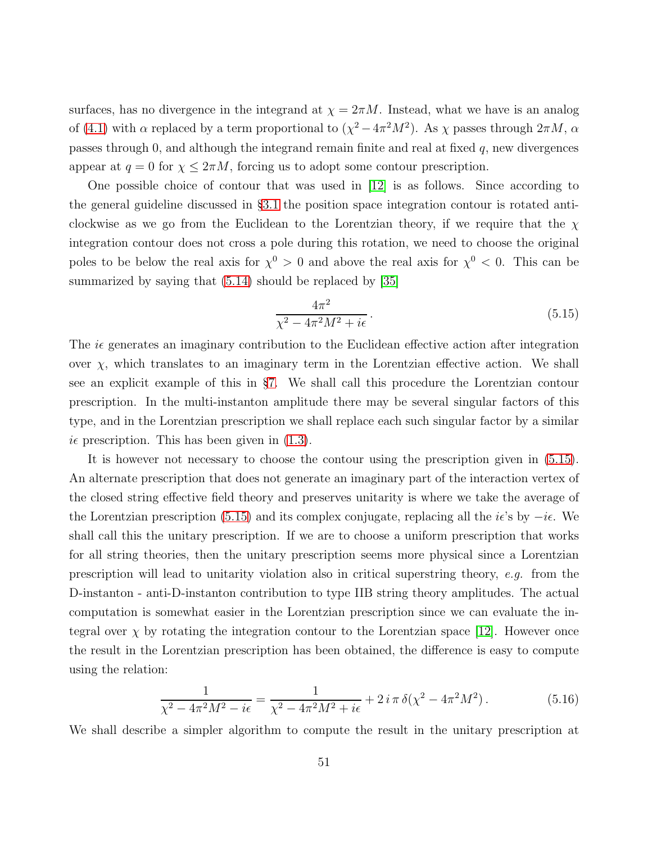surfaces, has no divergence in the integrand at  $\chi = 2\pi M$ . Instead, what we have is an analog of [\(4.1\)](#page-29-0) with  $\alpha$  replaced by a term proportional to  $(\chi^2 - 4\pi^2 M^2)$ . As  $\chi$  passes through  $2\pi M$ ,  $\alpha$ passes through  $0$ , and although the integrand remain finite and real at fixed  $q$ , new divergences appear at  $q = 0$  for  $\chi \leq 2\pi M$ , forcing us to adopt some contour prescription.

One possible choice of contour that was used in [\[12\]](#page-88-0) is as follows. Since according to the general guideline discussed in §[3.1](#page-17-0) the position space integration contour is rotated anticlockwise as we go from the Euclidean to the Lorentzian theory, if we require that the  $\chi$ integration contour does not cross a pole during this rotation, we need to choose the original poles to be below the real axis for  $\chi^0 > 0$  and above the real axis for  $\chi^0 < 0$ . This can be summarized by saying that  $(5.14)$  should be replaced by [\[35\]](#page-89-1)

<span id="page-50-0"></span>
$$
\frac{4\pi^2}{\chi^2 - 4\pi^2 M^2 + i\epsilon}.
$$
\n(5.15)

The  $i\epsilon$  generates an imaginary contribution to the Euclidean effective action after integration over  $\chi$ , which translates to an imaginary term in the Lorentzian effective action. We shall see an explicit example of this in §[7.](#page-60-0) We shall call this procedure the Lorentzian contour prescription. In the multi-instanton amplitude there may be several singular factors of this type, and in the Lorentzian prescription we shall replace each such singular factor by a similar  $i\epsilon$  prescription. This has been given in [\(1.3\)](#page-7-0).

It is however not necessary to choose the contour using the prescription given in [\(5.15\)](#page-50-0). An alternate prescription that does not generate an imaginary part of the interaction vertex of the closed string effective field theory and preserves unitarity is where we take the average of the Lorentzian prescription [\(5.15\)](#page-50-0) and its complex conjugate, replacing all the  $i\epsilon$ 's by  $-i\epsilon$ . We shall call this the unitary prescription. If we are to choose a uniform prescription that works for all string theories, then the unitary prescription seems more physical since a Lorentzian prescription will lead to unitarity violation also in critical superstring theory, e.g. from the D-instanton - anti-D-instanton contribution to type IIB string theory amplitudes. The actual computation is somewhat easier in the Lorentzian prescription since we can evaluate the integral over  $\chi$  by rotating the integration contour to the Lorentzian space [\[12\]](#page-88-0). However once the result in the Lorentzian prescription has been obtained, the difference is easy to compute using the relation:

<span id="page-50-1"></span>
$$
\frac{1}{\chi^2 - 4\pi^2 M^2 - i\epsilon} = \frac{1}{\chi^2 - 4\pi^2 M^2 + i\epsilon} + 2 i \pi \delta(\chi^2 - 4\pi^2 M^2).
$$
 (5.16)

We shall describe a simpler algorithm to compute the result in the unitary prescription at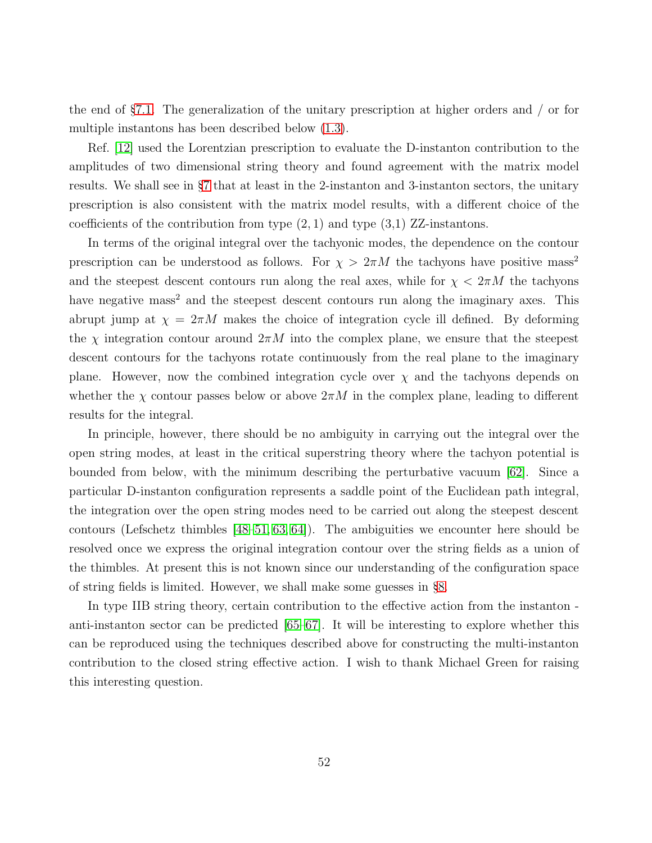the end of §[7.1.](#page-61-0) The generalization of the unitary prescription at higher orders and / or for multiple instantons has been described below [\(1.3\)](#page-7-0).

Ref. [\[12\]](#page-88-0) used the Lorentzian prescription to evaluate the D-instanton contribution to the amplitudes of two dimensional string theory and found agreement with the matrix model results. We shall see in §[7](#page-60-0) that at least in the 2-instanton and 3-instanton sectors, the unitary prescription is also consistent with the matrix model results, with a different choice of the coefficients of the contribution from type  $(2,1)$  and type  $(3,1)$  ZZ-instantons.

In terms of the original integral over the tachyonic modes, the dependence on the contour prescription can be understood as follows. For  $\chi > 2\pi M$  the tachyons have positive mass<sup>2</sup> and the steepest descent contours run along the real axes, while for  $\chi < 2\pi M$  the tachyons have negative mass<sup>2</sup> and the steepest descent contours run along the imaginary axes. This abrupt jump at  $\chi = 2\pi M$  makes the choice of integration cycle ill defined. By deforming the  $\chi$  integration contour around  $2\pi M$  into the complex plane, we ensure that the steepest descent contours for the tachyons rotate continuously from the real plane to the imaginary plane. However, now the combined integration cycle over  $\chi$  and the tachyons depends on whether the  $\chi$  contour passes below or above  $2\pi M$  in the complex plane, leading to different results for the integral.

In principle, however, there should be no ambiguity in carrying out the integral over the open string modes, at least in the critical superstring theory where the tachyon potential is bounded from below, with the minimum describing the perturbative vacuum [\[62\]](#page-92-1). Since a particular D-instanton configuration represents a saddle point of the Euclidean path integral, the integration over the open string modes need to be carried out along the steepest descent contours (Lefschetz thimbles  $[48–51, 63, 64]$  $[48–51, 63, 64]$  $[48–51, 63, 64]$  $[48–51, 63, 64]$ ). The ambiguities we encounter here should be resolved once we express the original integration contour over the string fields as a union of the thimbles. At present this is not known since our understanding of the configuration space of string fields is limited. However, we shall make some guesses in §[8.](#page-78-0)

In type IIB string theory, certain contribution to the effective action from the instanton anti-instanton sector can be predicted [\[65](#page-92-4)[–67\]](#page-92-5). It will be interesting to explore whether this can be reproduced using the techniques described above for constructing the multi-instanton contribution to the closed string effective action. I wish to thank Michael Green for raising this interesting question.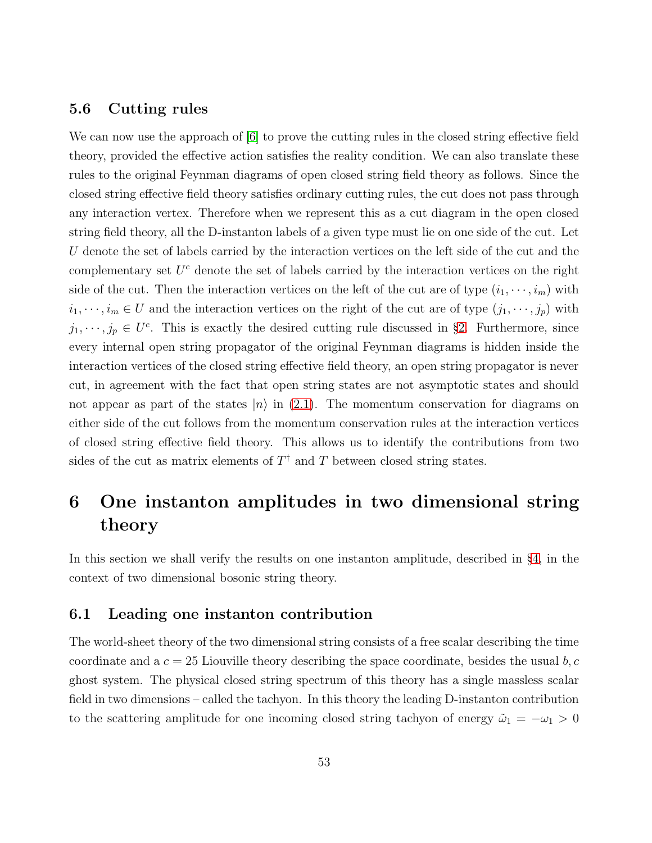#### 5.6 Cutting rules

We can now use the approach of [\[6\]](#page-87-0) to prove the cutting rules in the closed string effective field theory, provided the effective action satisfies the reality condition. We can also translate these rules to the original Feynman diagrams of open closed string field theory as follows. Since the closed string effective field theory satisfies ordinary cutting rules, the cut does not pass through any interaction vertex. Therefore when we represent this as a cut diagram in the open closed string field theory, all the D-instanton labels of a given type must lie on one side of the cut. Let U denote the set of labels carried by the interaction vertices on the left side of the cut and the complementary set  $U^c$  denote the set of labels carried by the interaction vertices on the right side of the cut. Then the interaction vertices on the left of the cut are of type  $(i_1, \dots, i_m)$  with  $i_1, \dots, i_m \in U$  and the interaction vertices on the right of the cut are of type  $(j_1, \dots, j_p)$  with  $j_1, \dots, j_p \in U^c$ . This is exactly the desired cutting rule discussed in §[2.](#page-11-0) Furthermore, since every internal open string propagator of the original Feynman diagrams is hidden inside the interaction vertices of the closed string effective field theory, an open string propagator is never cut, in agreement with the fact that open string states are not asymptotic states and should not appear as part of the states  $|n\rangle$  in [\(2.1\)](#page-11-1). The momentum conservation for diagrams on either side of the cut follows from the momentum conservation rules at the interaction vertices of closed string effective field theory. This allows us to identify the contributions from two sides of the cut as matrix elements of  $T^{\dagger}$  and T between closed string states.

# 6 One instanton amplitudes in two dimensional string theory

In this section we shall verify the results on one instanton amplitude, described in §[4,](#page-26-0) in the context of two dimensional bosonic string theory.

# 6.1 Leading one instanton contribution

The world-sheet theory of the two dimensional string consists of a free scalar describing the time coordinate and a  $c = 25$  Liouville theory describing the space coordinate, besides the usual  $b, c$ ghost system. The physical closed string spectrum of this theory has a single massless scalar field in two dimensions – called the tachyon. In this theory the leading D-instanton contribution to the scattering amplitude for one incoming closed string tachyon of energy  $\tilde{\omega}_1 = -\omega_1 > 0$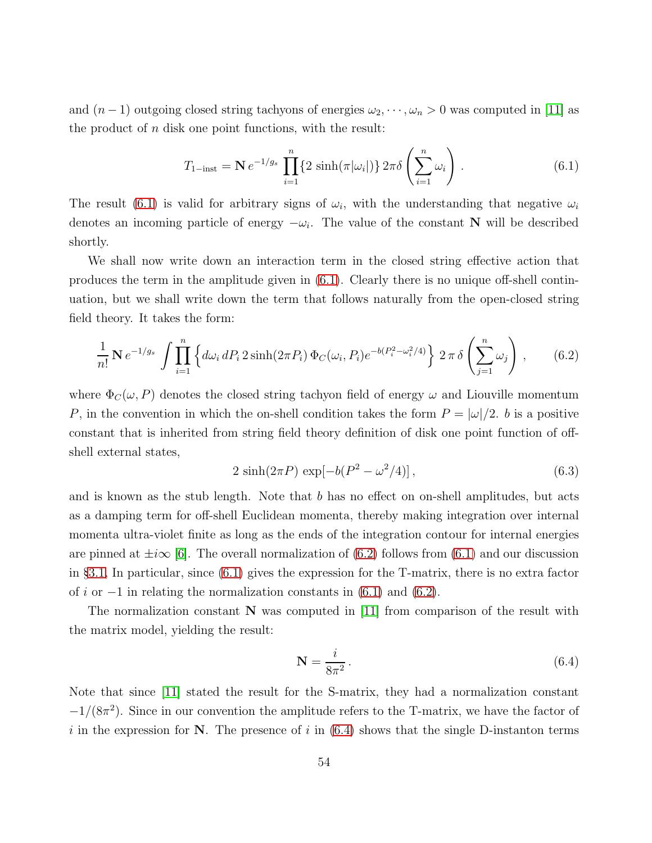and  $(n-1)$  outgoing closed string tachyons of energies  $\omega_2, \dots, \omega_n > 0$  was computed in [\[11\]](#page-87-1) as the product of  $n$  disk one point functions, with the result:

<span id="page-53-0"></span>
$$
T_{1-\text{inst}} = \mathbf{N} \, e^{-1/g_s} \, \prod_{i=1}^n \{ 2 \, \sinh(\pi|\omega_i|) \} \, 2\pi \delta \left( \sum_{i=1}^n \omega_i \right) \,. \tag{6.1}
$$

The result [\(6.1\)](#page-53-0) is valid for arbitrary signs of  $\omega_i$ , with the understanding that negative  $\omega_i$ denotes an incoming particle of energy  $-\omega_i$ . The value of the constant **N** will be described shortly.

We shall now write down an interaction term in the closed string effective action that produces the term in the amplitude given in [\(6.1\)](#page-53-0). Clearly there is no unique off-shell continuation, but we shall write down the term that follows naturally from the open-closed string field theory. It takes the form:

<span id="page-53-1"></span>
$$
\frac{1}{n!} \mathbf{N} e^{-1/g_s} \int \prod_{i=1}^n \left\{ d\omega_i \, dP_i \, 2\sinh(2\pi P_i) \, \Phi_C(\omega_i, P_i) e^{-b(P_i^2 - \omega_i^2/4)} \right\} \, 2\pi \, \delta \left( \sum_{j=1}^n \omega_j \right) \,,\tag{6.2}
$$

where  $\Phi_C(\omega, P)$  denotes the closed string tachyon field of energy  $\omega$  and Liouville momentum P, in the convention in which the on-shell condition takes the form  $P = |\omega|/2$ . b is a positive constant that is inherited from string field theory definition of disk one point function of offshell external states,

<span id="page-53-3"></span>
$$
2\sinh(2\pi P)\exp[-b(P^2-\omega^2/4)],\qquad (6.3)
$$

and is known as the stub length. Note that  $b$  has no effect on on-shell amplitudes, but acts as a damping term for off-shell Euclidean momenta, thereby making integration over internal momenta ultra-violet finite as long as the ends of the integration contour for internal energies are pinned at  $\pm i\infty$  [\[6\]](#page-87-0). The overall normalization of [\(6.2\)](#page-53-1) follows from [\(6.1\)](#page-53-0) and our discussion in §[3.1,](#page-17-0) In particular, since [\(6.1\)](#page-53-0) gives the expression for the T-matrix, there is no extra factor of i or  $-1$  in relating the normalization constants in [\(6.1\)](#page-53-0) and [\(6.2\)](#page-53-1).

The normalization constant  $N$  was computed in [\[11\]](#page-87-1) from comparison of the result with the matrix model, yielding the result:

<span id="page-53-2"></span>
$$
\mathbf{N} = \frac{i}{8\pi^2} \,. \tag{6.4}
$$

Note that since [\[11\]](#page-87-1) stated the result for the S-matrix, they had a normalization constant  $-1/(8\pi^2)$ . Since in our convention the amplitude refers to the T-matrix, we have the factor of i in the expression for N. The presence of i in  $(6.4)$  shows that the single D-instanton terms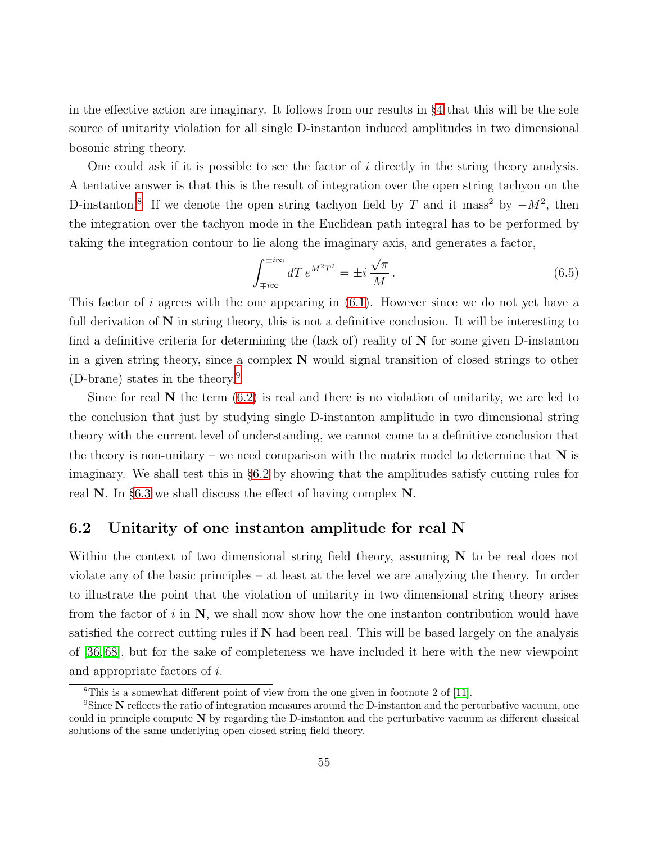in the effective action are imaginary. It follows from our results in §[4](#page-26-0) that this will be the sole source of unitarity violation for all single D-instanton induced amplitudes in two dimensional bosonic string theory.

One could ask if it is possible to see the factor of i directly in the string theory analysis. A tentative answer is that this is the result of integration over the open string tachyon on the D-instanton.<sup>[8](#page-54-0)</sup> If we denote the open string tachyon field by T and it mass<sup>2</sup> by  $-M^2$ , then the integration over the tachyon mode in the Euclidean path integral has to be performed by taking the integration contour to lie along the imaginary axis, and generates a factor,

$$
\int_{\mp i\infty}^{\pm i\infty} dT \, e^{M^2 T^2} = \pm i \, \frac{\sqrt{\pi}}{M} \,. \tag{6.5}
$$

This factor of i agrees with the one appearing in  $(6.1)$ . However since we do not yet have a full derivation of  $N$  in string theory, this is not a definitive conclusion. It will be interesting to find a definitive criteria for determining the (lack of) reality of  $N$  for some given D-instanton in a given string theory, since a complex N would signal transition of closed strings to other (D-brane) states in the theory.[9](#page-54-1)

Since for real  $N$  the term  $(6.2)$  is real and there is no violation of unitarity, we are led to the conclusion that just by studying single D-instanton amplitude in two dimensional string theory with the current level of understanding, we cannot come to a definitive conclusion that the theory is non-unitary – we need comparison with the matrix model to determine that  $N$  is imaginary. We shall test this in §[6.2](#page-54-2) by showing that the amplitudes satisfy cutting rules for real N. In §[6.3](#page-59-0) we shall discuss the effect of having complex N.

# <span id="page-54-2"></span>6.2 Unitarity of one instanton amplitude for real N

Within the context of two dimensional string field theory, assuming  $N$  to be real does not violate any of the basic principles – at least at the level we are analyzing the theory. In order to illustrate the point that the violation of unitarity in two dimensional string theory arises from the factor of i in  $N$ , we shall now show how the one instanton contribution would have satisfied the correct cutting rules if  $N$  had been real. This will be based largely on the analysis of [\[36,](#page-90-0) [68\]](#page-92-6), but for the sake of completeness we have included it here with the new viewpoint and appropriate factors of i.

<span id="page-54-0"></span><sup>8</sup>This is a somewhat different point of view from the one given in footnote 2 of [\[11\]](#page-87-1).

<span id="page-54-1"></span><sup>&</sup>lt;sup>9</sup>Since N reflects the ratio of integration measures around the D-instanton and the perturbative vacuum, one could in principle compute N by regarding the D-instanton and the perturbative vacuum as different classical solutions of the same underlying open closed string field theory.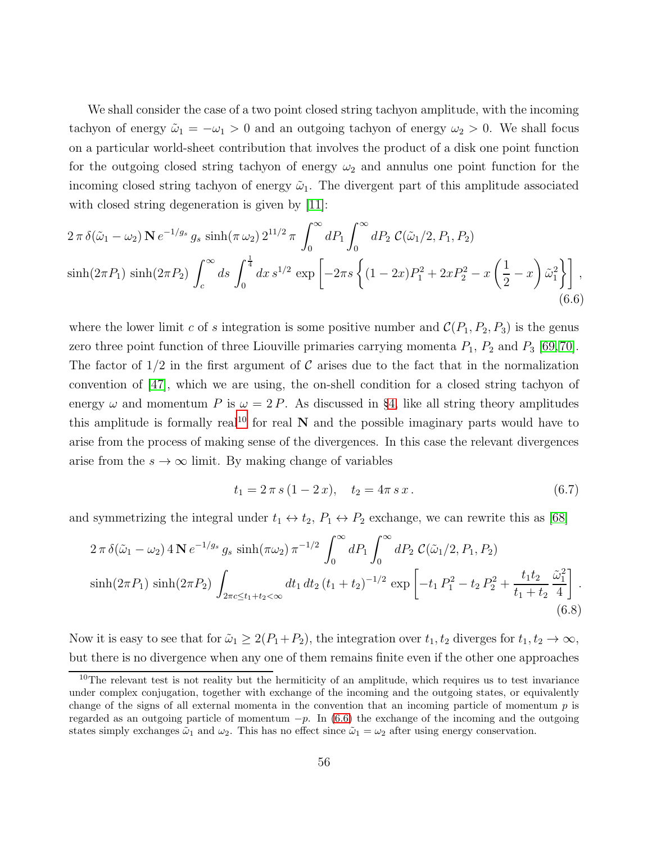We shall consider the case of a two point closed string tachyon amplitude, with the incoming tachyon of energy  $\tilde{\omega}_1 = -\omega_1 > 0$  and an outgoing tachyon of energy  $\omega_2 > 0$ . We shall focus on a particular world-sheet contribution that involves the product of a disk one point function for the outgoing closed string tachyon of energy  $\omega_2$  and annulus one point function for the incoming closed string tachyon of energy  $\tilde{\omega}_1$ . The divergent part of this amplitude associated with closed string degeneration is given by [\[11\]](#page-87-1):

<span id="page-55-1"></span>
$$
2 \pi \delta(\tilde{\omega}_1 - \omega_2) \mathbf{N} e^{-1/g_s} g_s \sinh(\pi \omega_2) 2^{11/2} \pi \int_0^\infty dP_1 \int_0^\infty dP_2 \mathcal{C}(\tilde{\omega}_1/2, P_1, P_2)
$$
  
\n
$$
\sinh(2\pi P_1) \sinh(2\pi P_2) \int_c^\infty ds \int_0^{\frac{1}{4}} dx \, s^{1/2} \exp\left[-2\pi s \left\{ (1 - 2x) P_1^2 + 2x P_2^2 - x \left(\frac{1}{2} - x\right) \tilde{\omega}_1^2 \right\} \right],
$$
\n(6.6)

where the lower limit c of s integration is some positive number and  $\mathcal{C}(P_1, P_2, P_3)$  is the genus zero three point function of three Liouville primaries carrying momenta  $P_1$ ,  $P_2$  and  $P_3$  [\[69,](#page-92-7)[70\]](#page-92-8). The factor of  $1/2$  in the first argument of C arises due to the fact that in the normalization convention of [\[47\]](#page-90-1), which we are using, the on-shell condition for a closed string tachyon of energy  $\omega$  and momentum P is  $\omega = 2P$ . As discussed in §[4,](#page-26-0) like all string theory amplitudes this amplitude is formally real<sup>[10](#page-55-0)</sup> for real  $N$  and the possible imaginary parts would have to arise from the process of making sense of the divergences. In this case the relevant divergences arise from the  $s \to \infty$  limit. By making change of variables

$$
t_1 = 2 \pi s (1 - 2 x), \quad t_2 = 4 \pi s x. \tag{6.7}
$$

and symmetrizing the integral under  $t_1 \leftrightarrow t_2$ ,  $P_1 \leftrightarrow P_2$  exchange, we can rewrite this as [\[68\]](#page-92-6)

<span id="page-55-2"></span>
$$
2 \pi \delta(\tilde{\omega}_1 - \omega_2) 4 \mathbf{N} e^{-1/g_s} g_s \sinh(\pi \omega_2) \pi^{-1/2} \int_0^\infty dP_1 \int_0^\infty dP_2 \mathcal{C}(\tilde{\omega}_1/2, P_1, P_2)
$$
  
\n
$$
\sinh(2\pi P_1) \sinh(2\pi P_2) \int_{2\pi c \le t_1 + t_2 < \infty} dt_1 dt_2 (t_1 + t_2)^{-1/2} \exp\left[-t_1 P_1^2 - t_2 P_2^2 + \frac{t_1 t_2}{t_1 + t_2} \frac{\tilde{\omega}_1^2}{4}\right].
$$
\n(6.8)

Now it is easy to see that for  $\tilde{\omega}_1 \geq 2(P_1+P_2)$ , the integration over  $t_1, t_2$  diverges for  $t_1, t_2 \to \infty$ , but there is no divergence when any one of them remains finite even if the other one approaches

<span id="page-55-0"></span> $10$ The relevant test is not reality but the hermiticity of an amplitude, which requires us to test invariance under complex conjugation, together with exchange of the incoming and the outgoing states, or equivalently change of the signs of all external momenta in the convention that an incoming particle of momentum  $p$  is regarded as an outgoing particle of momentum  $-p$ . In [\(6.6\)](#page-55-1) the exchange of the incoming and the outgoing states simply exchanges  $\tilde{\omega}_1$  and  $\omega_2$ . This has no effect since  $\tilde{\omega}_1 = \omega_2$  after using energy conservation.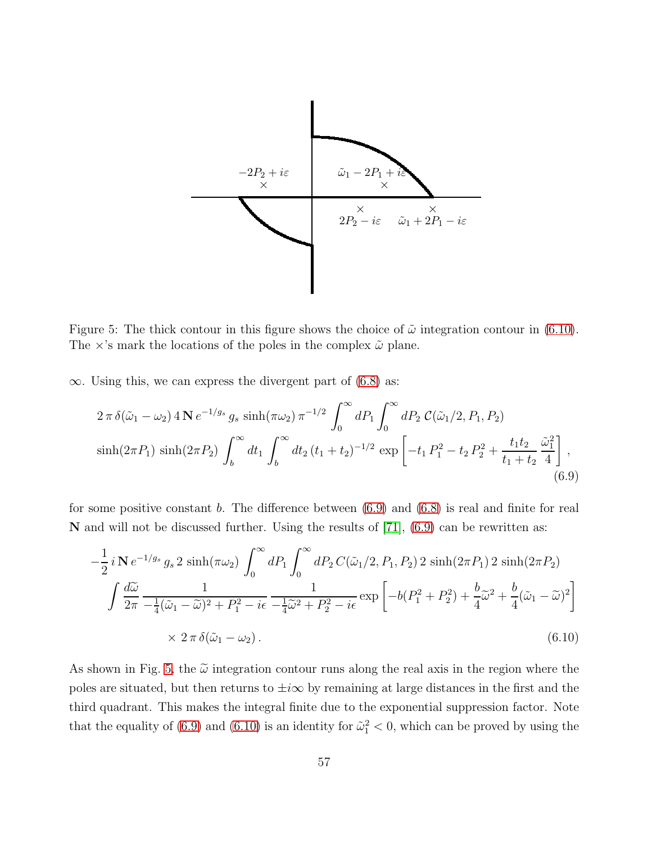

<span id="page-56-2"></span>Figure 5: The thick contour in this figure shows the choice of  $\tilde{\omega}$  integration contour in [\(6.10\)](#page-56-0). The  $\times$ 's mark the locations of the poles in the complex  $\tilde{\omega}$  plane.

 $\infty$ . Using this, we can express the divergent part of [\(6.8\)](#page-55-2) as:

<span id="page-56-1"></span>
$$
2 \pi \delta(\tilde{\omega}_1 - \omega_2) 4 \mathbf{N} e^{-1/g_s} g_s \sinh(\pi \omega_2) \pi^{-1/2} \int_0^\infty dP_1 \int_0^\infty dP_2 \mathcal{C}(\tilde{\omega}_1/2, P_1, P_2)
$$
  
\n
$$
\sinh(2\pi P_1) \sinh(2\pi P_2) \int_b^\infty dt_1 \int_b^\infty dt_2 (t_1 + t_2)^{-1/2} \exp\left[-t_1 P_1^2 - t_2 P_2^2 + \frac{t_1 t_2}{t_1 + t_2} \frac{\tilde{\omega}_1^2}{4}\right],
$$
\n(6.9)

for some positive constant b. The difference between  $(6.9)$  and  $(6.8)$  is real and finite for real  $\bf{N}$  and will not be discussed further. Using the results of [\[71\]](#page-93-0), [\(6.9\)](#page-56-1) can be rewritten as:

<span id="page-56-0"></span>
$$
-\frac{1}{2}i\,\mathbf{N}\,e^{-1/g_s}g_s\,2\,\sinh(\pi\omega_2)\,\int_0^\infty dP_1\int_0^\infty dP_2\,C(\tilde{\omega}_1/2,P_1,P_2)\,2\,\sinh(2\pi P_1)\,2\,\sinh(2\pi P_2) \int \frac{d\tilde{\omega}}{2\pi}\,\frac{1}{-\frac{1}{4}(\tilde{\omega}_1-\tilde{\omega})^2+P_1^2-i\epsilon}\,\frac{1}{-\frac{1}{4}\tilde{\omega}^2+P_2^2-i\epsilon}\,\exp\left[-b(P_1^2+P_2^2)+\frac{b}{4}\tilde{\omega}^2+\frac{b}{4}(\tilde{\omega}_1-\tilde{\omega})^2\right] \times 2\,\pi\,\delta(\tilde{\omega}_1-\omega_2). \tag{6.10}
$$

As shown in Fig. [5,](#page-56-2) the  $\tilde{\omega}$  integration contour runs along the real axis in the region where the poles are situated, but then returns to  $\pm i\infty$  by remaining at large distances in the first and the third quadrant. This makes the integral finite due to the exponential suppression factor. Note that the equality of [\(6.9\)](#page-56-1) and [\(6.10\)](#page-56-0) is an identity for  $\tilde{\omega}_1^2 < 0$ , which can be proved by using the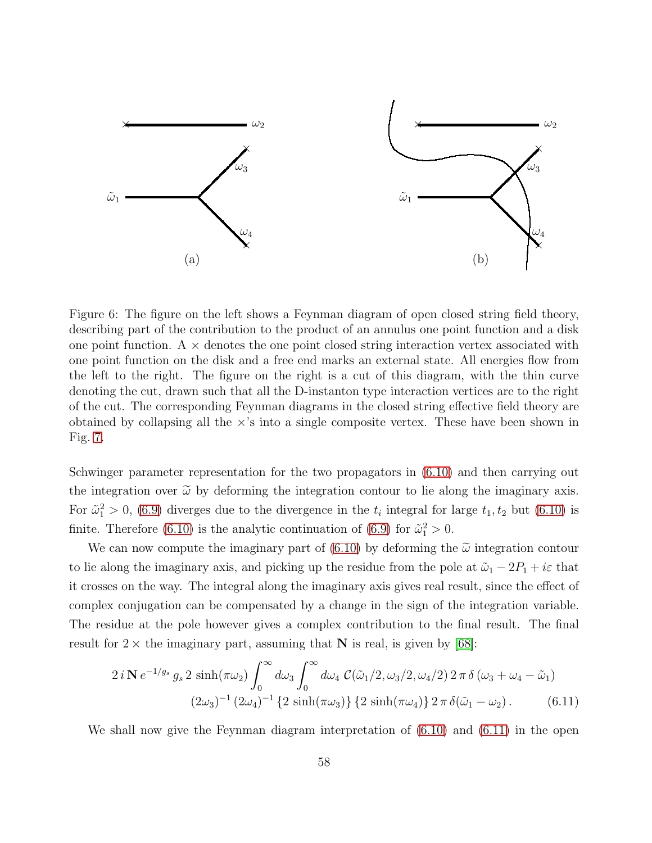

<span id="page-57-1"></span>Figure 6: The figure on the left shows a Feynman diagram of open closed string field theory, describing part of the contribution to the product of an annulus one point function and a disk one point function.  $A \times$  denotes the one point closed string interaction vertex associated with one point function on the disk and a free end marks an external state. All energies flow from the left to the right. The figure on the right is a cut of this diagram, with the thin curve denoting the cut, drawn such that all the D-instanton type interaction vertices are to the right of the cut. The corresponding Feynman diagrams in the closed string effective field theory are obtained by collapsing all the  $\times$ 's into a single composite vertex. These have been shown in Fig. [7.](#page-58-0)

Schwinger parameter representation for the two propagators in [\(6.10\)](#page-56-0) and then carrying out the integration over  $\tilde{\omega}$  by deforming the integration contour to lie along the imaginary axis. For  $\tilde{\omega}_1^2 > 0$ , [\(6.9\)](#page-56-1) diverges due to the divergence in the  $t_i$  integral for large  $t_1, t_2$  but [\(6.10\)](#page-56-0) is finite. Therefore [\(6.10\)](#page-56-0) is the analytic continuation of [\(6.9\)](#page-56-1) for  $\tilde{\omega}_1^2 > 0$ .

We can now compute the imaginary part of  $(6.10)$  by deforming the  $\tilde{\omega}$  integration contour to lie along the imaginary axis, and picking up the residue from the pole at  $\tilde{\omega}_1 - 2P_1 + i\varepsilon$  that it crosses on the way. The integral along the imaginary axis gives real result, since the effect of complex conjugation can be compensated by a change in the sign of the integration variable. The residue at the pole however gives a complex contribution to the final result. The final result for  $2 \times$  the imaginary part, assuming that N is real, is given by [\[68\]](#page-92-6):

<span id="page-57-0"></span>
$$
2 i \mathbf{N} e^{-1/g_s} g_s 2 \sinh(\pi \omega_2) \int_0^\infty d\omega_3 \int_0^\infty d\omega_4 \, \mathcal{C}(\tilde{\omega}_1/2, \omega_3/2, \omega_4/2) \, 2 \pi \, \delta \left(\omega_3 + \omega_4 - \tilde{\omega}_1\right) \n(2\omega_3)^{-1} \left(2\omega_4\right)^{-1} \left\{2 \sinh(\pi \omega_3)\right\} \left\{2 \sinh(\pi \omega_4)\right\} 2 \pi \, \delta(\tilde{\omega}_1 - \omega_2). \tag{6.11}
$$

We shall now give the Feynman diagram interpretation of [\(6.10\)](#page-56-0) and [\(6.11\)](#page-57-0) in the open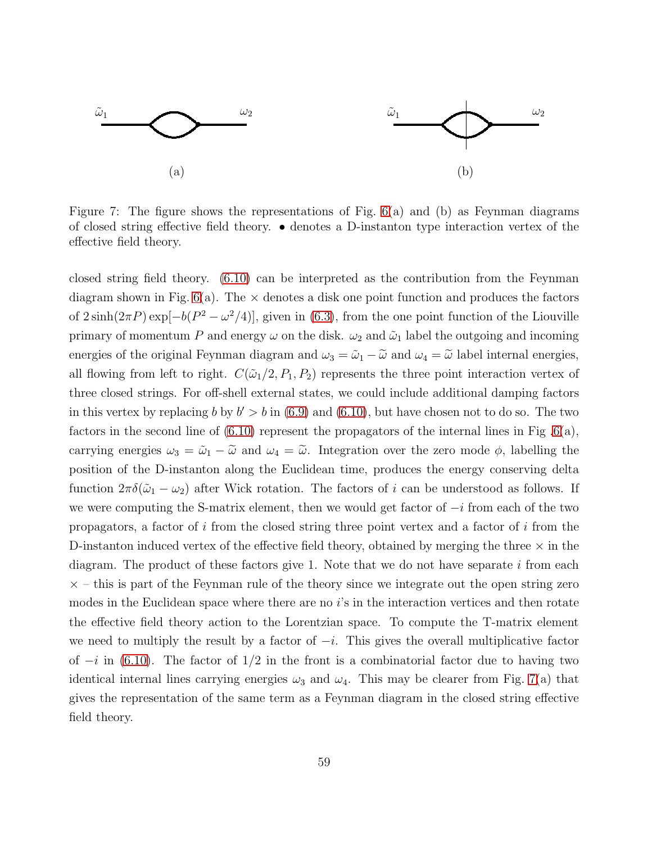

<span id="page-58-0"></span>Figure 7: The figure shows the representations of Fig.  $6(a)$  and (b) as Feynman diagrams of closed string effective field theory. • denotes a D-instanton type interaction vertex of the effective field theory.

closed string field theory. [\(6.10\)](#page-56-0) can be interpreted as the contribution from the Feynman diagram shown in Fig.  $6(a)$ . The  $\times$  denotes a disk one point function and produces the factors of  $2\sinh(2\pi P) \exp[-b(P^2 - \omega^2/4)]$ , given in [\(6.3\)](#page-53-3), from the one point function of the Liouville primary of momentum P and energy  $\omega$  on the disk.  $\omega_2$  and  $\tilde{\omega}_1$  label the outgoing and incoming energies of the original Feynman diagram and  $\omega_3 = \tilde{\omega}_1 - \tilde{\omega}$  and  $\omega_4 = \tilde{\omega}$  label internal energies, all flowing from left to right.  $C(\tilde{\omega}_1/2, P_1, P_2)$  represents the three point interaction vertex of three closed strings. For off-shell external states, we could include additional damping factors in this vertex by replacing b by  $b' > b$  in [\(6.9\)](#page-56-1) and [\(6.10\)](#page-56-0), but have chosen not to do so. The two factors in the second line of  $(6.10)$  represent the propagators of the internal lines in Fig  $.6(a)$ , carrying energies  $\omega_3 = \tilde{\omega}_1 - \tilde{\omega}$  and  $\omega_4 = \tilde{\omega}$ . Integration over the zero mode  $\phi$ , labelling the position of the D-instanton along the Euclidean time, produces the energy conserving delta function  $2\pi\delta(\tilde{\omega}_1 - \omega_2)$  after Wick rotation. The factors of i can be understood as follows. If we were computing the S-matrix element, then we would get factor of  $-i$  from each of the two propagators, a factor of  $i$  from the closed string three point vertex and a factor of  $i$  from the D-instanton induced vertex of the effective field theory, obtained by merging the three  $\times$  in the diagram. The product of these factors give 1. Note that we do not have separate  $i$  from each  $\times$  – this is part of the Feynman rule of the theory since we integrate out the open string zero modes in the Euclidean space where there are no is in the interaction vertices and then rotate the effective field theory action to the Lorentzian space. To compute the T-matrix element we need to multiply the result by a factor of  $-i$ . This gives the overall multiplicative factor of  $-i$  in [\(6.10\)](#page-56-0). The factor of  $1/2$  in the front is a combinatorial factor due to having two identical internal lines carrying energies  $\omega_3$  and  $\omega_4$ . This may be clearer from Fig. [7\(](#page-58-0)a) that gives the representation of the same term as a Feynman diagram in the closed string effective field theory.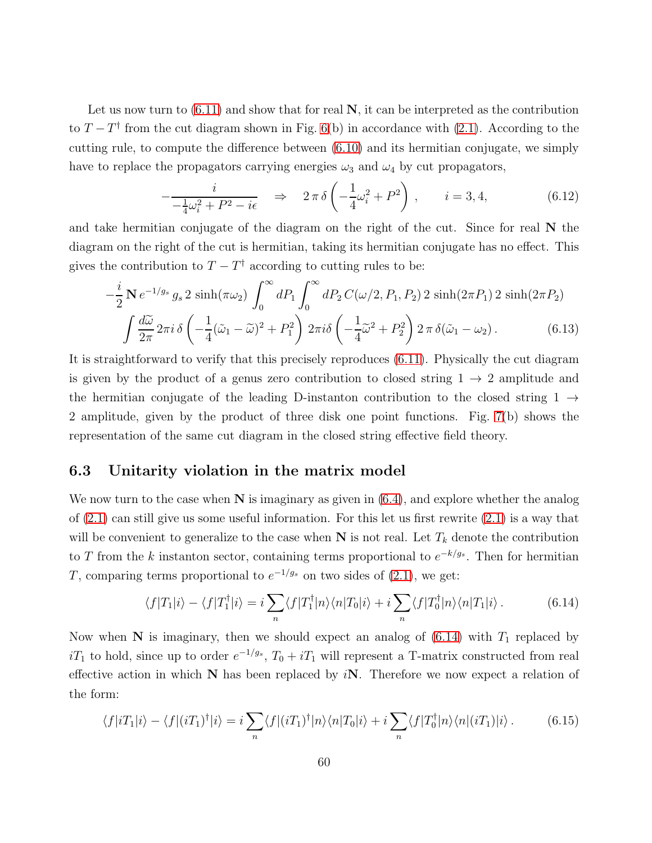Let us now turn to  $(6.11)$  and show that for real  $N$ , it can be interpreted as the contribution to  $T - T^{\dagger}$  from the cut diagram shown in Fig. [6\(](#page-57-1)b) in accordance with [\(2.1\)](#page-11-1). According to the cutting rule, to compute the difference between [\(6.10\)](#page-56-0) and its hermitian conjugate, we simply have to replace the propagators carrying energies  $\omega_3$  and  $\omega_4$  by cut propagators,

<span id="page-59-3"></span>
$$
-\frac{i}{-\frac{1}{4}\omega_i^2 + P^2 - i\epsilon} \quad \Rightarrow \quad 2\pi\,\delta\left(-\frac{1}{4}\omega_i^2 + P^2\right) \,, \qquad i = 3, 4,\tag{6.12}
$$

and take hermitian conjugate of the diagram on the right of the cut. Since for real  $N$  the diagram on the right of the cut is hermitian, taking its hermitian conjugate has no effect. This gives the contribution to  $T - T^{\dagger}$  according to cutting rules to be:

$$
-\frac{i}{2}\mathbf{N}e^{-1/g_s}g_s 2\sinh(\pi\omega_2)\int_0^\infty dP_1\int_0^\infty dP_2C(\omega/2, P_1, P_2) 2\sinh(2\pi P_1) 2\sinh(2\pi P_2)
$$

$$
\int \frac{d\tilde{\omega}}{2\pi}2\pi i \delta\left(-\frac{1}{4}(\tilde{\omega}_1-\tilde{\omega})^2+P_1^2\right)2\pi i \delta\left(-\frac{1}{4}\tilde{\omega}^2+P_2^2\right)2\pi \delta(\tilde{\omega}_1-\omega_2). \tag{6.13}
$$

It is straightforward to verify that this precisely reproduces [\(6.11\)](#page-57-0). Physically the cut diagram is given by the product of a genus zero contribution to closed string  $1 \rightarrow 2$  amplitude and the hermitian conjugate of the leading D-instanton contribution to the closed string  $1 \rightarrow$ 2 amplitude, given by the product of three disk one point functions. Fig. [7\(](#page-58-0)b) shows the representation of the same cut diagram in the closed string effective field theory.

### <span id="page-59-0"></span>6.3 Unitarity violation in the matrix model

We now turn to the case when  $N$  is imaginary as given in  $(6.4)$ , and explore whether the analog of  $(2.1)$  can still give us some useful information. For this let us first rewrite  $(2.1)$  is a way that will be convenient to generalize to the case when  $N$  is not real. Let  $T_k$  denote the contribution to T from the k instanton sector, containing terms proportional to  $e^{-k/g_s}$ . Then for hermitian T, comparing terms proportional to  $e^{-1/g_s}$  on two sides of [\(2.1\)](#page-11-1), we get:

<span id="page-59-1"></span>
$$
\langle f|T_1|i\rangle - \langle f|T_1^\dagger|i\rangle = i \sum_n \langle f|T_1^\dagger|n\rangle \langle n|T_0|i\rangle + i \sum_n \langle f|T_0^\dagger|n\rangle \langle n|T_1|i\rangle. \tag{6.14}
$$

Now when N is imaginary, then we should expect an analog of  $(6.14)$  with  $T_1$  replaced by  $iT_1$  to hold, since up to order  $e^{-1/g_s}$ ,  $T_0 + iT_1$  will represent a T-matrix constructed from real effective action in which  $N$  has been replaced by  $iN$ . Therefore we now expect a relation of the form:

<span id="page-59-2"></span>
$$
\langle f|iT_1|i\rangle - \langle f|(iT_1)^\dagger|i\rangle = i \sum_n \langle f|(iT_1)^\dagger|n\rangle \langle n|T_0|i\rangle + i \sum_n \langle f|T_0^\dagger|n\rangle \langle n|(iT_1)|i\rangle. \tag{6.15}
$$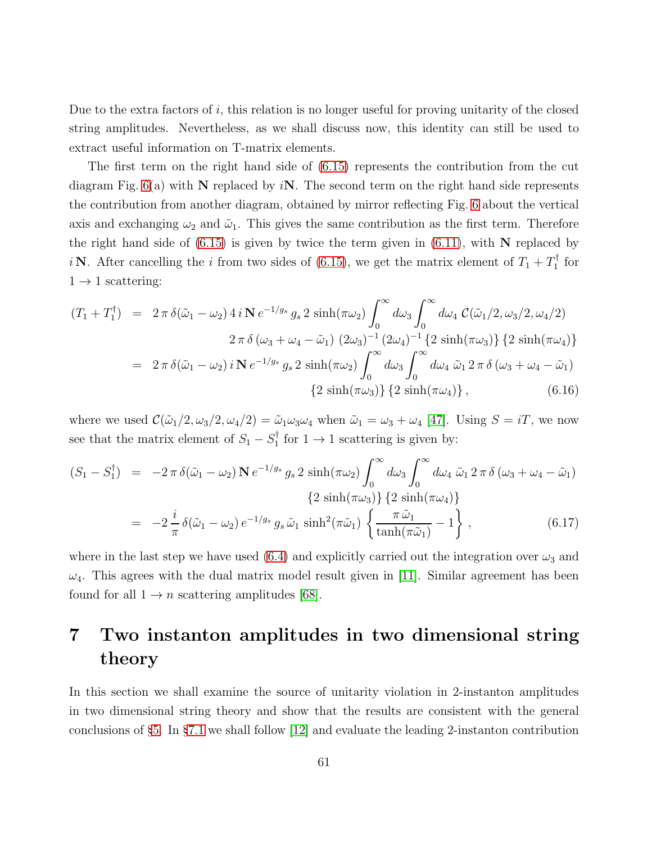Due to the extra factors of  $i$ , this relation is no longer useful for proving unitarity of the closed string amplitudes. Nevertheless, as we shall discuss now, this identity can still be used to extract useful information on T-matrix elements.

The first term on the right hand side of [\(6.15\)](#page-59-2) represents the contribution from the cut diagram Fig.  $6(a)$  with N replaced by iN. The second term on the right hand side represents the contribution from another diagram, obtained by mirror reflecting Fig. [6](#page-57-1) about the vertical axis and exchanging  $\omega_2$  and  $\tilde{\omega}_1$ . This gives the same contribution as the first term. Therefore the right hand side of  $(6.15)$  is given by twice the term given in  $(6.11)$ , with N replaced by *i* N. After cancelling the *i* from two sides of [\(6.15\)](#page-59-2), we get the matrix element of  $T_1 + T_1^{\dagger}$  $i_1^{\dagger}$  for  $1 \rightarrow 1$  scattering:

$$
(T_1 + T_1^{\dagger}) = 2 \pi \delta(\tilde{\omega}_1 - \omega_2) 4 i \mathbf{N} e^{-1/g_s} g_s 2 \sinh(\pi \omega_2) \int_0^{\infty} d\omega_3 \int_0^{\infty} d\omega_4 C(\tilde{\omega}_1/2, \omega_3/2, \omega_4/2)
$$
  

$$
2 \pi \delta(\omega_3 + \omega_4 - \tilde{\omega}_1) (2\omega_3)^{-1} (2\omega_4)^{-1} \{2 \sinh(\pi \omega_3)\} \{2 \sinh(\pi \omega_4)\}
$$
  

$$
= 2 \pi \delta(\tilde{\omega}_1 - \omega_2) i \mathbf{N} e^{-1/g_s} g_s 2 \sinh(\pi \omega_2) \int_0^{\infty} d\omega_3 \int_0^{\infty} d\omega_4 \tilde{\omega}_1 2 \pi \delta(\omega_3 + \omega_4 - \tilde{\omega}_1)
$$
  

$$
\{2 \sinh(\pi \omega_3)\} \{2 \sinh(\pi \omega_4)\}, \qquad (6.16)
$$

where we used  $\mathcal{C}(\tilde{\omega}_1/2, \omega_3/2, \omega_4/2) = \tilde{\omega}_1 \omega_3 \omega_4$  when  $\tilde{\omega}_1 = \omega_3 + \omega_4$  [\[47\]](#page-90-1). Using  $S = iT$ , we now see that the matrix element of  $S_1 - S_1^{\dagger}$  $i_1^{\dagger}$  for  $1 \rightarrow 1$  scattering is given by:

$$
(S_1 - S_1^{\dagger}) = -2 \pi \delta(\tilde{\omega}_1 - \omega_2) \mathbf{N} e^{-1/g_s} g_s 2 \sinh(\pi \omega_2) \int_0^{\infty} d\omega_3 \int_0^{\infty} d\omega_4 \, \tilde{\omega}_1 2 \pi \delta (\omega_3 + \omega_4 - \tilde{\omega}_1)
$$
  
\n
$$
\{2 \sinh(\pi \omega_3)\} \{2 \sinh(\pi \omega_4)\}
$$
  
\n
$$
= -2 \frac{i}{\pi} \delta(\tilde{\omega}_1 - \omega_2) e^{-1/g_s} g_s \tilde{\omega}_1 \sinh^2(\pi \tilde{\omega}_1) \left\{\frac{\pi \tilde{\omega}_1}{\tanh(\pi \tilde{\omega}_1)} - 1\right\},
$$
\n(6.17)

where in the last step we have used [\(6.4\)](#page-53-2) and explicitly carried out the integration over  $\omega_3$  and  $\omega_4$ . This agrees with the dual matrix model result given in [\[11\]](#page-87-1). Similar agreement has been found for all  $1 \rightarrow n$  scattering amplitudes [\[68\]](#page-92-6).

# <span id="page-60-0"></span>7 Two instanton amplitudes in two dimensional string theory

In this section we shall examine the source of unitarity violation in 2-instanton amplitudes in two dimensional string theory and show that the results are consistent with the general conclusions of §[5.](#page-36-1) In §[7.1](#page-61-0) we shall follow [\[12\]](#page-88-0) and evaluate the leading 2-instanton contribution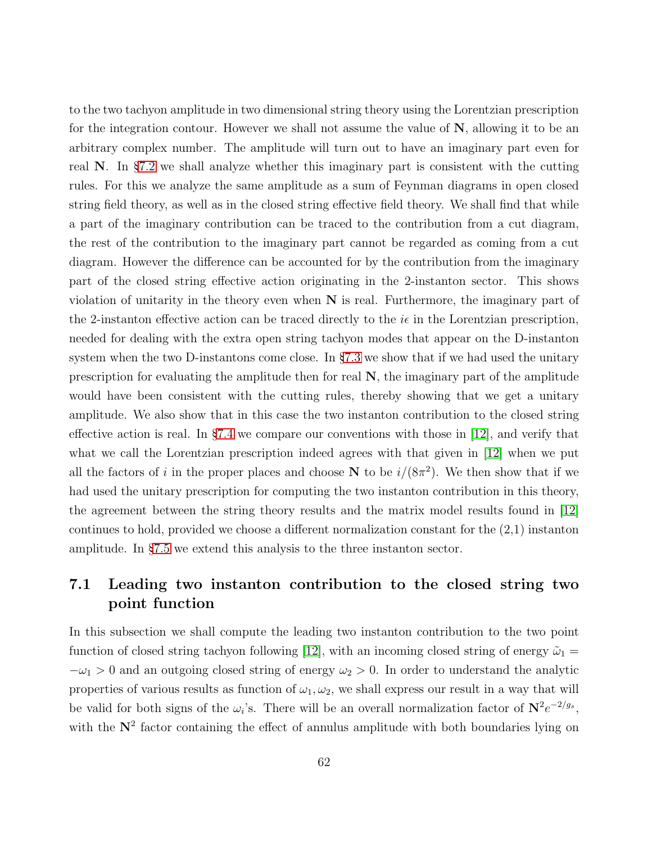to the two tachyon amplitude in two dimensional string theory using the Lorentzian prescription for the integration contour. However we shall not assume the value of N, allowing it to be an arbitrary complex number. The amplitude will turn out to have an imaginary part even for real N. In §[7.2](#page-67-0) we shall analyze whether this imaginary part is consistent with the cutting rules. For this we analyze the same amplitude as a sum of Feynman diagrams in open closed string field theory, as well as in the closed string effective field theory. We shall find that while a part of the imaginary contribution can be traced to the contribution from a cut diagram, the rest of the contribution to the imaginary part cannot be regarded as coming from a cut diagram. However the difference can be accounted for by the contribution from the imaginary part of the closed string effective action originating in the 2-instanton sector. This shows violation of unitarity in the theory even when  $N$  is real. Furthermore, the imaginary part of the 2-instanton effective action can be traced directly to the  $i\epsilon$  in the Lorentzian prescription, needed for dealing with the extra open string tachyon modes that appear on the D-instanton system when the two D-instantons come close. In §[7.3](#page-73-0) we show that if we had used the unitary prescription for evaluating the amplitude then for real  $N$ , the imaginary part of the amplitude would have been consistent with the cutting rules, thereby showing that we get a unitary amplitude. We also show that in this case the two instanton contribution to the closed string effective action is real. In §[7.4](#page-73-1) we compare our conventions with those in [\[12\]](#page-88-0), and verify that what we call the Lorentzian prescription indeed agrees with that given in [\[12\]](#page-88-0) when we put all the factors of i in the proper places and choose N to be  $i/(8\pi^2)$ . We then show that if we had used the unitary prescription for computing the two instanton contribution in this theory, the agreement between the string theory results and the matrix model results found in [\[12\]](#page-88-0) continues to hold, provided we choose a different normalization constant for the (2,1) instanton amplitude. In §[7.5](#page-76-0) we extend this analysis to the three instanton sector.

# <span id="page-61-0"></span>7.1 Leading two instanton contribution to the closed string two point function

In this subsection we shall compute the leading two instanton contribution to the two point function of closed string tachyon following [\[12\]](#page-88-0), with an incoming closed string of energy  $\tilde{\omega}_1 =$  $-\omega_1 > 0$  and an outgoing closed string of energy  $\omega_2 > 0$ . In order to understand the analytic properties of various results as function of  $\omega_1, \omega_2$ , we shall express our result in a way that will be valid for both signs of the  $\omega_i$ 's. There will be an overall normalization factor of  $N^2e^{-2/g_s}$ , with the  $N^2$  factor containing the effect of annulus amplitude with both boundaries lying on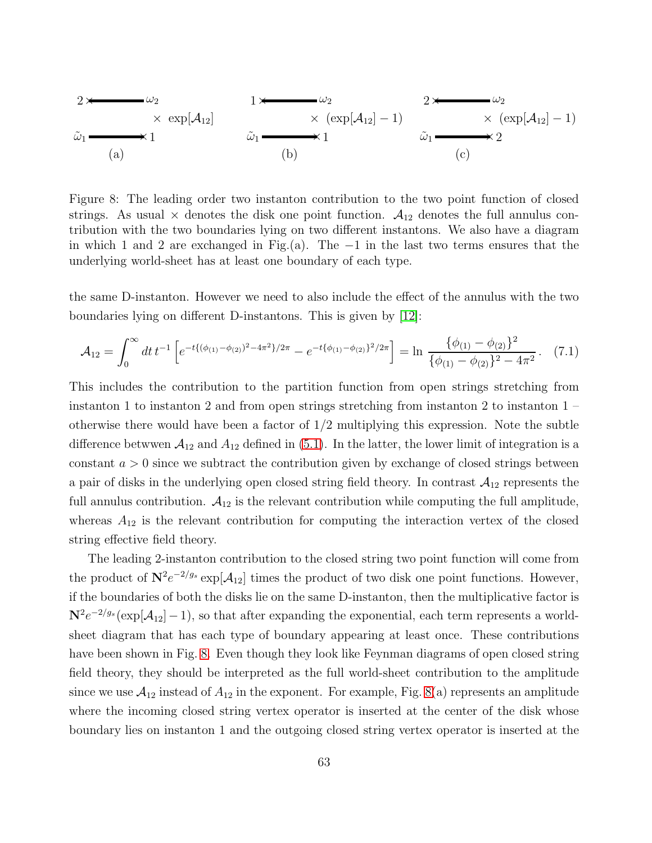$$
2 \times \omega_2
$$
\n
$$
\times \exp[\mathcal{A}_{12}]
$$
\n
$$
\omega_1
$$
\n
$$
\omega_2
$$
\n
$$
\times (\exp[\mathcal{A}_{12}] - 1)
$$
\n
$$
\omega_1
$$
\n
$$
\omega_2
$$
\n
$$
\times (\exp[\mathcal{A}_{12}] - 1)
$$
\n
$$
\omega_1
$$
\n
$$
\omega_2
$$
\n
$$
\times (\exp[\mathcal{A}_{12}] - 1)
$$
\n
$$
\omega_1
$$
\n
$$
\omega_1
$$
\n
$$
\omega_2
$$
\n
$$
\omega_2
$$
\n
$$
\omega_1
$$
\n
$$
\omega_2
$$
\n
$$
\omega_1
$$
\n
$$
\omega_2
$$
\n
$$
\omega_1
$$
\n
$$
\omega_2
$$
\n
$$
\omega_1
$$
\n
$$
\omega_2
$$
\n
$$
\omega_1
$$
\n
$$
\omega_2
$$
\n
$$
\omega_1
$$
\n
$$
\omega_2
$$
\n
$$
\omega_1
$$

<span id="page-62-0"></span>Figure 8: The leading order two instanton contribution to the two point function of closed strings. As usual  $\times$  denotes the disk one point function.  $A_{12}$  denotes the full annulus contribution with the two boundaries lying on two different instantons. We also have a diagram in which 1 and 2 are exchanged in Fig.(a). The −1 in the last two terms ensures that the underlying world-sheet has at least one boundary of each type.

the same D-instanton. However we need to also include the effect of the annulus with the two boundaries lying on different D-instantons. This is given by [\[12\]](#page-88-0):

<span id="page-62-1"></span>
$$
\mathcal{A}_{12} = \int_0^\infty dt \, t^{-1} \left[ e^{-t \{ (\phi_{(1)} - \phi_{(2)})^2 - 4\pi^2 \}/2\pi} - e^{-t \{ \phi_{(1)} - \phi_{(2)} \}^2 / 2\pi} \right] = \ln \frac{\{ \phi_{(1)} - \phi_{(2)} \}^2}{\{ \phi_{(1)} - \phi_{(2)} \}^2 - 4\pi^2} . \tag{7.1}
$$

This includes the contribution to the partition function from open strings stretching from instanton 1 to instanton 2 and from open strings stretching from instanton 2 to instanton  $1$ otherwise there would have been a factor of  $1/2$  multiplying this expression. Note the subtle difference betwwen  $A_{12}$  and  $A_{12}$  defined in [\(5.1\)](#page-38-1). In the latter, the lower limit of integration is a constant  $a > 0$  since we subtract the contribution given by exchange of closed strings between a pair of disks in the underlying open closed string field theory. In contrast  $A_{12}$  represents the full annulus contribution.  $A_{12}$  is the relevant contribution while computing the full amplitude, whereas  $A_{12}$  is the relevant contribution for computing the interaction vertex of the closed string effective field theory.

The leading 2-instanton contribution to the closed string two point function will come from the product of  $N^2 e^{-2/g_s} \exp[A_{12}]$  times the product of two disk one point functions. However, if the boundaries of both the disks lie on the same D-instanton, then the multiplicative factor is  $N^2 e^{-2/g_s} (\exp[\mathcal{A}_{12}]-1)$ , so that after expanding the exponential, each term represents a worldsheet diagram that has each type of boundary appearing at least once. These contributions have been shown in Fig. [8.](#page-62-0) Even though they look like Feynman diagrams of open closed string field theory, they should be interpreted as the full world-sheet contribution to the amplitude since we use  $A_{12}$  instead of  $A_{12}$  in the exponent. For example, Fig. [8\(](#page-62-0)a) represents an amplitude where the incoming closed string vertex operator is inserted at the center of the disk whose boundary lies on instanton 1 and the outgoing closed string vertex operator is inserted at the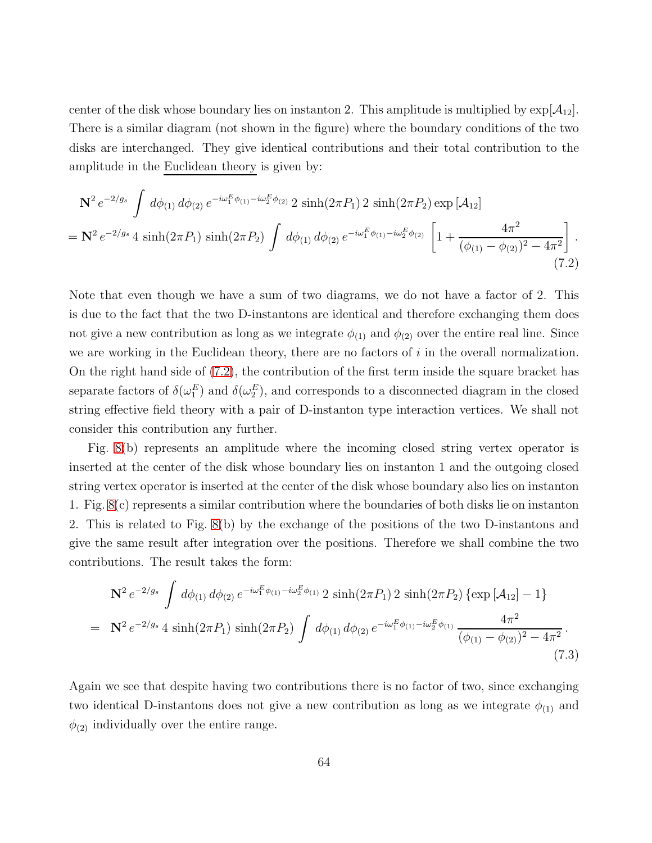center of the disk whose boundary lies on instanton 2. This amplitude is multiplied by  $\exp[\mathcal{A}_{12}]$ . There is a similar diagram (not shown in the figure) where the boundary conditions of the two disks are interchanged. They give identical contributions and their total contribution to the amplitude in the Euclidean theory is given by:

<span id="page-63-0"></span>
$$
\mathbf{N}^{2} e^{-2/g_{s}} \int d\phi_{(1)} d\phi_{(2)} e^{-i\omega_{1}^{E}\phi_{(1)}-i\omega_{2}^{E}\phi_{(2)}} 2 \sinh(2\pi P_{1}) 2 \sinh(2\pi P_{2}) \exp[\mathcal{A}_{12}]
$$
  
= 
$$
\mathbf{N}^{2} e^{-2/g_{s}} 4 \sinh(2\pi P_{1}) \sinh(2\pi P_{2}) \int d\phi_{(1)} d\phi_{(2)} e^{-i\omega_{1}^{E}\phi_{(1)}-i\omega_{2}^{E}\phi_{(2)}} \left[1 + \frac{4\pi^{2}}{(\phi_{(1)} - \phi_{(2)})^{2} - 4\pi^{2}}\right].
$$
\n(7.2)

Note that even though we have a sum of two diagrams, we do not have a factor of 2. This is due to the fact that the two D-instantons are identical and therefore exchanging them does not give a new contribution as long as we integrate  $\phi_{(1)}$  and  $\phi_{(2)}$  over the entire real line. Since we are working in the Euclidean theory, there are no factors of  $i$  in the overall normalization. On the right hand side of [\(7.2\)](#page-63-0), the contribution of the first term inside the square bracket has separate factors of  $\delta(\omega_1^E)$  and  $\delta(\omega_2^E)$ , and corresponds to a disconnected diagram in the closed string effective field theory with a pair of D-instanton type interaction vertices. We shall not consider this contribution any further.

Fig. [8\(](#page-62-0)b) represents an amplitude where the incoming closed string vertex operator is inserted at the center of the disk whose boundary lies on instanton 1 and the outgoing closed string vertex operator is inserted at the center of the disk whose boundary also lies on instanton 1. Fig. [8\(](#page-62-0)c) represents a similar contribution where the boundaries of both disks lie on instanton 2. This is related to Fig. [8\(](#page-62-0)b) by the exchange of the positions of the two D-instantons and give the same result after integration over the positions. Therefore we shall combine the two contributions. The result takes the form:

<span id="page-63-1"></span>
$$
\mathbf{N}^2 e^{-2/g_s} \int d\phi_{(1)} d\phi_{(2)} e^{-i\omega_1^E \phi_{(1)} - i\omega_2^E \phi_{(1)}} 2 \sinh(2\pi P_1) 2 \sinh(2\pi P_2) \{ \exp\left[\mathcal{A}_{12}\right] - 1 \}
$$
  
= 
$$
\mathbf{N}^2 e^{-2/g_s} 4 \sinh(2\pi P_1) \sinh(2\pi P_2) \int d\phi_{(1)} d\phi_{(2)} e^{-i\omega_1^E \phi_{(1)} - i\omega_2^E \phi_{(1)}} \frac{4\pi^2}{(\phi_{(1)} - \phi_{(2)})^2 - 4\pi^2} .
$$
(7.3)

Again we see that despite having two contributions there is no factor of two, since exchanging two identical D-instantons does not give a new contribution as long as we integrate  $\phi_{(1)}$  and  $\phi_{(2)}$  individually over the entire range.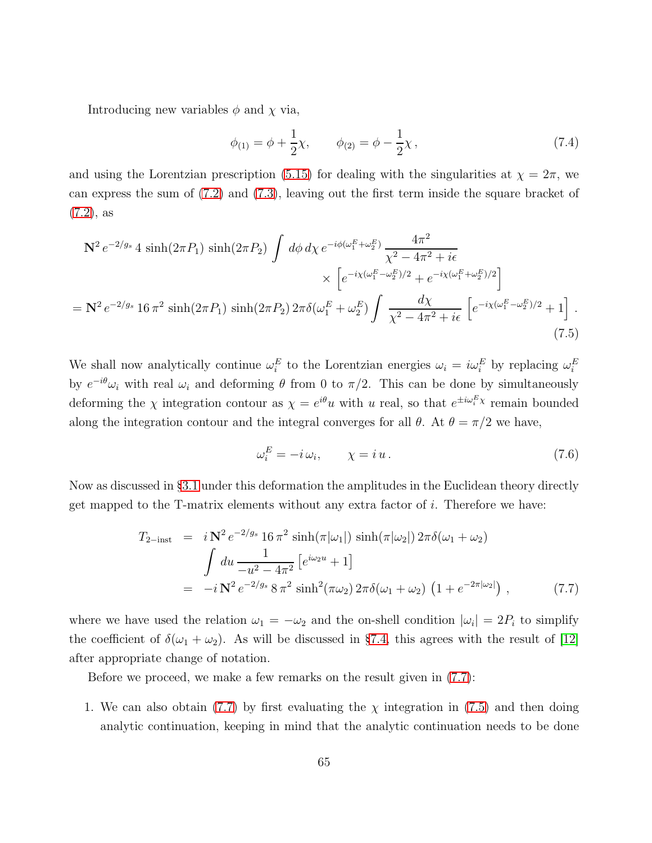Introducing new variables  $\phi$  and  $\chi$  via,

$$
\phi_{(1)} = \phi + \frac{1}{2}\chi, \qquad \phi_{(2)} = \phi - \frac{1}{2}\chi, \qquad (7.4)
$$

and using the Lorentzian prescription [\(5.15\)](#page-50-0) for dealing with the singularities at  $\chi = 2\pi$ , we can express the sum of [\(7.2\)](#page-63-0) and [\(7.3\)](#page-63-1), leaving out the first term inside the square bracket of [\(7.2\)](#page-63-0), as

<span id="page-64-1"></span>
$$
\mathbf{N}^{2} e^{-2/g_{s}} 4 \sinh(2\pi P_{1}) \sinh(2\pi P_{2}) \int d\phi d\chi \, e^{-i\phi(\omega_{1}^{E} + \omega_{2}^{E})} \frac{4\pi^{2}}{\chi^{2} - 4\pi^{2} + i\epsilon} \times \left[ e^{-i\chi(\omega_{1}^{E} - \omega_{2}^{E})/2} + e^{-i\chi(\omega_{1}^{E} + \omega_{2}^{E})/2} \right]
$$
\n
$$
= \mathbf{N}^{2} e^{-2/g_{s}} 16 \pi^{2} \sinh(2\pi P_{1}) \sinh(2\pi P_{2}) 2\pi \delta(\omega_{1}^{E} + \omega_{2}^{E}) \int \frac{d\chi}{\chi^{2} - 4\pi^{2} + i\epsilon} \left[ e^{-i\chi(\omega_{1}^{E} - \omega_{2}^{E})/2} + 1 \right]. \tag{7.5}
$$

We shall now analytically continue  $\omega_i^E$  to the Lorentzian energies  $\omega_i = i\omega_i^E$  by replacing  $\omega_i^E$ by  $e^{-i\theta}\omega_i$  with real  $\omega_i$  and deforming  $\theta$  from 0 to  $\pi/2$ . This can be done by simultaneously deforming the  $\chi$  integration contour as  $\chi = e^{i\theta}u$  with u real, so that  $e^{\pm i\omega_i^E \chi}$  remain bounded along the integration contour and the integral converges for all  $\theta$ . At  $\theta = \pi/2$  we have,

<span id="page-64-2"></span>
$$
\omega_i^E = -i\,\omega_i, \qquad \chi = i\,u \,. \tag{7.6}
$$

Now as discussed in §[3.1](#page-17-0) under this deformation the amplitudes in the Euclidean theory directly get mapped to the T-matrix elements without any extra factor of i. Therefore we have:

<span id="page-64-0"></span>
$$
T_{2-\text{inst}} = i \mathbf{N}^2 e^{-2/g_s} 16 \pi^2 \sinh(\pi|\omega_1|) \sinh(\pi|\omega_2|) 2\pi \delta(\omega_1 + \omega_2)
$$
  

$$
\int du \frac{1}{-u^2 - 4\pi^2} \left[e^{i\omega_2 u} + 1\right]
$$
  

$$
= -i \mathbf{N}^2 e^{-2/g_s} 8 \pi^2 \sinh^2(\pi \omega_2) 2\pi \delta(\omega_1 + \omega_2) \left(1 + e^{-2\pi|\omega_2|}\right), \qquad (7.7)
$$

where we have used the relation  $\omega_1 = -\omega_2$  and the on-shell condition  $|\omega_i| = 2P_i$  to simplify the coefficient of  $\delta(\omega_1 + \omega_2)$ . As will be discussed in §[7.4,](#page-73-1) this agrees with the result of [\[12\]](#page-88-0) after appropriate change of notation.

Before we proceed, we make a few remarks on the result given in [\(7.7\)](#page-64-0):

1. We can also obtain [\(7.7\)](#page-64-0) by first evaluating the  $\chi$  integration in [\(7.5\)](#page-64-1) and then doing analytic continuation, keeping in mind that the analytic continuation needs to be done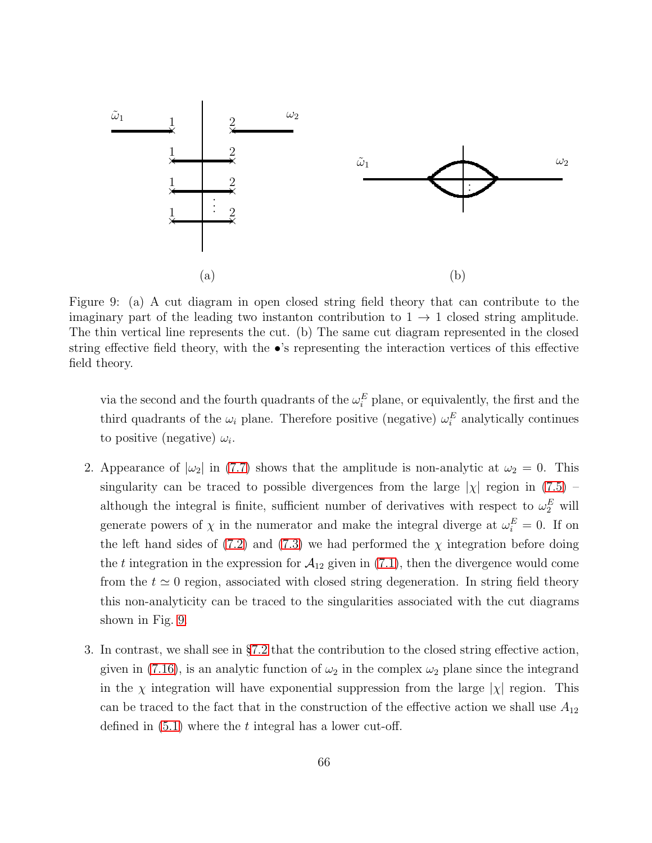

<span id="page-65-0"></span>Figure 9: (a) A cut diagram in open closed string field theory that can contribute to the imaginary part of the leading two instanton contribution to  $1 \rightarrow 1$  closed string amplitude. The thin vertical line represents the cut. (b) The same cut diagram represented in the closed string effective field theory, with the •'s representing the interaction vertices of this effective field theory.

via the second and the fourth quadrants of the  $\omega_i^E$  plane, or equivalently, the first and the third quadrants of the  $\omega_i$  plane. Therefore positive (negative)  $\omega_i^E$  analytically continues to positive (negative)  $\omega_i$ .

- 2. Appearance of  $|\omega_2|$  in [\(7.7\)](#page-64-0) shows that the amplitude is non-analytic at  $\omega_2 = 0$ . This singularity can be traced to possible divergences from the large  $|\chi|$  region in [\(7.5\)](#page-64-1) – although the integral is finite, sufficient number of derivatives with respect to  $\omega_2^E$  will generate powers of  $\chi$  in the numerator and make the integral diverge at  $\omega_i^E = 0$ . If on the left hand sides of [\(7.2\)](#page-63-0) and [\(7.3\)](#page-63-1) we had performed the  $\chi$  integration before doing the t integration in the expression for  $A_{12}$  given in [\(7.1\)](#page-62-1), then the divergence would come from the  $t \approx 0$  region, associated with closed string degeneration. In string field theory this non-analyticity can be traced to the singularities associated with the cut diagrams shown in Fig. [9.](#page-65-0)
- 3. In contrast, we shall see in §[7.2](#page-67-0) that the contribution to the closed string effective action, given in [\(7.16\)](#page-69-0), is an analytic function of  $\omega_2$  in the complex  $\omega_2$  plane since the integrand in the  $\chi$  integration will have exponential suppression from the large  $|\chi|$  region. This can be traced to the fact that in the construction of the effective action we shall use  $A_{12}$ defined in  $(5.1)$  where the t integral has a lower cut-off.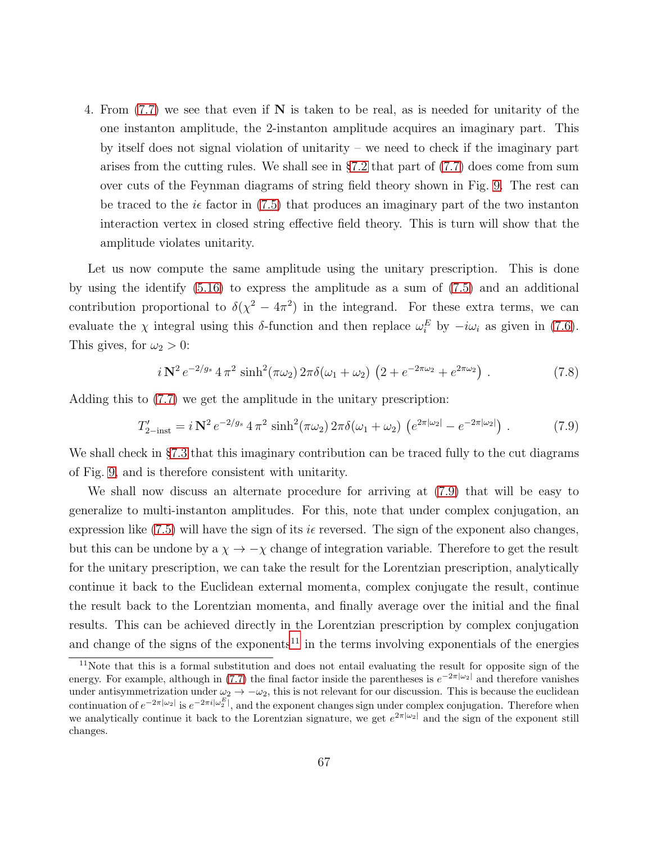4. From [\(7.7\)](#page-64-0) we see that even if N is taken to be real, as is needed for unitarity of the one instanton amplitude, the 2-instanton amplitude acquires an imaginary part. This by itself does not signal violation of unitarity – we need to check if the imaginary part arises from the cutting rules. We shall see in  $\S7.2$  $\S7.2$  that part of  $(7.7)$  does come from sum over cuts of the Feynman diagrams of string field theory shown in Fig. [9.](#page-65-0) The rest can be traced to the  $i\epsilon$  factor in [\(7.5\)](#page-64-1) that produces an imaginary part of the two instanton interaction vertex in closed string effective field theory. This is turn will show that the amplitude violates unitarity.

Let us now compute the same amplitude using the unitary prescription. This is done by using the identify [\(5.16\)](#page-50-1) to express the amplitude as a sum of [\(7.5\)](#page-64-1) and an additional contribution proportional to  $\delta(\chi^2 - 4\pi^2)$  in the integrand. For these extra terms, we can evaluate the  $\chi$  integral using this  $\delta$ -function and then replace  $\omega_i^E$  by  $-i\omega_i$  as given in [\(7.6\)](#page-64-2). This gives, for  $\omega_2 > 0$ :

$$
i\,\mathbf{N}^2\,e^{-2/g_s}\,4\,\pi^2\,\sinh^2(\pi\omega_2)\,2\pi\delta(\omega_1+\omega_2)\,\left(2+e^{-2\pi\omega_2}+e^{2\pi\omega_2}\right)\,. \tag{7.8}
$$

Adding this to [\(7.7\)](#page-64-0) we get the amplitude in the unitary prescription:

<span id="page-66-0"></span>
$$
T'_{2-\text{inst}} = i \,\mathbf{N}^2 \, e^{-2/g_s} \, 4 \,\pi^2 \, \sinh^2(\pi \omega_2) \, 2\pi \delta(\omega_1 + \omega_2) \, \left(e^{2\pi |\omega_2|} - e^{-2\pi |\omega_2|}\right) \,. \tag{7.9}
$$

We shall check in §[7.3](#page-73-0) that this imaginary contribution can be traced fully to the cut diagrams of Fig. [9,](#page-65-0) and is therefore consistent with unitarity.

We shall now discuss an alternate procedure for arriving at [\(7.9\)](#page-66-0) that will be easy to generalize to multi-instanton amplitudes. For this, note that under complex conjugation, an expression like [\(7.5\)](#page-64-1) will have the sign of its  $i\epsilon$  reversed. The sign of the exponent also changes, but this can be undone by a  $\chi \to -\chi$  change of integration variable. Therefore to get the result for the unitary prescription, we can take the result for the Lorentzian prescription, analytically continue it back to the Euclidean external momenta, complex conjugate the result, continue the result back to the Lorentzian momenta, and finally average over the initial and the final results. This can be achieved directly in the Lorentzian prescription by complex conjugation and change of the signs of the exponents<sup>[11](#page-66-1)</sup> in the terms involving exponentials of the energies

<span id="page-66-1"></span><sup>&</sup>lt;sup>11</sup>Note that this is a formal substitution and does not entail evaluating the result for opposite sign of the energy. For example, although in [\(7.7\)](#page-64-0) the final factor inside the parentheses is  $e^{-2\pi|\omega_2|}$  and therefore vanishes under antisymmetrization under  $\omega_2 \to -\omega_2$ , this is not relevant for our discussion. This is because the euclidean continuation of  $e^{-2\pi|\omega_2|}$  is  $e^{-2\pi i|\omega_2^E|}$ , and the exponent changes sign under complex conjugation. Therefore when we analytically continue it back to the Lorentzian signature, we get  $e^{2\pi|\omega_2|}$  and the sign of the exponent still changes.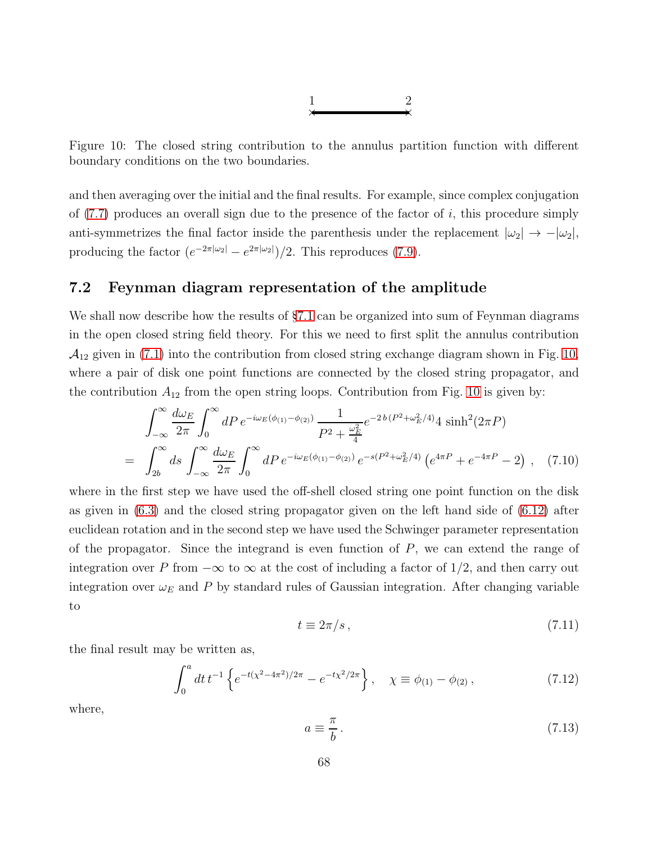

<span id="page-67-1"></span>Figure 10: The closed string contribution to the annulus partition function with different boundary conditions on the two boundaries.

and then averaging over the initial and the final results. For example, since complex conjugation of  $(7.7)$  produces an overall sign due to the presence of the factor of i, this procedure simply anti-symmetrizes the final factor inside the parenthesis under the replacement  $|\omega_2| \rightarrow -|\omega_2|$ , producing the factor  $(e^{-2\pi|\omega_2|} - e^{2\pi|\omega_2|})/2$ . This reproduces [\(7.9\)](#page-66-0).

### <span id="page-67-0"></span>7.2 Feynman diagram representation of the amplitude

We shall now describe how the results of  $\S7.1$  $\S7.1$  can be organized into sum of Feynman diagrams in the open closed string field theory. For this we need to first split the annulus contribution  $\mathcal{A}_{12}$  given in [\(7.1\)](#page-62-1) into the contribution from closed string exchange diagram shown in Fig. [10,](#page-67-1) where a pair of disk one point functions are connected by the closed string propagator, and the contribution  $A_{12}$  from the open string loops. Contribution from Fig. [10](#page-67-1) is given by:

$$
\int_{-\infty}^{\infty} \frac{d\omega_E}{2\pi} \int_0^{\infty} dP \, e^{-i\omega_E(\phi_{(1)} - \phi_{(2)})} \frac{1}{P^2 + \frac{\omega_E^2}{4}} e^{-2b(P^2 + \omega_E^2/4)} 4 \sinh^2(2\pi P)
$$
\n
$$
= \int_{2b}^{\infty} ds \int_{-\infty}^{\infty} \frac{d\omega_E}{2\pi} \int_0^{\infty} dP \, e^{-i\omega_E(\phi_{(1)} - \phi_{(2)})} \, e^{-s(P^2 + \omega_E^2/4)} \left( e^{4\pi P} + e^{-4\pi P} - 2 \right) \,, \tag{7.10}
$$

where in the first step we have used the off-shell closed string one point function on the disk as given in [\(6.3\)](#page-53-3) and the closed string propagator given on the left hand side of [\(6.12\)](#page-59-3) after euclidean rotation and in the second step we have used the Schwinger parameter representation of the propagator. Since the integrand is even function of  $P$ , we can extend the range of integration over P from  $-\infty$  to  $\infty$  at the cost of including a factor of 1/2, and then carry out integration over  $\omega_E$  and P by standard rules of Gaussian integration. After changing variable to

$$
t \equiv 2\pi/s \,,\tag{7.11}
$$

the final result may be written as,

<span id="page-67-2"></span>
$$
\int_0^a dt \, t^{-1} \left\{ e^{-t(\chi^2 - 4\pi^2)/2\pi} - e^{-t\chi^2/2\pi} \right\}, \quad \chi \equiv \phi_{(1)} - \phi_{(2)} \,, \tag{7.12}
$$

where,

$$
a \equiv \frac{\pi}{b} \,. \tag{7.13}
$$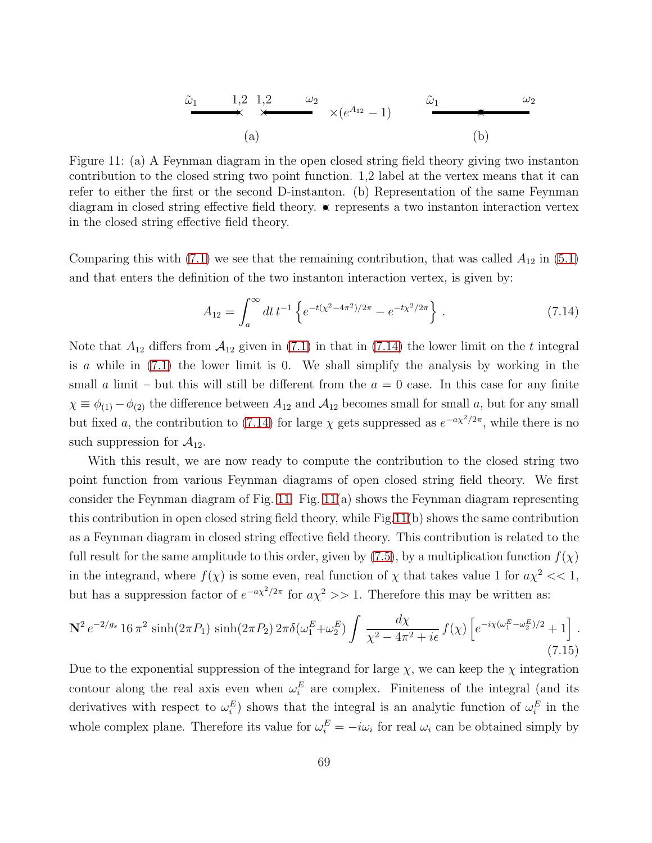ω˜<sup>1</sup> ω<sup>2</sup> × × 1,2 1,2 ×(e <sup>A</sup><sup>12</sup> − 1) ו ω˜<sup>1</sup> ω<sup>2</sup> (a) (b)

<span id="page-68-1"></span>Figure 11: (a) A Feynman diagram in the open closed string field theory giving two instanton contribution to the closed string two point function. 1,2 label at the vertex means that it can refer to either the first or the second D-instanton. (b) Representation of the same Feynman diagram in closed string effective field theory.  $\star$  represents a two instanton interaction vertex in the closed string effective field theory.

Comparing this with  $(7.1)$  we see that the remaining contribution, that was called  $A_{12}$  in  $(5.1)$ and that enters the definition of the two instanton interaction vertex, is given by:

<span id="page-68-0"></span>
$$
A_{12} = \int_{a}^{\infty} dt \, t^{-1} \left\{ e^{-t(x^2 - 4\pi^2)/2\pi} - e^{-t(x^2/2\pi)} \right\} \,. \tag{7.14}
$$

Note that  $A_{12}$  differs from  $A_{12}$  given in [\(7.1\)](#page-62-1) in that in [\(7.14\)](#page-68-0) the lower limit on the t integral is a while in  $(7.1)$  the lower limit is 0. We shall simplify the analysis by working in the small a limit – but this will still be different from the  $a = 0$  case. In this case for any finite  $\chi \equiv \phi_{(1)} - \phi_{(2)}$  the difference between  $A_{12}$  and  $A_{12}$  becomes small for small a, but for any small but fixed a, the contribution to [\(7.14\)](#page-68-0) for large  $\chi$  gets suppressed as  $e^{-a\chi^2/2\pi}$ , while there is no such suppression for  $\mathcal{A}_{12}$ .

With this result, we are now ready to compute the contribution to the closed string two point function from various Feynman diagrams of open closed string field theory. We first consider the Feynman diagram of Fig. [11.](#page-68-1) Fig.  $11(a)$  shows the Feynman diagram representing this contribution in open closed string field theory, while Fig[.11\(](#page-68-1)b) shows the same contribution as a Feynman diagram in closed string effective field theory. This contribution is related to the full result for the same amplitude to this order, given by [\(7.5\)](#page-64-1), by a multiplication function  $f(\chi)$ in the integrand, where  $f(\chi)$  is some even, real function of  $\chi$  that takes value 1 for  $a\chi^2 \ll 1$ , but has a suppression factor of  $e^{-ax^2/2\pi}$  for  $a\chi^2 >> 1$ . Therefore this may be written as:

$$
\mathbf{N}^2 e^{-2/g_s} 16 \pi^2 \sinh(2\pi P_1) \sinh(2\pi P_2) 2\pi \delta(\omega_1^E + \omega_2^E) \int \frac{d\chi}{\chi^2 - 4\pi^2 + i\epsilon} f(\chi) \left[ e^{-i\chi(\omega_1^E - \omega_2^E)/2} + 1 \right]. \tag{7.15}
$$

Due to the exponential suppression of the integrand for large  $\chi$ , we can keep the  $\chi$  integration contour along the real axis even when  $\omega_i^E$  are complex. Finiteness of the integral (and its derivatives with respect to  $\omega_i^E$ ) shows that the integral is an analytic function of  $\omega_i^E$  in the whole complex plane. Therefore its value for  $\omega_i^E = -i\omega_i$  for real  $\omega_i$  can be obtained simply by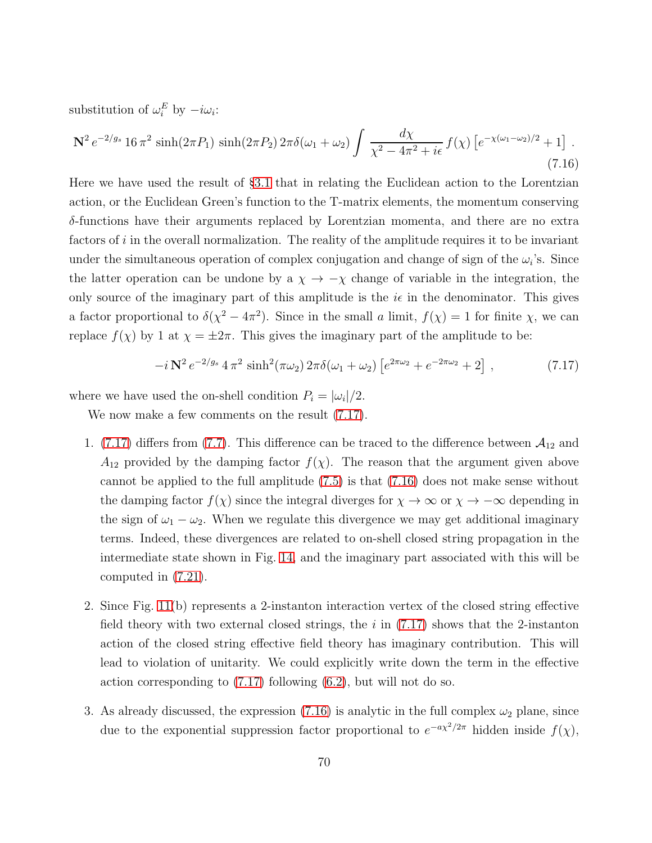substitution of  $\omega_i^E$  by  $-i\omega_i$ :

<span id="page-69-0"></span>
$$
\mathbf{N}^2 e^{-2/g_s} 16 \pi^2 \sinh(2\pi P_1) \sinh(2\pi P_2) 2\pi \delta(\omega_1 + \omega_2) \int \frac{d\chi}{\chi^2 - 4\pi^2 + i\epsilon} f(\chi) \left[ e^{-\chi(\omega_1 - \omega_2)/2} + 1 \right]. \tag{7.16}
$$

Here we have used the result of §[3.1](#page-17-0) that in relating the Euclidean action to the Lorentzian action, or the Euclidean Green's function to the T-matrix elements, the momentum conserving δ-functions have their arguments replaced by Lorentzian momenta, and there are no extra factors of  $i$  in the overall normalization. The reality of the amplitude requires it to be invariant under the simultaneous operation of complex conjugation and change of sign of the  $\omega_i$ 's. Since the latter operation can be undone by a  $\chi \to -\chi$  change of variable in the integration, the only source of the imaginary part of this amplitude is the  $i\epsilon$  in the denominator. This gives a factor proportional to  $\delta(\chi^2 - 4\pi^2)$ . Since in the small a limit,  $f(\chi) = 1$  for finite  $\chi$ , we can replace  $f(\chi)$  by 1 at  $\chi = \pm 2\pi$ . This gives the imaginary part of the amplitude to be:

<span id="page-69-1"></span>
$$
-i\,\mathbf{N}^2\,e^{-2/g_s}\,4\,\pi^2\,\sinh^2(\pi\omega_2)\,2\pi\delta(\omega_1+\omega_2)\left[e^{2\pi\omega_2}+e^{-2\pi\omega_2}+2\right]\,,\tag{7.17}
$$

where we have used the on-shell condition  $P_i = |\omega_i|/2$ .

We now make a few comments on the result  $(7.17)$ .

- 1. [\(7.17\)](#page-69-1) differs from [\(7.7\)](#page-64-0). This difference can be traced to the difference between  $\mathcal{A}_{12}$  and  $A_{12}$  provided by the damping factor  $f(\chi)$ . The reason that the argument given above cannot be applied to the full amplitude [\(7.5\)](#page-64-1) is that [\(7.16\)](#page-69-0) does not make sense without the damping factor  $f(\chi)$  since the integral diverges for  $\chi \to \infty$  or  $\chi \to -\infty$  depending in the sign of  $\omega_1 - \omega_2$ . When we regulate this divergence we may get additional imaginary terms. Indeed, these divergences are related to on-shell closed string propagation in the intermediate state shown in Fig. [14,](#page-71-0) and the imaginary part associated with this will be computed in [\(7.21\)](#page-72-0).
- 2. Since Fig. [11\(](#page-68-1)b) represents a 2-instanton interaction vertex of the closed string effective field theory with two external closed strings, the  $i$  in [\(7.17\)](#page-69-1) shows that the 2-instanton action of the closed string effective field theory has imaginary contribution. This will lead to violation of unitarity. We could explicitly write down the term in the effective action corresponding to [\(7.17\)](#page-69-1) following [\(6.2\)](#page-53-1), but will not do so.
- 3. As already discussed, the expression [\(7.16\)](#page-69-0) is analytic in the full complex  $\omega_2$  plane, since due to the exponential suppression factor proportional to  $e^{-ax^2/2\pi}$  hidden inside  $f(\chi)$ ,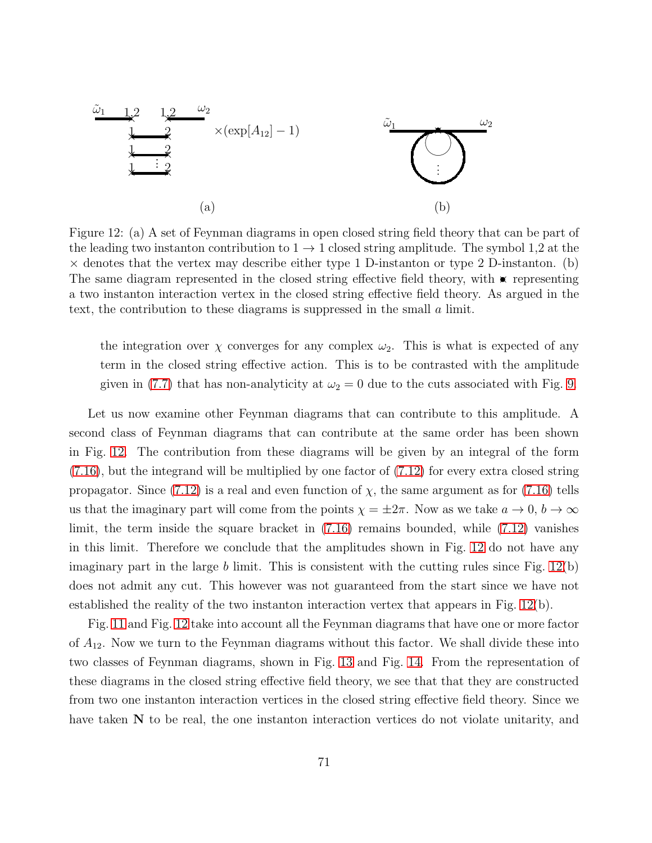

<span id="page-70-0"></span>Figure 12: (a) A set of Feynman diagrams in open closed string field theory that can be part of the leading two instanton contribution to  $1 \rightarrow 1$  closed string amplitude. The symbol 1,2 at the  $\times$  denotes that the vertex may describe either type 1 D-instanton or type 2 D-instanton. (b) The same diagram represented in the closed string effective field theory, with  $\star$  representing a two instanton interaction vertex in the closed string effective field theory. As argued in the text, the contribution to these diagrams is suppressed in the small a limit.

the integration over  $\chi$  converges for any complex  $\omega_2$ . This is what is expected of any term in the closed string effective action. This is to be contrasted with the amplitude given in [\(7.7\)](#page-64-0) that has non-analyticity at  $\omega_2 = 0$  due to the cuts associated with Fig. [9.](#page-65-0)

Let us now examine other Feynman diagrams that can contribute to this amplitude. A second class of Feynman diagrams that can contribute at the same order has been shown in Fig. [12.](#page-70-0) The contribution from these diagrams will be given by an integral of the form [\(7.16\)](#page-69-0), but the integrand will be multiplied by one factor of [\(7.12\)](#page-67-2) for every extra closed string propagator. Since [\(7.12\)](#page-67-2) is a real and even function of  $\chi$ , the same argument as for [\(7.16\)](#page-69-0) tells us that the imaginary part will come from the points  $\chi = \pm 2\pi$ . Now as we take  $a \to 0$ ,  $b \to \infty$ limit, the term inside the square bracket in [\(7.16\)](#page-69-0) remains bounded, while [\(7.12\)](#page-67-2) vanishes in this limit. Therefore we conclude that the amplitudes shown in Fig. [12](#page-70-0) do not have any imaginary part in the large  $b$  limit. This is consistent with the cutting rules since Fig.  $12(b)$ does not admit any cut. This however was not guaranteed from the start since we have not established the reality of the two instanton interaction vertex that appears in Fig. [12\(](#page-70-0)b).

Fig. [11](#page-68-1) and Fig. [12](#page-70-0) take into account all the Feynman diagrams that have one or more factor of  $A_{12}$ . Now we turn to the Feynman diagrams without this factor. We shall divide these into two classes of Feynman diagrams, shown in Fig. [13](#page-71-1) and Fig. [14.](#page-71-0) From the representation of these diagrams in the closed string effective field theory, we see that that they are constructed from two one instanton interaction vertices in the closed string effective field theory. Since we have taken  $N$  to be real, the one instanton interaction vertices do not violate unitarity, and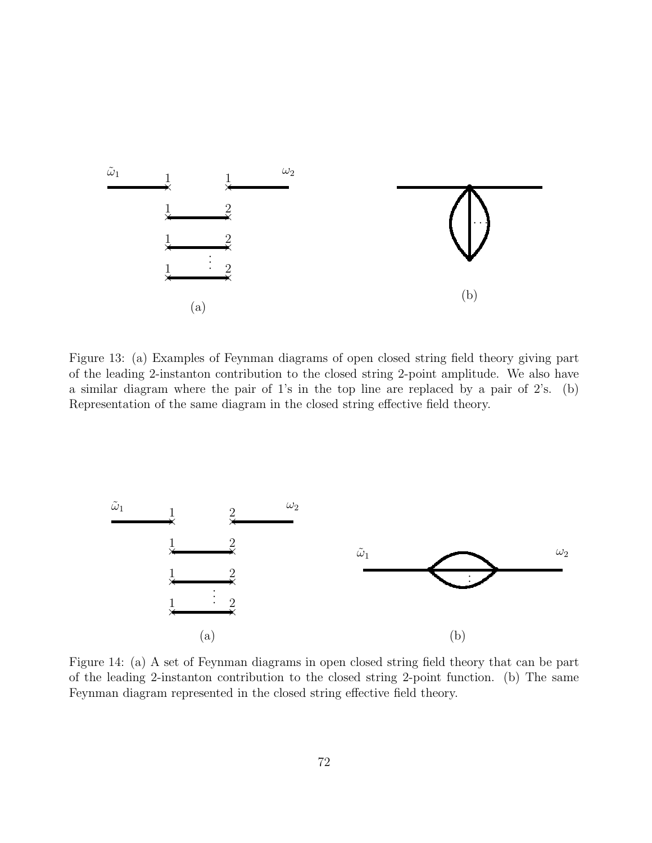

<span id="page-71-1"></span>Figure 13: (a) Examples of Feynman diagrams of open closed string field theory giving part of the leading 2-instanton contribution to the closed string 2-point amplitude. We also have a similar diagram where the pair of 1's in the top line are replaced by a pair of 2's. (b) Representation of the same diagram in the closed string effective field theory.



<span id="page-71-0"></span>Figure 14: (a) A set of Feynman diagrams in open closed string field theory that can be part of the leading 2-instanton contribution to the closed string 2-point function. (b) The same Feynman diagram represented in the closed string effective field theory.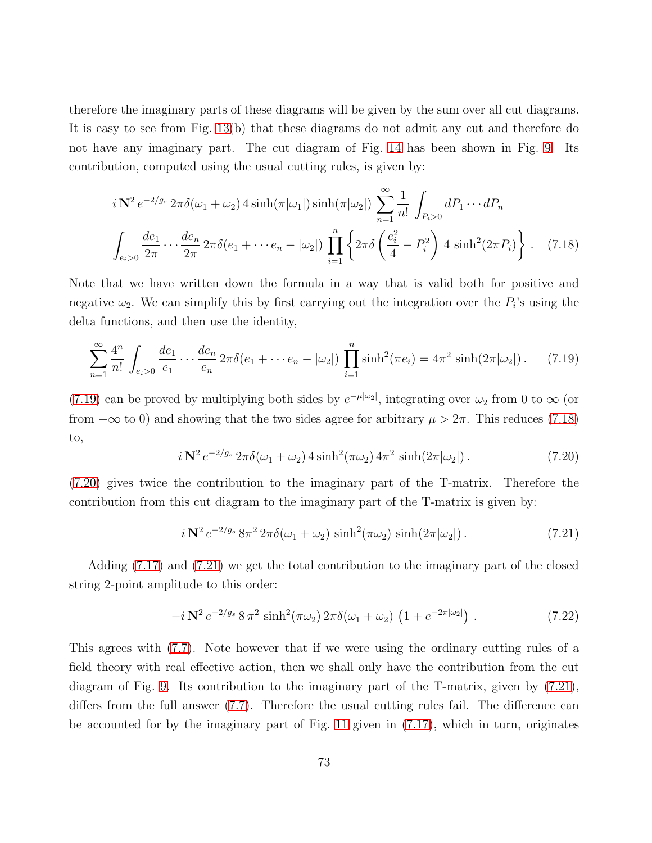therefore the imaginary parts of these diagrams will be given by the sum over all cut diagrams. It is easy to see from Fig. [13\(](#page-71-0)b) that these diagrams do not admit any cut and therefore do not have any imaginary part. The cut diagram of Fig. [14](#page-71-1) has been shown in Fig. [9.](#page-65-0) Its contribution, computed using the usual cutting rules, is given by:

<span id="page-72-1"></span>
$$
i \mathbf{N}^2 e^{-2/g_s} 2\pi \delta(\omega_1 + \omega_2) 4 \sinh(\pi|\omega_1|) \sinh(\pi|\omega_2|) \sum_{n=1}^{\infty} \frac{1}{n!} \int_{P_i > 0} dP_1 \cdots dP_n
$$
  

$$
\int_{e_i > 0} \frac{de_1}{2\pi} \cdots \frac{de_n}{2\pi} 2\pi \delta(e_1 + \cdots + e_n - |\omega_2|) \prod_{i=1}^n \left\{ 2\pi \delta \left( \frac{e_i^2}{4} - P_i^2 \right) 4 \sinh^2(2\pi P_i) \right\} . \tag{7.18}
$$

Note that we have written down the formula in a way that is valid both for positive and negative  $\omega_2$ . We can simplify this by first carrying out the integration over the  $P_i$ 's using the delta functions, and then use the identity,

<span id="page-72-0"></span>
$$
\sum_{n=1}^{\infty} \frac{4^n}{n!} \int_{e_i > 0} \frac{de_1}{e_1} \cdots \frac{de_n}{e_n} 2\pi \delta(e_1 + \cdots + e_n - |\omega_2|) \prod_{i=1}^n \sinh^2(\pi e_i) = 4\pi^2 \sinh(2\pi |\omega_2|) \,. \tag{7.19}
$$

[\(7.19\)](#page-72-0) can be proved by multiplying both sides by  $e^{-\mu|\omega_2|}$ , integrating over  $\omega_2$  from 0 to  $\infty$  (or from  $-\infty$  to 0) and showing that the two sides agree for arbitrary  $\mu > 2\pi$ . This reduces [\(7.18\)](#page-72-1) to,

<span id="page-72-2"></span>
$$
i\,\mathbf{N}^2\,e^{-2/g_s}\,2\pi\delta(\omega_1+\omega_2)\,4\sinh^2(\pi\omega_2)\,4\pi^2\,\sinh(2\pi|\omega_2|)\,. \tag{7.20}
$$

[\(7.20\)](#page-72-2) gives twice the contribution to the imaginary part of the T-matrix. Therefore the contribution from this cut diagram to the imaginary part of the T-matrix is given by:

<span id="page-72-3"></span>
$$
i\,\mathbf{N}^2\,e^{-2/g_s}\,8\pi^2\,2\pi\delta(\omega_1+\omega_2)\,\sinh^2(\pi\omega_2)\,\sinh(2\pi|\omega_2|)\,. \tag{7.21}
$$

Adding [\(7.17\)](#page-69-0) and [\(7.21\)](#page-72-3) we get the total contribution to the imaginary part of the closed string 2-point amplitude to this order:

$$
-i\,\mathbf{N}^2\,e^{-2/g_s}\,8\,\pi^2\,\sinh^2(\pi\omega_2)\,2\pi\delta(\omega_1+\omega_2)\,\left(1+e^{-2\pi|\omega_2|}\right)\,. \tag{7.22}
$$

This agrees with [\(7.7\)](#page-64-0). Note however that if we were using the ordinary cutting rules of a field theory with real effective action, then we shall only have the contribution from the cut diagram of Fig. [9.](#page-65-0) Its contribution to the imaginary part of the T-matrix, given by [\(7.21\)](#page-72-3), differs from the full answer [\(7.7\)](#page-64-0). Therefore the usual cutting rules fail. The difference can be accounted for by the imaginary part of Fig. [11](#page-68-0) given in [\(7.17\)](#page-69-0), which in turn, originates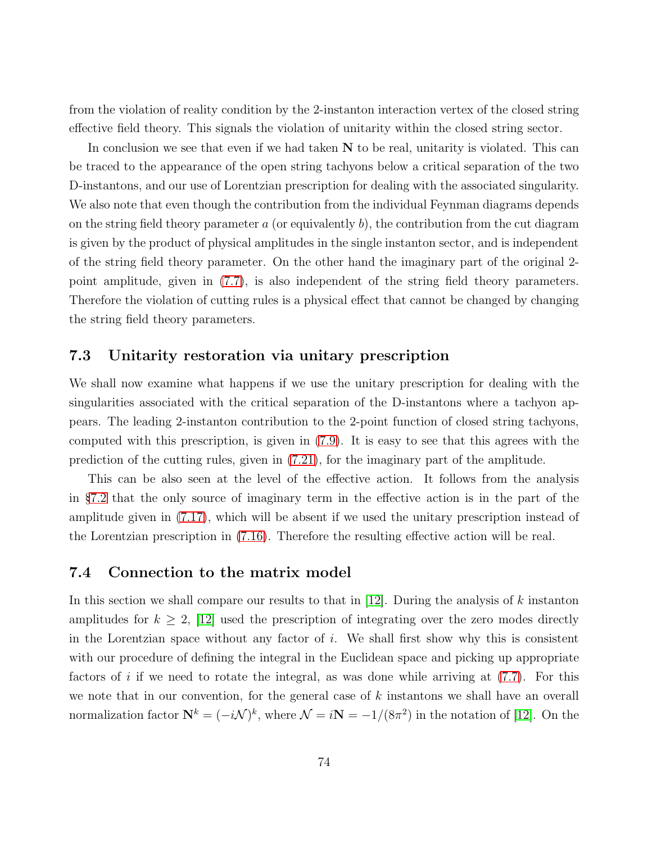from the violation of reality condition by the 2-instanton interaction vertex of the closed string effective field theory. This signals the violation of unitarity within the closed string sector.

In conclusion we see that even if we had taken  $N$  to be real, unitarity is violated. This can be traced to the appearance of the open string tachyons below a critical separation of the two D-instantons, and our use of Lorentzian prescription for dealing with the associated singularity. We also note that even though the contribution from the individual Feynman diagrams depends on the string field theory parameter  $a$  (or equivalently  $b$ ), the contribution from the cut diagram is given by the product of physical amplitudes in the single instanton sector, and is independent of the string field theory parameter. On the other hand the imaginary part of the original 2 point amplitude, given in [\(7.7\)](#page-64-0), is also independent of the string field theory parameters. Therefore the violation of cutting rules is a physical effect that cannot be changed by changing the string field theory parameters.

#### 7.3 Unitarity restoration via unitary prescription

We shall now examine what happens if we use the unitary prescription for dealing with the singularities associated with the critical separation of the D-instantons where a tachyon appears. The leading 2-instanton contribution to the 2-point function of closed string tachyons, computed with this prescription, is given in [\(7.9\)](#page-66-0). It is easy to see that this agrees with the prediction of the cutting rules, given in [\(7.21\)](#page-72-3), for the imaginary part of the amplitude.

This can be also seen at the level of the effective action. It follows from the analysis in §[7.2](#page-67-0) that the only source of imaginary term in the effective action is in the part of the amplitude given in [\(7.17\)](#page-69-0), which will be absent if we used the unitary prescription instead of the Lorentzian prescription in [\(7.16\)](#page-69-1). Therefore the resulting effective action will be real.

#### <span id="page-73-0"></span>7.4 Connection to the matrix model

In this section we shall compare our results to that in  $[12]$ . During the analysis of k instanton amplitudes for  $k \geq 2$ , [\[12\]](#page-88-0) used the prescription of integrating over the zero modes directly in the Lorentzian space without any factor of  $i$ . We shall first show why this is consistent with our procedure of defining the integral in the Euclidean space and picking up appropriate factors of i if we need to rotate the integral, as was done while arriving at  $(7.7)$ . For this we note that in our convention, for the general case of  $k$  instantons we shall have an overall normalization factor  $\mathbf{N}^k = (-i\mathcal{N})^k$ , where  $\mathcal{N} = i\mathbf{N} = -1/(8\pi^2)$  in the notation of [\[12\]](#page-88-0). On the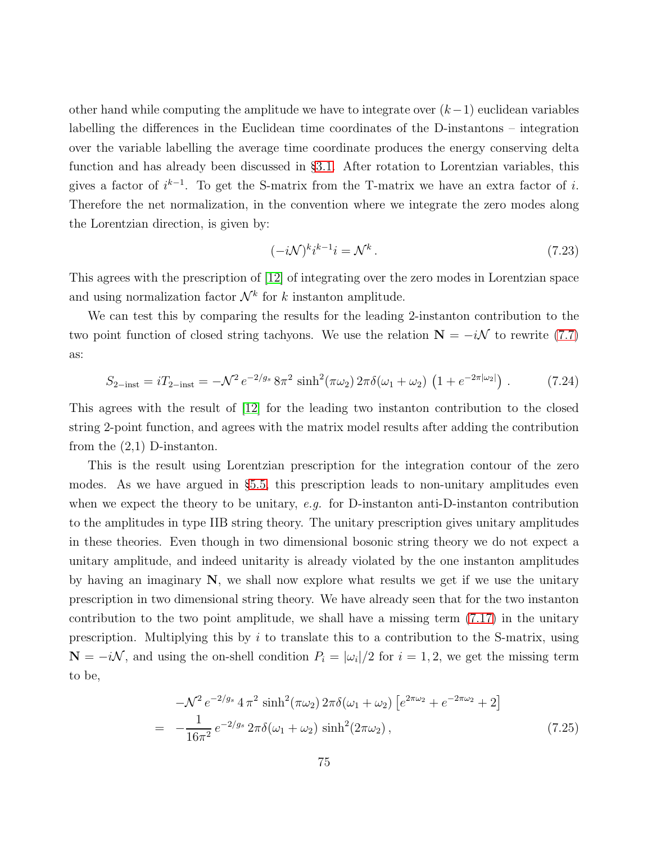other hand while computing the amplitude we have to integrate over  $(k-1)$  euclidean variables labelling the differences in the Euclidean time coordinates of the D-instantons – integration over the variable labelling the average time coordinate produces the energy conserving delta function and has already been discussed in §[3.1.](#page-17-0) After rotation to Lorentzian variables, this gives a factor of  $i^{k-1}$ . To get the S-matrix from the T-matrix we have an extra factor of i. Therefore the net normalization, in the convention where we integrate the zero modes along the Lorentzian direction, is given by:

$$
(-i\mathcal{N})^k i^{k-1} i = \mathcal{N}^k. \tag{7.23}
$$

This agrees with the prescription of [\[12\]](#page-88-0) of integrating over the zero modes in Lorentzian space and using normalization factor  $\mathcal{N}^k$  for k instanton amplitude.

We can test this by comparing the results for the leading 2-instanton contribution to the two point function of closed string tachyons. We use the relation  $N = -i\mathcal{N}$  to rewrite [\(7.7\)](#page-64-0) as:

$$
S_{2-\text{inst}} = iT_{2-\text{inst}} = -\mathcal{N}^2 e^{-2/g_s} 8\pi^2 \sinh^2(\pi\omega_2) 2\pi\delta(\omega_1 + \omega_2) \left(1 + e^{-2\pi|\omega_2|}\right). \tag{7.24}
$$

This agrees with the result of [\[12\]](#page-88-0) for the leading two instanton contribution to the closed string 2-point function, and agrees with the matrix model results after adding the contribution from the (2,1) D-instanton.

This is the result using Lorentzian prescription for the integration contour of the zero modes. As we have argued in §[5.5,](#page-48-0) this prescription leads to non-unitary amplitudes even when we expect the theory to be unitary, e.g. for D-instanton anti-D-instanton contribution to the amplitudes in type IIB string theory. The unitary prescription gives unitary amplitudes in these theories. Even though in two dimensional bosonic string theory we do not expect a unitary amplitude, and indeed unitarity is already violated by the one instanton amplitudes by having an imaginary  $N$ , we shall now explore what results we get if we use the unitary prescription in two dimensional string theory. We have already seen that for the two instanton contribution to the two point amplitude, we shall have a missing term [\(7.17\)](#page-69-0) in the unitary prescription. Multiplying this by  $i$  to translate this to a contribution to the S-matrix, using  $N = -i\mathcal{N}$ , and using the on-shell condition  $P_i = |\omega_i|/2$  for  $i = 1, 2$ , we get the missing term to be,

<span id="page-74-0"></span>
$$
-\mathcal{N}^2 e^{-2/g_s} 4 \pi^2 \sinh^2(\pi \omega_2) 2\pi \delta(\omega_1 + \omega_2) \left[ e^{2\pi \omega_2} + e^{-2\pi \omega_2} + 2 \right]
$$
  
= 
$$
-\frac{1}{16\pi^2} e^{-2/g_s} 2\pi \delta(\omega_1 + \omega_2) \sinh^2(2\pi \omega_2), \qquad (7.25)
$$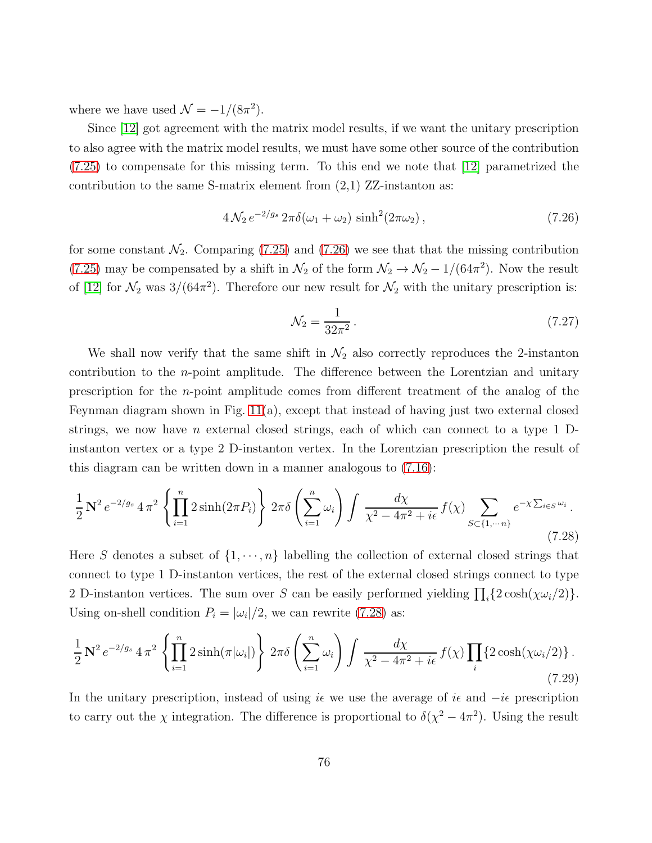where we have used  $\mathcal{N} = -1/(8\pi^2)$ .

Since [\[12\]](#page-88-0) got agreement with the matrix model results, if we want the unitary prescription to also agree with the matrix model results, we must have some other source of the contribution [\(7.25\)](#page-74-0) to compensate for this missing term. To this end we note that [\[12\]](#page-88-0) parametrized the contribution to the same S-matrix element from  $(2,1)$  ZZ-instanton as:

<span id="page-75-0"></span>
$$
4\mathcal{N}_2 e^{-2/g_s} 2\pi \delta(\omega_1 + \omega_2) \sinh^2(2\pi \omega_2), \qquad (7.26)
$$

for some constant  $\mathcal{N}_2$ . Comparing [\(7.25\)](#page-74-0) and [\(7.26\)](#page-75-0) we see that that the missing contribution [\(7.25\)](#page-74-0) may be compensated by a shift in  $\mathcal{N}_2$  of the form  $\mathcal{N}_2 \to \mathcal{N}_2 - 1/(64\pi^2)$ . Now the result of [\[12\]](#page-88-0) for  $\mathcal{N}_2$  was 3/(64 $\pi^2$ ). Therefore our new result for  $\mathcal{N}_2$  with the unitary prescription is:

<span id="page-75-2"></span>
$$
\mathcal{N}_2 = \frac{1}{32\pi^2} \,. \tag{7.27}
$$

We shall now verify that the same shift in  $\mathcal{N}_2$  also correctly reproduces the 2-instanton contribution to the *n*-point amplitude. The difference between the Lorentzian and unitary prescription for the n-point amplitude comes from different treatment of the analog of the Feynman diagram shown in Fig. [11\(](#page-68-0)a), except that instead of having just two external closed strings, we now have n external closed strings, each of which can connect to a type 1  $D$ instanton vertex or a type 2 D-instanton vertex. In the Lorentzian prescription the result of this diagram can be written down in a manner analogous to [\(7.16\)](#page-69-1):

<span id="page-75-1"></span>
$$
\frac{1}{2} \mathbf{N}^2 e^{-2/g_s} 4 \pi^2 \left\{ \prod_{i=1}^n 2 \sinh(2\pi P_i) \right\} 2\pi \delta \left( \sum_{i=1}^n \omega_i \right) \int \frac{d\chi}{\chi^2 - 4\pi^2 + i\epsilon} f(\chi) \sum_{S \subset \{1, \dots n\}} e^{-\chi \sum_{i \in S} \omega_i} .
$$
\n(7.28)

Here S denotes a subset of  $\{1, \dots, n\}$  labelling the collection of external closed strings that connect to type 1 D-instanton vertices, the rest of the external closed strings connect to type 2 D-instanton vertices. The sum over S can be easily performed yielding  $\prod_i \{2 \cosh(\chi \omega_i/2)\}.$ Using on-shell condition  $P_i = |\omega_i|/2$ , we can rewrite [\(7.28\)](#page-75-1) as:

$$
\frac{1}{2} \mathbf{N}^2 e^{-2/g_s} 4 \pi^2 \left\{ \prod_{i=1}^n 2 \sinh(\pi|\omega_i|) \right\} 2 \pi \delta \left( \sum_{i=1}^n \omega_i \right) \int \frac{d\chi}{\chi^2 - 4\pi^2 + i\epsilon} f(\chi) \prod_i \{ 2 \cosh(\chi \omega_i/2) \} . \tag{7.29}
$$

In the unitary prescription, instead of using  $i\epsilon$  we use the average of  $i\epsilon$  and  $-i\epsilon$  prescription to carry out the  $\chi$  integration. The difference is proportional to  $\delta(\chi^2 - 4\pi^2)$ . Using the result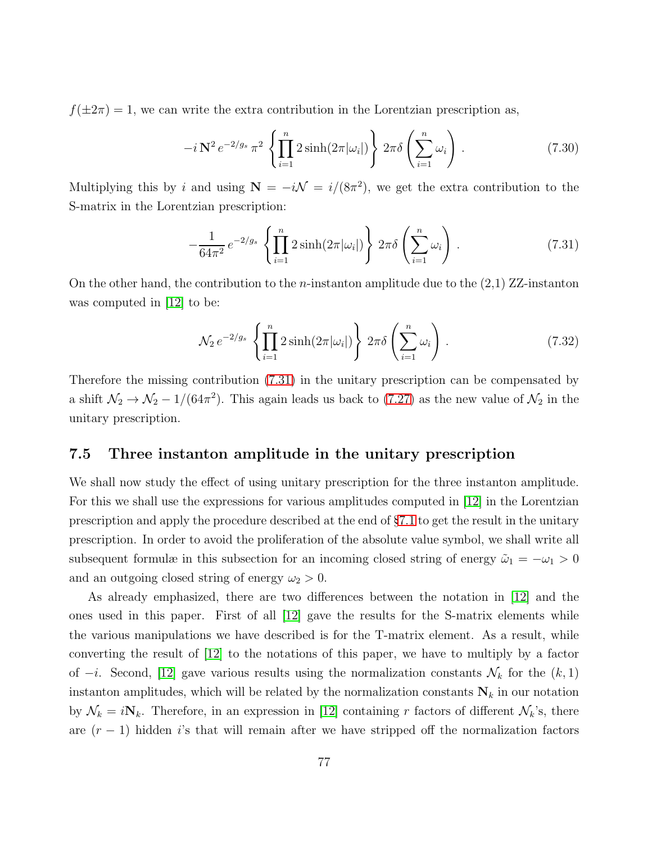$f(\pm 2\pi) = 1$ , we can write the extra contribution in the Lorentzian prescription as,

$$
-i\,\mathbf{N}^2\,e^{-2/g_s}\,\pi^2\,\left\{\prod_{i=1}^n 2\sinh(2\pi|\omega_i|)\right\}\,2\pi\delta\left(\sum_{i=1}^n\omega_i\right)\,. \tag{7.30}
$$

Multiplying this by i and using  $N = -i\mathcal{N} = i/(8\pi^2)$ , we get the extra contribution to the S-matrix in the Lorentzian prescription:

<span id="page-76-0"></span>
$$
-\frac{1}{64\pi^2} e^{-2/g_s} \left\{ \prod_{i=1}^n 2\sinh(2\pi|\omega_i|) \right\} 2\pi \delta \left( \sum_{i=1}^n \omega_i \right). \tag{7.31}
$$

On the other hand, the contribution to the *n*-instanton amplitude due to the  $(2,1)$  ZZ-instanton was computed in  $|12|$  to be:

$$
\mathcal{N}_2 e^{-2/g_s} \left\{ \prod_{i=1}^n 2 \sinh(2\pi |\omega_i|) \right\} 2\pi \delta \left( \sum_{i=1}^n \omega_i \right). \tag{7.32}
$$

Therefore the missing contribution [\(7.31\)](#page-76-0) in the unitary prescription can be compensated by a shift  $\mathcal{N}_2 \to \mathcal{N}_2 - 1/(64\pi^2)$ . This again leads us back to [\(7.27\)](#page-75-2) as the new value of  $\mathcal{N}_2$  in the unitary prescription.

#### 7.5 Three instanton amplitude in the unitary prescription

We shall now study the effect of using unitary prescription for the three instanton amplitude. For this we shall use the expressions for various amplitudes computed in [\[12\]](#page-88-0) in the Lorentzian prescription and apply the procedure described at the end of §[7.1](#page-61-0) to get the result in the unitary prescription. In order to avoid the proliferation of the absolute value symbol, we shall write all subsequent formulæ in this subsection for an incoming closed string of energy  $\tilde{\omega}_1 = -\omega_1 > 0$ and an outgoing closed string of energy  $\omega_2 > 0$ .

As already emphasized, there are two differences between the notation in [\[12\]](#page-88-0) and the ones used in this paper. First of all [\[12\]](#page-88-0) gave the results for the S-matrix elements while the various manipulations we have described is for the T-matrix element. As a result, while converting the result of [\[12\]](#page-88-0) to the notations of this paper, we have to multiply by a factor of  $-i$ . Second, [\[12\]](#page-88-0) gave various results using the normalization constants  $\mathcal{N}_k$  for the  $(k, 1)$ instanton amplitudes, which will be related by the normalization constants  $N_k$  in our notation by  $\mathcal{N}_k = i\mathbf{N}_k$ . Therefore, in an expression in [\[12\]](#page-88-0) containing r factors of different  $\mathcal{N}_k$ 's, there are  $(r-1)$  hidden is that will remain after we have stripped off the normalization factors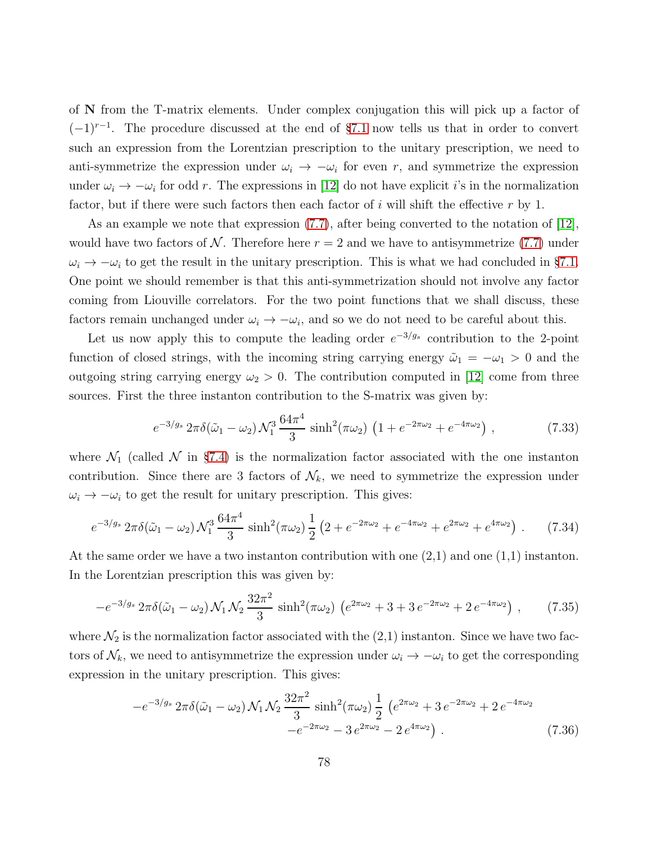of N from the T-matrix elements. Under complex conjugation this will pick up a factor of  $(-1)^{r-1}$ . The procedure discussed at the end of §[7.1](#page-61-0) now tells us that in order to convert such an expression from the Lorentzian prescription to the unitary prescription, we need to anti-symmetrize the expression under  $\omega_i \to -\omega_i$  for even r, and symmetrize the expression under  $\omega_i \to -\omega_i$  for odd r. The expressions in [\[12\]](#page-88-0) do not have explicit *i*'s in the normalization factor, but if there were such factors then each factor of i will shift the effective  $r$  by 1.

As an example we note that expression [\(7.7\)](#page-64-0), after being converted to the notation of [\[12\]](#page-88-0), would have two factors of N. Therefore here  $r = 2$  and we have to antisymmetrize [\(7.7\)](#page-64-0) under  $\omega_i \rightarrow -\omega_i$  to get the result in the unitary prescription. This is what we had concluded in §[7.1.](#page-61-0) One point we should remember is that this anti-symmetrization should not involve any factor coming from Liouville correlators. For the two point functions that we shall discuss, these factors remain unchanged under  $\omega_i \to -\omega_i$ , and so we do not need to be careful about this.

Let us now apply this to compute the leading order  $e^{-3/g_s}$  contribution to the 2-point function of closed strings, with the incoming string carrying energy  $\tilde{\omega}_1 = -\omega_1 > 0$  and the outgoing string carrying energy  $\omega_2 > 0$ . The contribution computed in [\[12\]](#page-88-0) come from three sources. First the three instanton contribution to the S-matrix was given by:

$$
e^{-3/g_s} 2\pi \delta(\tilde{\omega}_1 - \omega_2) \mathcal{N}_1^3 \frac{64\pi^4}{3} \sinh^2(\pi \omega_2) \left(1 + e^{-2\pi \omega_2} + e^{-4\pi \omega_2}\right), \tag{7.33}
$$

where  $\mathcal{N}_1$  (called  $\mathcal N$  in §[7.4\)](#page-73-0) is the normalization factor associated with the one instanton contribution. Since there are 3 factors of  $\mathcal{N}_k$ , we need to symmetrize the expression under  $\omega_i \rightarrow -\omega_i$  to get the result for unitary prescription. This gives:

<span id="page-77-0"></span>
$$
e^{-3/g_s} 2\pi \delta(\tilde{\omega}_1 - \omega_2) \mathcal{N}_1^3 \frac{64\pi^4}{3} \sinh^2(\pi \omega_2) \frac{1}{2} \left(2 + e^{-2\pi\omega_2} + e^{-4\pi\omega_2} + e^{2\pi\omega_2} + e^{4\pi\omega_2}\right). \tag{7.34}
$$

At the same order we have a two instanton contribution with one (2,1) and one (1,1) instanton. In the Lorentzian prescription this was given by:

$$
-e^{-3/g_s} 2\pi \delta(\tilde{\omega}_1 - \omega_2) \mathcal{N}_1 \mathcal{N}_2 \frac{32\pi^2}{3} \sinh^2(\pi \omega_2) \left(e^{2\pi \omega_2} + 3 + 3e^{-2\pi \omega_2} + 2e^{-4\pi \omega_2}\right), \tag{7.35}
$$

where  $\mathcal{N}_2$  is the normalization factor associated with the  $(2,1)$  instanton. Since we have two factors of  $\mathcal{N}_k$ , we need to antisymmetrize the expression under  $\omega_i \to -\omega_i$  to get the corresponding expression in the unitary prescription. This gives:

<span id="page-77-1"></span>
$$
-e^{-3/g_s} 2\pi \delta(\tilde{\omega}_1 - \omega_2) \mathcal{N}_1 \mathcal{N}_2 \frac{32\pi^2}{3} \sinh^2(\pi \omega_2) \frac{1}{2} \left( e^{2\pi \omega_2} + 3 e^{-2\pi \omega_2} + 2 e^{-4\pi \omega_2} - e^{-2\pi \omega_2} - 3 e^{2\pi \omega_2} - 2 e^{4\pi \omega_2} \right). \tag{7.36}
$$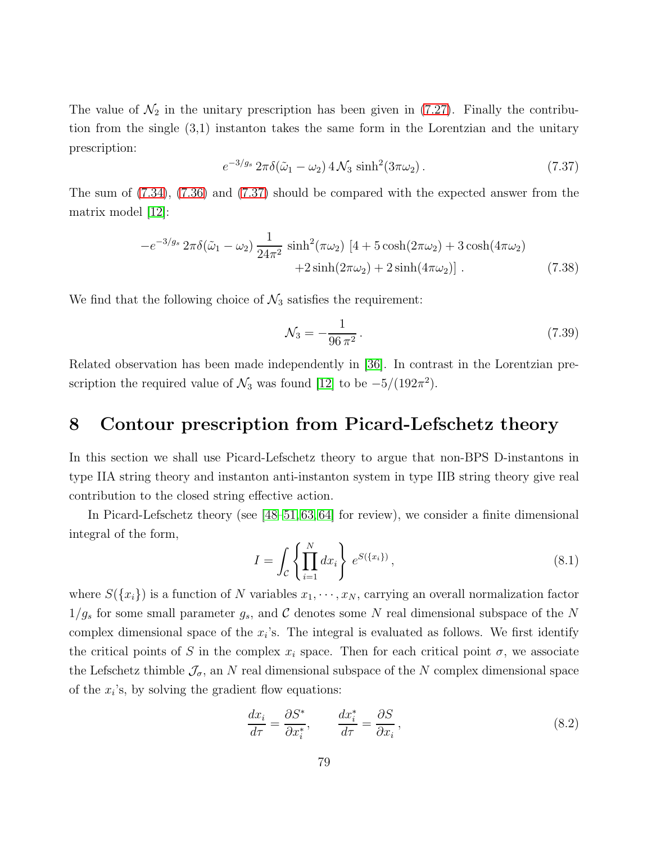The value of  $\mathcal{N}_2$  in the unitary prescription has been given in [\(7.27\)](#page-75-2). Finally the contribution from the single (3,1) instanton takes the same form in the Lorentzian and the unitary prescription:

<span id="page-78-0"></span>
$$
e^{-3/g_s} 2\pi \delta(\tilde{\omega}_1 - \omega_2) 4\mathcal{N}_3 \sinh^2(3\pi\omega_2).
$$
 (7.37)

The sum of [\(7.34\)](#page-77-0), [\(7.36\)](#page-77-1) and [\(7.37\)](#page-78-0) should be compared with the expected answer from the matrix model [\[12\]](#page-88-0):

$$
-e^{-3/g_s} 2\pi \delta(\tilde{\omega}_1 - \omega_2) \frac{1}{24\pi^2} \sinh^2(\pi \omega_2) \left[4 + 5\cosh(2\pi \omega_2) + 3\cosh(4\pi \omega_2) + 2\sinh(2\pi \omega_2) + 2\sinh(4\pi \omega_2)\right].
$$
 (7.38)

We find that the following choice of  $\mathcal{N}_3$  satisfies the requirement:

$$
\mathcal{N}_3 = -\frac{1}{96\,\pi^2} \,. \tag{7.39}
$$

Related observation has been made independently in [\[36\]](#page-90-0). In contrast in the Lorentzian prescription the required value of  $\mathcal{N}_3$  was found [\[12\]](#page-88-0) to be  $-5/(192\pi^2)$ .

## 8 Contour prescription from Picard-Lefschetz theory

In this section we shall use Picard-Lefschetz theory to argue that non-BPS D-instantons in type IIA string theory and instanton anti-instanton system in type IIB string theory give real contribution to the closed string effective action.

In Picard-Lefschetz theory (see [\[48–](#page-91-0)[51,](#page-91-1) [63,](#page-92-0) [64\]](#page-92-1) for review), we consider a finite dimensional integral of the form,

<span id="page-78-1"></span>
$$
I = \int_{\mathcal{C}} \left\{ \prod_{i=1}^{N} dx_i \right\} e^{S(\{x_i\})}, \tag{8.1}
$$

where  $S({x_i})$  is a function of N variables  $x_1, \dots, x_N$ , carrying an overall normalization factor  $1/g_s$  for some small parameter  $g_s$ , and C denotes some N real dimensional subspace of the N complex dimensional space of the  $x_i$ 's. The integral is evaluated as follows. We first identify the critical points of S in the complex  $x_i$  space. Then for each critical point  $\sigma$ , we associate the Lefschetz thimble  $\mathcal{J}_{\sigma}$ , an N real dimensional subspace of the N complex dimensional space of the  $x_i$ 's, by solving the gradient flow equations:

<span id="page-78-2"></span>
$$
\frac{dx_i}{d\tau} = \frac{\partial S^*}{\partial x_i^*}, \qquad \frac{dx_i^*}{d\tau} = \frac{\partial S}{\partial x_i},\tag{8.2}
$$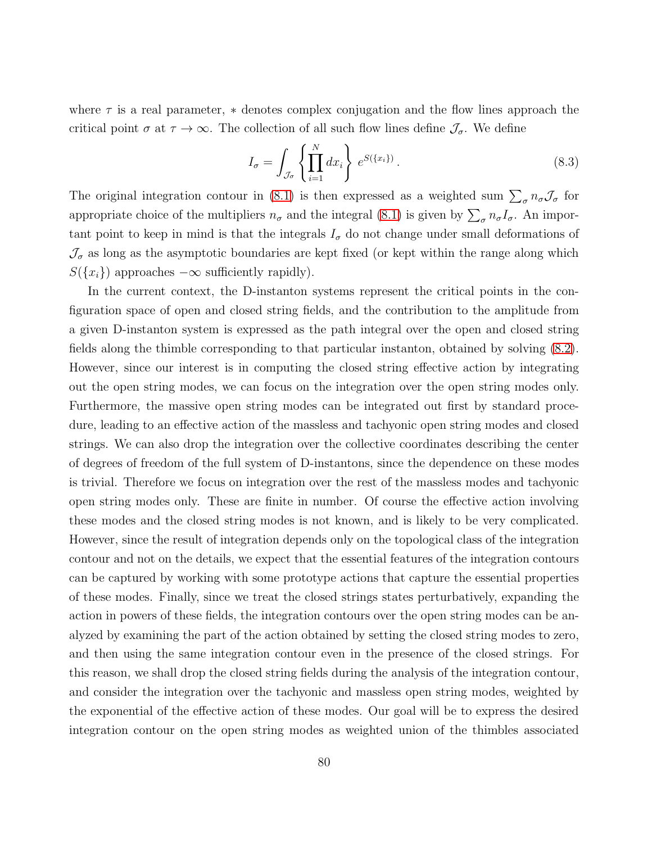where  $\tau$  is a real parameter,  $*$  denotes complex conjugation and the flow lines approach the critical point  $\sigma$  at  $\tau \to \infty$ . The collection of all such flow lines define  $\mathcal{J}_{\sigma}$ . We define

$$
I_{\sigma} = \int_{\mathcal{J}_{\sigma}} \left\{ \prod_{i=1}^{N} dx_i \right\} e^{S(\{x_i\})} . \tag{8.3}
$$

The original integration contour in [\(8.1\)](#page-78-1) is then expressed as a weighted sum  $\sum_{\sigma} n_{\sigma} \mathcal{J}_{\sigma}$  for appropriate choice of the multipliers  $n_{\sigma}$  and the integral [\(8.1\)](#page-78-1) is given by  $\sum_{\sigma} n_{\sigma} I_{\sigma}$ . An important point to keep in mind is that the integrals  $I_{\sigma}$  do not change under small deformations of  $\mathcal{J}_{\sigma}$  as long as the asymptotic boundaries are kept fixed (or kept within the range along which  $S({x_i})$  approaches  $-\infty$  sufficiently rapidly).

In the current context, the D-instanton systems represent the critical points in the configuration space of open and closed string fields, and the contribution to the amplitude from a given D-instanton system is expressed as the path integral over the open and closed string fields along the thimble corresponding to that particular instanton, obtained by solving [\(8.2\)](#page-78-2). However, since our interest is in computing the closed string effective action by integrating out the open string modes, we can focus on the integration over the open string modes only. Furthermore, the massive open string modes can be integrated out first by standard procedure, leading to an effective action of the massless and tachyonic open string modes and closed strings. We can also drop the integration over the collective coordinates describing the center of degrees of freedom of the full system of D-instantons, since the dependence on these modes is trivial. Therefore we focus on integration over the rest of the massless modes and tachyonic open string modes only. These are finite in number. Of course the effective action involving these modes and the closed string modes is not known, and is likely to be very complicated. However, since the result of integration depends only on the topological class of the integration contour and not on the details, we expect that the essential features of the integration contours can be captured by working with some prototype actions that capture the essential properties of these modes. Finally, since we treat the closed strings states perturbatively, expanding the action in powers of these fields, the integration contours over the open string modes can be analyzed by examining the part of the action obtained by setting the closed string modes to zero, and then using the same integration contour even in the presence of the closed strings. For this reason, we shall drop the closed string fields during the analysis of the integration contour, and consider the integration over the tachyonic and massless open string modes, weighted by the exponential of the effective action of these modes. Our goal will be to express the desired integration contour on the open string modes as weighted union of the thimbles associated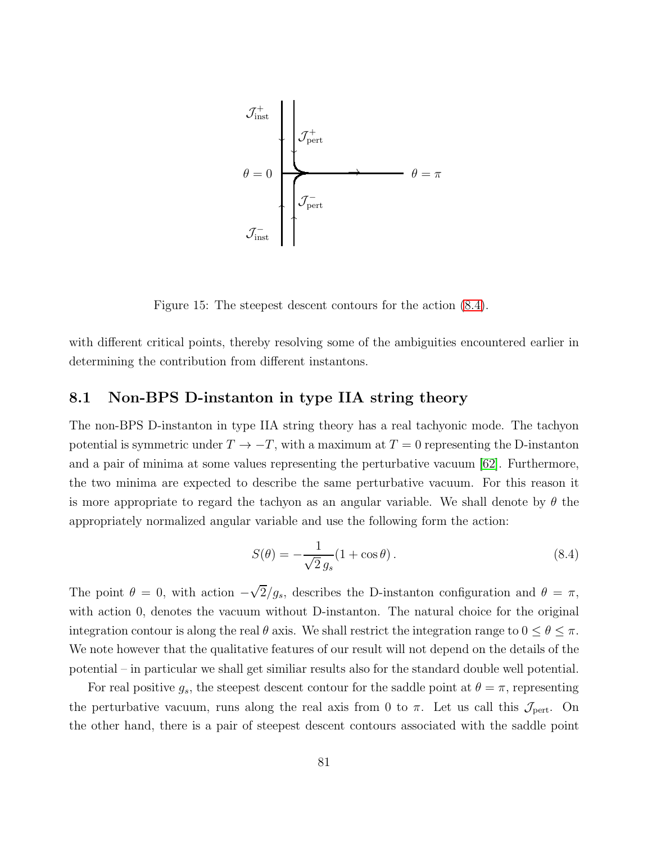

<span id="page-80-1"></span>Figure 15: The steepest descent contours for the action [\(8.4\)](#page-80-0).

with different critical points, thereby resolving some of the ambiguities encountered earlier in determining the contribution from different instantons.

### <span id="page-80-2"></span>8.1 Non-BPS D-instanton in type IIA string theory

The non-BPS D-instanton in type IIA string theory has a real tachyonic mode. The tachyon potential is symmetric under  $T \to -T$ , with a maximum at  $T = 0$  representing the D-instanton and a pair of minima at some values representing the perturbative vacuum [\[62\]](#page-92-2). Furthermore, the two minima are expected to describe the same perturbative vacuum. For this reason it is more appropriate to regard the tachyon as an angular variable. We shall denote by  $\theta$  the appropriately normalized angular variable and use the following form the action:

<span id="page-80-0"></span>
$$
S(\theta) = -\frac{1}{\sqrt{2}g_s}(1 + \cos \theta). \tag{8.4}
$$

The point  $\theta = 0$ , with action  $-\sqrt{2}/g_s$ , describes the D-instanton configuration and  $\theta = \pi$ , with action 0, denotes the vacuum without D-instanton. The natural choice for the original integration contour is along the real  $\theta$  axis. We shall restrict the integration range to  $0 \le \theta \le \pi$ . We note however that the qualitative features of our result will not depend on the details of the potential – in particular we shall get similiar results also for the standard double well potential.

For real positive  $g_s$ , the steepest descent contour for the saddle point at  $\theta = \pi$ , representing the perturbative vacuum, runs along the real axis from 0 to  $\pi$ . Let us call this  $\mathcal{J}_{\text{pert}}$ . On the other hand, there is a pair of steepest descent contours associated with the saddle point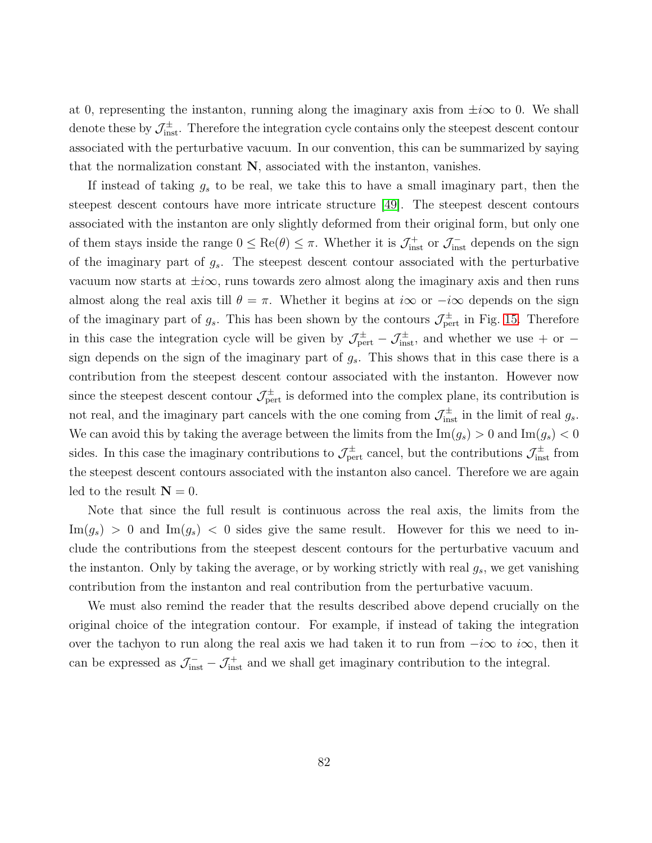at 0, representing the instanton, running along the imaginary axis from  $\pm i\infty$  to 0. We shall denote these by  $\mathcal{J}^{\pm}_{inst}$ . Therefore the integration cycle contains only the steepest descent contour associated with the perturbative vacuum. In our convention, this can be summarized by saying that the normalization constant N, associated with the instanton, vanishes.

If instead of taking  $g_s$  to be real, we take this to have a small imaginary part, then the steepest descent contours have more intricate structure [\[49\]](#page-91-2). The steepest descent contours associated with the instanton are only slightly deformed from their original form, but only one of them stays inside the range  $0 \leq \text{Re}(\theta) \leq \pi$ . Whether it is  $\mathcal{J}^+_{\text{inst}}$  or  $\mathcal{J}^-_{\text{inst}}$  depends on the sign of the imaginary part of  $g_s$ . The steepest descent contour associated with the perturbative vacuum now starts at  $\pm i\infty$ , runs towards zero almost along the imaginary axis and then runs almost along the real axis till  $\theta = \pi$ . Whether it begins at  $i\infty$  or  $-i\infty$  depends on the sign of the imaginary part of  $g_s$ . This has been shown by the contours  $\mathcal{J}_{\text{pert}}^{\pm}$  in Fig. [15.](#page-80-1) Therefore in this case the integration cycle will be given by  $\mathcal{J}_{pert}^{\pm} - \mathcal{J}_{inst}^{\pm}$ , and whether we use + or sign depends on the sign of the imaginary part of  $g_s$ . This shows that in this case there is a contribution from the steepest descent contour associated with the instanton. However now since the steepest descent contour  $\mathcal{J}_{\text{pert}}^{\pm}$  is deformed into the complex plane, its contribution is not real, and the imaginary part cancels with the one coming from  $\mathcal{J}_{inst}^{\pm}$  in the limit of real  $g_s$ . We can avoid this by taking the average between the limits from the  $\text{Im}(g_s) > 0$  and  $\text{Im}(g_s) < 0$ sides. In this case the imaginary contributions to  $\mathcal{J}_{\text{pert}}^{\pm}$  cancel, but the contributions  $\mathcal{J}_{\text{inst}}^{\pm}$  from the steepest descent contours associated with the instanton also cancel. Therefore we are again led to the result  $N = 0$ .

Note that since the full result is continuous across the real axis, the limits from the  $\text{Im}(g_s) > 0$  and  $\text{Im}(g_s) < 0$  sides give the same result. However for this we need to include the contributions from the steepest descent contours for the perturbative vacuum and the instanton. Only by taking the average, or by working strictly with real  $g_s$ , we get vanishing contribution from the instanton and real contribution from the perturbative vacuum.

We must also remind the reader that the results described above depend crucially on the original choice of the integration contour. For example, if instead of taking the integration over the tachyon to run along the real axis we had taken it to run from  $-i\infty$  to  $i\infty$ , then it can be expressed as  $\mathcal{J}^-_{inst} - \mathcal{J}^+_{inst}$  and we shall get imaginary contribution to the integral.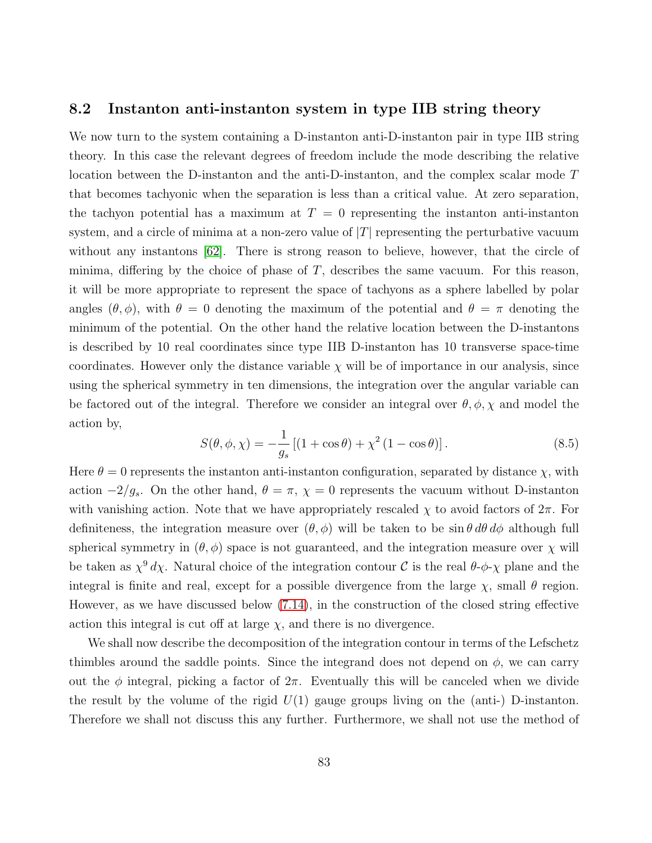#### 8.2 Instanton anti-instanton system in type IIB string theory

We now turn to the system containing a D-instanton anti-D-instanton pair in type IIB string theory. In this case the relevant degrees of freedom include the mode describing the relative location between the D-instanton and the anti-D-instanton, and the complex scalar mode T that becomes tachyonic when the separation is less than a critical value. At zero separation, the tachyon potential has a maximum at  $T = 0$  representing the instanton anti-instanton system, and a circle of minima at a non-zero value of  $|T|$  representing the perturbative vacuum without any instantons [\[62\]](#page-92-2). There is strong reason to believe, however, that the circle of minima, differing by the choice of phase of  $T$ , describes the same vacuum. For this reason, it will be more appropriate to represent the space of tachyons as a sphere labelled by polar angles  $(\theta, \phi)$ , with  $\theta = 0$  denoting the maximum of the potential and  $\theta = \pi$  denoting the minimum of the potential. On the other hand the relative location between the D-instantons is described by 10 real coordinates since type IIB D-instanton has 10 transverse space-time coordinates. However only the distance variable  $\chi$  will be of importance in our analysis, since using the spherical symmetry in ten dimensions, the integration over the angular variable can be factored out of the integral. Therefore we consider an integral over  $\theta$ ,  $\phi$ ,  $\chi$  and model the action by,

<span id="page-82-0"></span>
$$
S(\theta, \phi, \chi) = -\frac{1}{g_s} \left[ (1 + \cos \theta) + \chi^2 (1 - \cos \theta) \right].
$$
 (8.5)

Here  $\theta = 0$  represents the instanton anti-instanton configuration, separated by distance  $\chi$ , with action  $-2/g_s$ . On the other hand,  $\theta = \pi$ ,  $\chi = 0$  represents the vacuum without D-instanton with vanishing action. Note that we have appropriately rescaled  $\chi$  to avoid factors of  $2\pi$ . For definiteness, the integration measure over  $(\theta, \phi)$  will be taken to be  $\sin \theta \, d\theta \, d\phi$  although full spherical symmetry in  $(\theta, \phi)$  space is not guaranteed, and the integration measure over  $\chi$  will be taken as  $\chi^9 d\chi$ . Natural choice of the integration contour C is the real  $\theta$ - $\phi$ - $\chi$  plane and the integral is finite and real, except for a possible divergence from the large  $\chi$ , small  $\theta$  region. However, as we have discussed below [\(7.14\)](#page-68-1), in the construction of the closed string effective action this integral is cut off at large  $\chi$ , and there is no divergence.

We shall now describe the decomposition of the integration contour in terms of the Lefschetz thimbles around the saddle points. Since the integrand does not depend on  $\phi$ , we can carry out the  $\phi$  integral, picking a factor of  $2\pi$ . Eventually this will be canceled when we divide the result by the volume of the rigid  $U(1)$  gauge groups living on the (anti-) D-instanton. Therefore we shall not discuss this any further. Furthermore, we shall not use the method of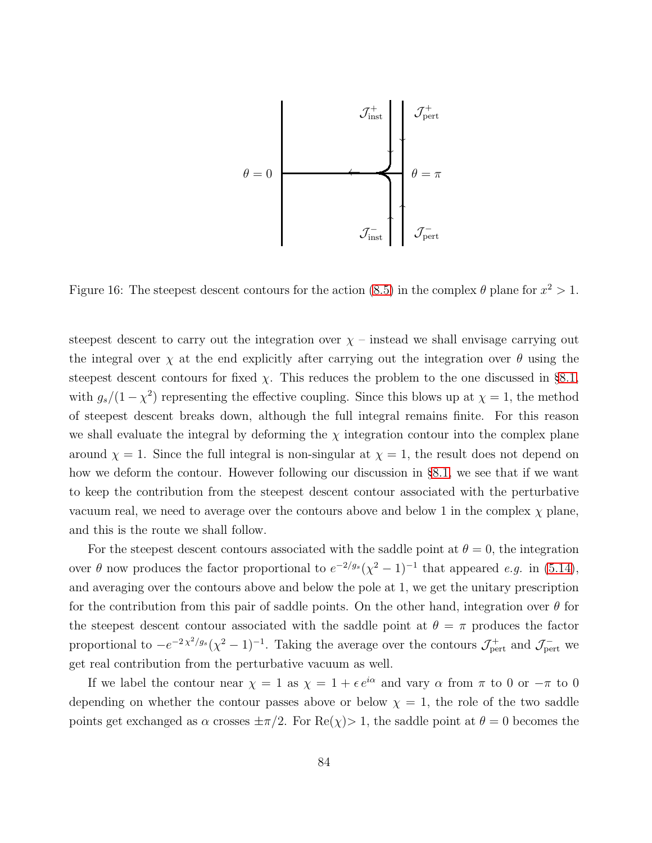

<span id="page-83-0"></span>Figure 16: The steepest descent contours for the action [\(8.5\)](#page-82-0) in the complex  $\theta$  plane for  $x^2 > 1$ .

steepest descent to carry out the integration over  $\chi$  – instead we shall envisage carrying out the integral over  $\chi$  at the end explicitly after carrying out the integration over  $\theta$  using the steepest descent contours for fixed  $\chi$ . This reduces the problem to the one discussed in §[8.1,](#page-80-2) with  $g_s/(1-\chi^2)$  representing the effective coupling. Since this blows up at  $\chi=1$ , the method of steepest descent breaks down, although the full integral remains finite. For this reason we shall evaluate the integral by deforming the  $\chi$  integration contour into the complex plane around  $\chi = 1$ . Since the full integral is non-singular at  $\chi = 1$ , the result does not depend on how we deform the contour. However following our discussion in §[8.1,](#page-80-2) we see that if we want to keep the contribution from the steepest descent contour associated with the perturbative vacuum real, we need to average over the contours above and below 1 in the complex  $\chi$  plane, and this is the route we shall follow.

For the steepest descent contours associated with the saddle point at  $\theta = 0$ , the integration over  $\theta$  now produces the factor proportional to  $e^{-2/g_s}(\chi^2-1)^{-1}$  that appeared e.g. in [\(5.14\)](#page-49-0), and averaging over the contours above and below the pole at 1, we get the unitary prescription for the contribution from this pair of saddle points. On the other hand, integration over  $\theta$  for the steepest descent contour associated with the saddle point at  $\theta = \pi$  produces the factor proportional to  $-e^{-2\chi^2/g_s}(\chi^2-1)^{-1}$ . Taking the average over the contours  $\mathcal{J}^+_{\text{pert}}$  and  $\mathcal{J}^-_{\text{pert}}$  we get real contribution from the perturbative vacuum as well.

If we label the contour near  $\chi = 1$  as  $\chi = 1 + \epsilon e^{i\alpha}$  and vary  $\alpha$  from  $\pi$  to 0 or  $-\pi$  to 0 depending on whether the contour passes above or below  $\chi = 1$ , the role of the two saddle points get exchanged as  $\alpha$  crosses  $\pm \pi/2$ . For Re( $\chi$ ) > 1, the saddle point at  $\theta = 0$  becomes the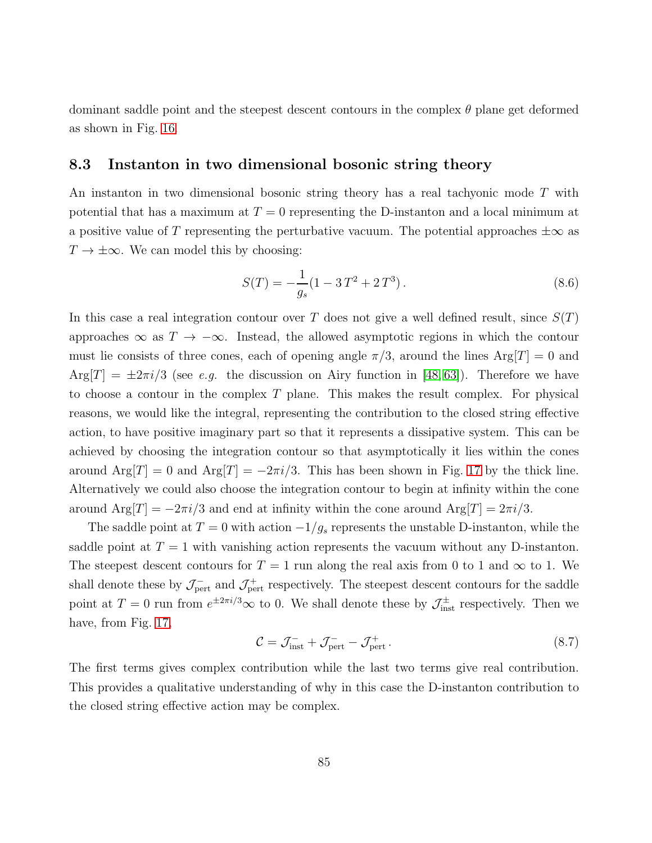dominant saddle point and the steepest descent contours in the complex  $\theta$  plane get deformed as shown in Fig. [16.](#page-83-0)

### 8.3 Instanton in two dimensional bosonic string theory

An instanton in two dimensional bosonic string theory has a real tachyonic mode T with potential that has a maximum at  $T = 0$  representing the D-instanton and a local minimum at a positive value of T representing the perturbative vacuum. The potential approaches  $\pm \infty$  as  $T \to \pm \infty$ . We can model this by choosing:

<span id="page-84-0"></span>
$$
S(T) = -\frac{1}{g_s}(1 - 3T^2 + 2T^3). \tag{8.6}
$$

In this case a real integration contour over T does not give a well defined result, since  $S(T)$ approaches  $\infty$  as  $T \to -\infty$ . Instead, the allowed asymptotic regions in which the contour must lie consists of three cones, each of opening angle  $\pi/3$ , around the lines Arg $[T] = 0$  and  $Arg[T] = \pm 2\pi i/3$  (see e.g. the discussion on Airy function in [\[48,](#page-91-0)63]). Therefore we have to choose a contour in the complex T plane. This makes the result complex. For physical reasons, we would like the integral, representing the contribution to the closed string effective action, to have positive imaginary part so that it represents a dissipative system. This can be achieved by choosing the integration contour so that asymptotically it lies within the cones around  $\text{Arg}[T] = 0$  and  $\text{Arg}[T] = -2\pi i/3$ . This has been shown in Fig. [17](#page-85-0) by the thick line. Alternatively we could also choose the integration contour to begin at infinity within the cone around  $\text{Arg}[T] = -2\pi i/3$  and end at infinity within the cone around  $\text{Arg}[T] = 2\pi i/3$ .

The saddle point at  $T = 0$  with action  $-1/g_s$  represents the unstable D-instanton, while the saddle point at  $T = 1$  with vanishing action represents the vacuum without any D-instanton. The steepest descent contours for  $T = 1$  run along the real axis from 0 to 1 and  $\infty$  to 1. We shall denote these by  $\mathcal{J}_{\rm pert}^-$  and  $\mathcal{J}_{\rm pert}^+$  respectively. The steepest descent contours for the saddle point at  $T = 0$  run from  $e^{\pm 2\pi i/3} \infty$  to 0. We shall denote these by  $\mathcal{J}_{\text{inst}}^{\pm}$  respectively. Then we have, from Fig. [17,](#page-85-0)

$$
\mathcal{C} = \mathcal{J}_{\text{inst}}^- + \mathcal{J}_{\text{pert}}^- - \mathcal{J}_{\text{pert}}^+ \,. \tag{8.7}
$$

The first terms gives complex contribution while the last two terms give real contribution. This provides a qualitative understanding of why in this case the D-instanton contribution to the closed string effective action may be complex.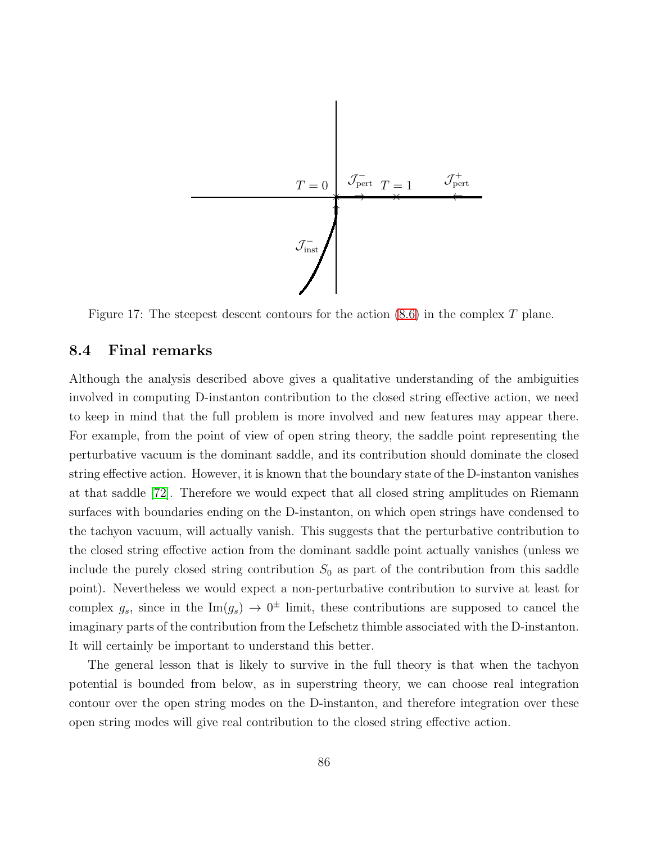

<span id="page-85-0"></span>Figure 17: The steepest descent contours for the action [\(8.6\)](#page-84-0) in the complex T plane.

## 8.4 Final remarks

Although the analysis described above gives a qualitative understanding of the ambiguities involved in computing D-instanton contribution to the closed string effective action, we need to keep in mind that the full problem is more involved and new features may appear there. For example, from the point of view of open string theory, the saddle point representing the perturbative vacuum is the dominant saddle, and its contribution should dominate the closed string effective action. However, it is known that the boundary state of the D-instanton vanishes at that saddle [\[72\]](#page-93-0). Therefore we would expect that all closed string amplitudes on Riemann surfaces with boundaries ending on the D-instanton, on which open strings have condensed to the tachyon vacuum, will actually vanish. This suggests that the perturbative contribution to the closed string effective action from the dominant saddle point actually vanishes (unless we include the purely closed string contribution  $S_0$  as part of the contribution from this saddle point). Nevertheless we would expect a non-perturbative contribution to survive at least for complex  $g_s$ , since in the Im $(g_s) \to 0^{\pm}$  limit, these contributions are supposed to cancel the imaginary parts of the contribution from the Lefschetz thimble associated with the D-instanton. It will certainly be important to understand this better.

The general lesson that is likely to survive in the full theory is that when the tachyon potential is bounded from below, as in superstring theory, we can choose real integration contour over the open string modes on the D-instanton, and therefore integration over these open string modes will give real contribution to the closed string effective action.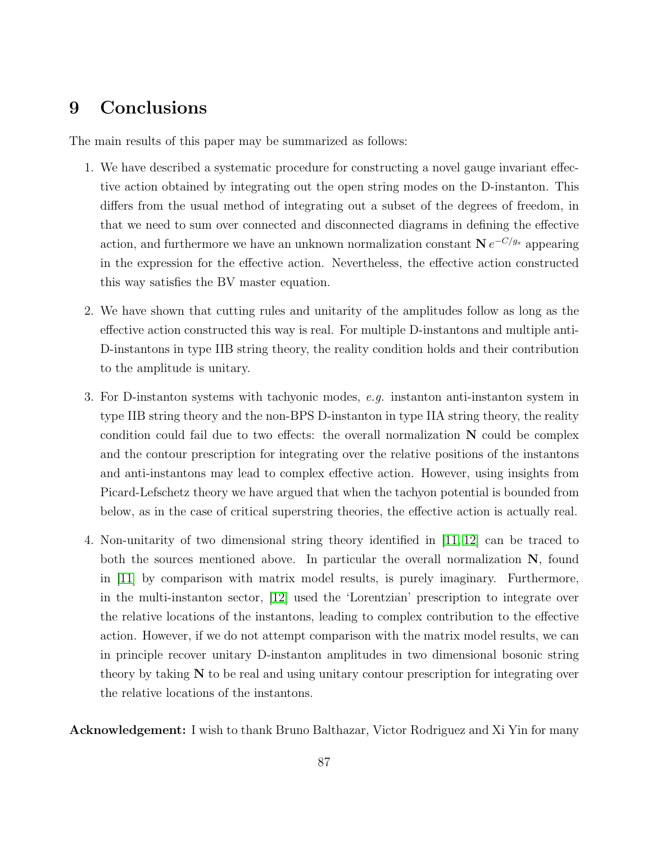## 9 Conclusions

The main results of this paper may be summarized as follows:

- 1. We have described a systematic procedure for constructing a novel gauge invariant effective action obtained by integrating out the open string modes on the D-instanton. This differs from the usual method of integrating out a subset of the degrees of freedom, in that we need to sum over connected and disconnected diagrams in defining the effective action, and furthermore we have an unknown normalization constant  $N e^{-C/g_s}$  appearing in the expression for the effective action. Nevertheless, the effective action constructed this way satisfies the BV master equation.
- 2. We have shown that cutting rules and unitarity of the amplitudes follow as long as the effective action constructed this way is real. For multiple D-instantons and multiple anti-D-instantons in type IIB string theory, the reality condition holds and their contribution to the amplitude is unitary.
- 3. For D-instanton systems with tachyonic modes, e.g. instanton anti-instanton system in type IIB string theory and the non-BPS D-instanton in type IIA string theory, the reality condition could fail due to two effects: the overall normalization  $N$  could be complex and the contour prescription for integrating over the relative positions of the instantons and anti-instantons may lead to complex effective action. However, using insights from Picard-Lefschetz theory we have argued that when the tachyon potential is bounded from below, as in the case of critical superstring theories, the effective action is actually real.
- 4. Non-unitarity of two dimensional string theory identified in [\[11,](#page-87-0) [12\]](#page-88-0) can be traced to both the sources mentioned above. In particular the overall normalization  $N$ , found in [\[11\]](#page-87-0) by comparison with matrix model results, is purely imaginary. Furthermore, in the multi-instanton sector, [\[12\]](#page-88-0) used the 'Lorentzian' prescription to integrate over the relative locations of the instantons, leading to complex contribution to the effective action. However, if we do not attempt comparison with the matrix model results, we can in principle recover unitary D-instanton amplitudes in two dimensional bosonic string theory by taking N to be real and using unitary contour prescription for integrating over the relative locations of the instantons.

Acknowledgement: I wish to thank Bruno Balthazar, Victor Rodriguez and Xi Yin for many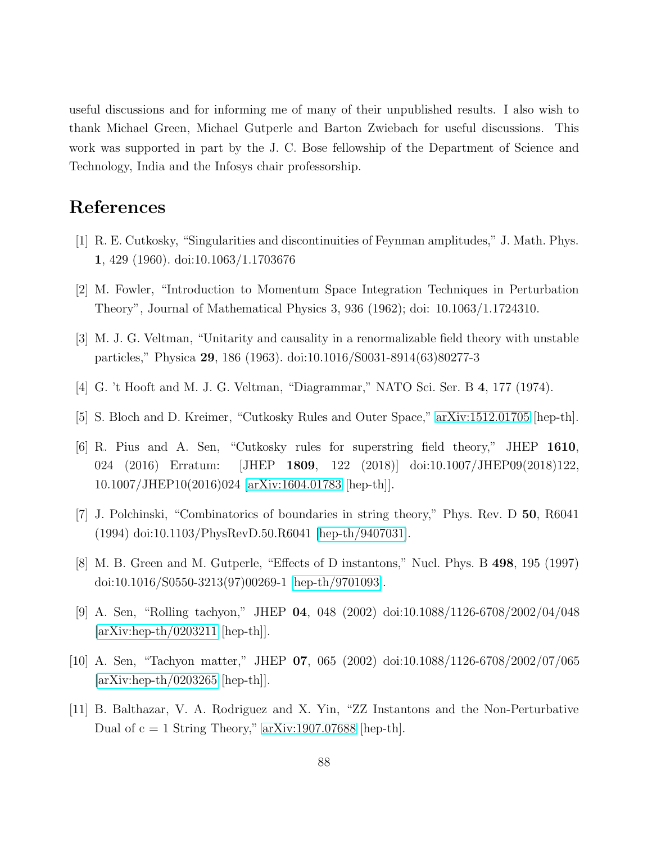useful discussions and for informing me of many of their unpublished results. I also wish to thank Michael Green, Michael Gutperle and Barton Zwiebach for useful discussions. This work was supported in part by the J. C. Bose fellowship of the Department of Science and Technology, India and the Infosys chair professorship.

# References

- [1] R. E. Cutkosky, "Singularities and discontinuities of Feynman amplitudes," J. Math. Phys. 1, 429 (1960). doi:10.1063/1.1703676
- [2] M. Fowler, "Introduction to Momentum Space Integration Techniques in Perturbation Theory", Journal of Mathematical Physics 3, 936 (1962); doi: 10.1063/1.1724310.
- [3] M. J. G. Veltman, "Unitarity and causality in a renormalizable field theory with unstable particles," Physica 29, 186 (1963). doi:10.1016/S0031-8914(63)80277-3
- [4] G. 't Hooft and M. J. G. Veltman, "Diagrammar," NATO Sci. Ser. B 4, 177 (1974).
- [5] S. Bloch and D. Kreimer, "Cutkosky Rules and Outer Space," [arXiv:1512.01705](http://arxiv.org/abs/1512.01705) [hep-th].
- [6] R. Pius and A. Sen, "Cutkosky rules for superstring field theory," JHEP 1610, 024 (2016) Erratum: [JHEP 1809, 122 (2018)] doi:10.1007/JHEP09(2018)122, 10.1007/JHEP10(2016)024 [\[arXiv:1604.01783](http://arxiv.org/abs/1604.01783) [hep-th]].
- [7] J. Polchinski, "Combinatorics of boundaries in string theory," Phys. Rev. D 50, R6041 (1994) doi:10.1103/PhysRevD.50.R6041 [\[hep-th/9407031\]](http://arxiv.org/abs/hep-th/9407031).
- [8] M. B. Green and M. Gutperle, "Effects of D instantons," Nucl. Phys. B 498, 195 (1997) doi:10.1016/S0550-3213(97)00269-1 [\[hep-th/9701093\]](http://arxiv.org/abs/hep-th/9701093).
- [9] A. Sen, "Rolling tachyon," JHEP 04, 048 (2002) doi:10.1088/1126-6708/2002/04/048  $[\text{arXiv:hep-th}/0203211$   $[\text{hep-th}].$
- <span id="page-87-0"></span>[10] A. Sen, "Tachyon matter," JHEP 07, 065 (2002) doi:10.1088/1126-6708/2002/07/065  $[\text{arXiv:hep-th}/0203265$   $[\text{hep-th}].$
- [11] B. Balthazar, V. A. Rodriguez and X. Yin, "ZZ Instantons and the Non-Perturbative Dual of  $c = 1$  String Theory," [arXiv:1907.07688](http://arxiv.org/abs/1907.07688) [hep-th].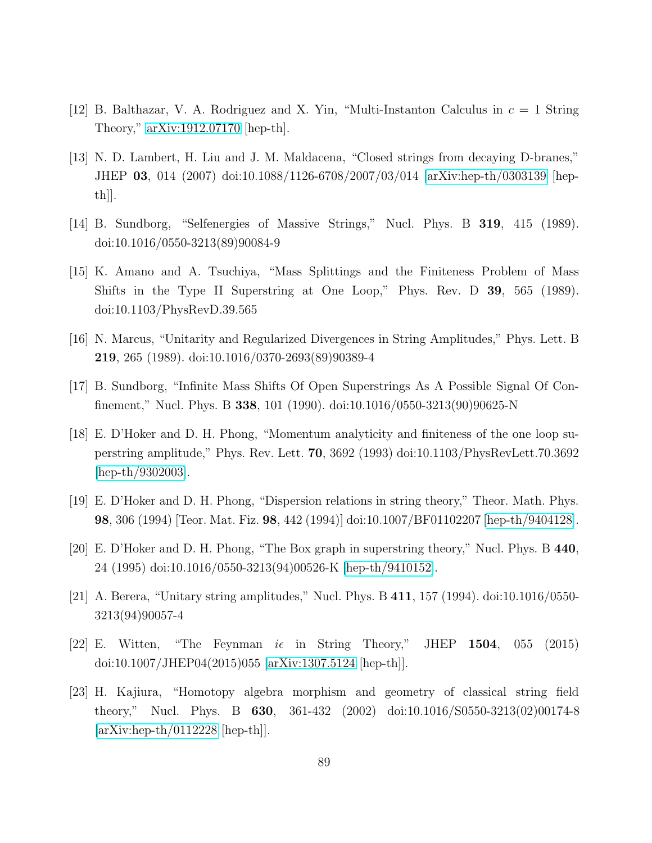- <span id="page-88-0"></span>[12] B. Balthazar, V. A. Rodriguez and X. Yin, "Multi-Instanton Calculus in  $c = 1$  String Theory," [arXiv:1912.07170](http://arxiv.org/abs/1912.07170) [hep-th].
- [13] N. D. Lambert, H. Liu and J. M. Maldacena, "Closed strings from decaying D-branes," JHEP 03, 014 (2007) doi:10.1088/1126-6708/2007/03/014 [\[arXiv:hep-th/0303139](http://arxiv.org/abs/hep-th/0303139) [hepth]].
- [14] B. Sundborg, "Selfenergies of Massive Strings," Nucl. Phys. B 319, 415 (1989). doi:10.1016/0550-3213(89)90084-9
- [15] K. Amano and A. Tsuchiya, "Mass Splittings and the Finiteness Problem of Mass Shifts in the Type II Superstring at One Loop," Phys. Rev. D 39, 565 (1989). doi:10.1103/PhysRevD.39.565
- [16] N. Marcus, "Unitarity and Regularized Divergences in String Amplitudes," Phys. Lett. B 219, 265 (1989). doi:10.1016/0370-2693(89)90389-4
- [17] B. Sundborg, "Infinite Mass Shifts Of Open Superstrings As A Possible Signal Of Confinement," Nucl. Phys. B 338, 101 (1990). doi:10.1016/0550-3213(90)90625-N
- [18] E. D'Hoker and D. H. Phong, "Momentum analyticity and finiteness of the one loop superstring amplitude," Phys. Rev. Lett. 70, 3692 (1993) doi:10.1103/PhysRevLett.70.3692 [\[hep-th/9302003\]](http://arxiv.org/abs/hep-th/9302003).
- [19] E. D'Hoker and D. H. Phong, "Dispersion relations in string theory," Theor. Math. Phys. 98, 306 (1994) [Teor. Mat. Fiz. 98, 442 (1994)] doi:10.1007/BF01102207 [\[hep-th/9404128\]](http://arxiv.org/abs/hep-th/9404128).
- [20] E. D'Hoker and D. H. Phong, "The Box graph in superstring theory," Nucl. Phys. B 440, 24 (1995) doi:10.1016/0550-3213(94)00526-K [\[hep-th/9410152\]](http://arxiv.org/abs/hep-th/9410152).
- [21] A. Berera, "Unitary string amplitudes," Nucl. Phys. B 411, 157 (1994). doi:10.1016/0550- 3213(94)90057-4
- [22] E. Witten, "The Feynman  $i\epsilon$  in String Theory," JHEP 1504, 055 (2015) doi:10.1007/JHEP04(2015)055 [\[arXiv:1307.5124](http://arxiv.org/abs/1307.5124) [hep-th]].
- [23] H. Kajiura, "Homotopy algebra morphism and geometry of classical string field theory," Nucl. Phys. B 630, 361-432 (2002) doi:10.1016/S0550-3213(02)00174-8  $[\text{arXiv:hep-th}/0112228$   $[\text{hep-th}].$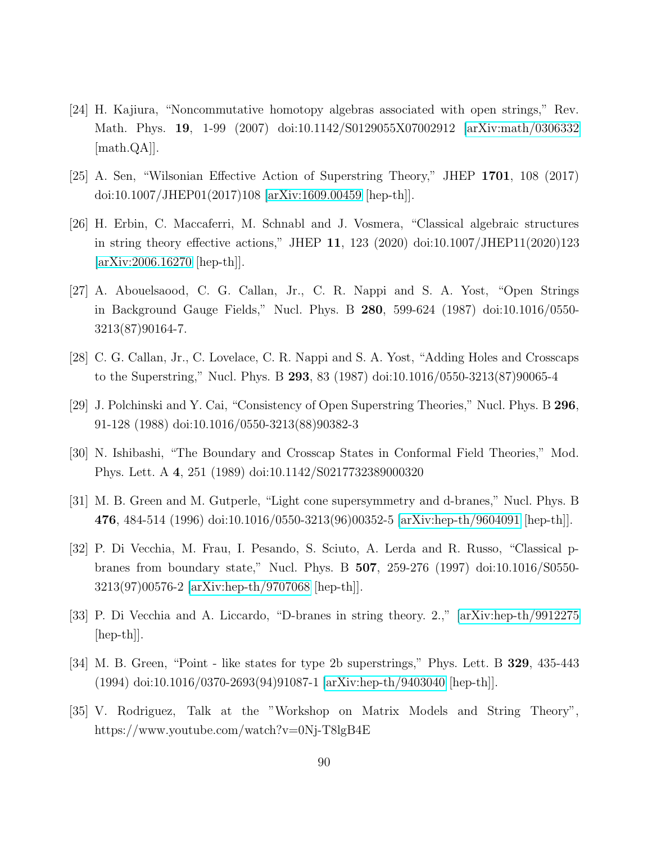- [24] H. Kajiura, "Noncommutative homotopy algebras associated with open strings," Rev. Math. Phys. 19, 1-99 (2007) doi:10.1142/S0129055X07002912 [\[arXiv:math/0306332](http://arxiv.org/abs/math/0306332) [math.QA]].
- [25] A. Sen, "Wilsonian Effective Action of Superstring Theory," JHEP 1701, 108 (2017) doi:10.1007/JHEP01(2017)108 [\[arXiv:1609.00459](http://arxiv.org/abs/1609.00459) [hep-th]].
- [26] H. Erbin, C. Maccaferri, M. Schnabl and J. Vosmera, "Classical algebraic structures in string theory effective actions," JHEP 11, 123 (2020) doi:10.1007/JHEP11(2020)123 [\[arXiv:2006.16270](http://arxiv.org/abs/2006.16270) [hep-th]].
- [27] A. Abouelsaood, C. G. Callan, Jr., C. R. Nappi and S. A. Yost, "Open Strings in Background Gauge Fields," Nucl. Phys. B 280, 599-624 (1987) doi:10.1016/0550- 3213(87)90164-7.
- [28] C. G. Callan, Jr., C. Lovelace, C. R. Nappi and S. A. Yost, "Adding Holes and Crosscaps to the Superstring," Nucl. Phys. B 293, 83 (1987) doi:10.1016/0550-3213(87)90065-4
- [29] J. Polchinski and Y. Cai, "Consistency of Open Superstring Theories," Nucl. Phys. B 296, 91-128 (1988) doi:10.1016/0550-3213(88)90382-3
- [30] N. Ishibashi, "The Boundary and Crosscap States in Conformal Field Theories," Mod. Phys. Lett. A 4, 251 (1989) doi:10.1142/S0217732389000320
- [31] M. B. Green and M. Gutperle, "Light cone supersymmetry and d-branes," Nucl. Phys. B 476, 484-514 (1996) doi:10.1016/0550-3213(96)00352-5 [\[arXiv:hep-th/9604091](http://arxiv.org/abs/hep-th/9604091) [hep-th]].
- [32] P. Di Vecchia, M. Frau, I. Pesando, S. Sciuto, A. Lerda and R. Russo, "Classical pbranes from boundary state," Nucl. Phys. B 507, 259-276 (1997) doi:10.1016/S0550- 3213(97)00576-2 [\[arXiv:hep-th/9707068](http://arxiv.org/abs/hep-th/9707068) [hep-th]].
- [33] P. Di Vecchia and A. Liccardo, "D-branes in string theory. 2.," [\[arXiv:hep-th/9912275](http://arxiv.org/abs/hep-th/9912275) [hep-th]].
- [34] M. B. Green, "Point like states for type 2b superstrings," Phys. Lett. B 329, 435-443 (1994) doi:10.1016/0370-2693(94)91087-1 [\[arXiv:hep-th/9403040](http://arxiv.org/abs/hep-th/9403040) [hep-th]].
- [35] V. Rodriguez, Talk at the "Workshop on Matrix Models and String Theory", https://www.youtube.com/watch?v=0Nj-T8lgB4E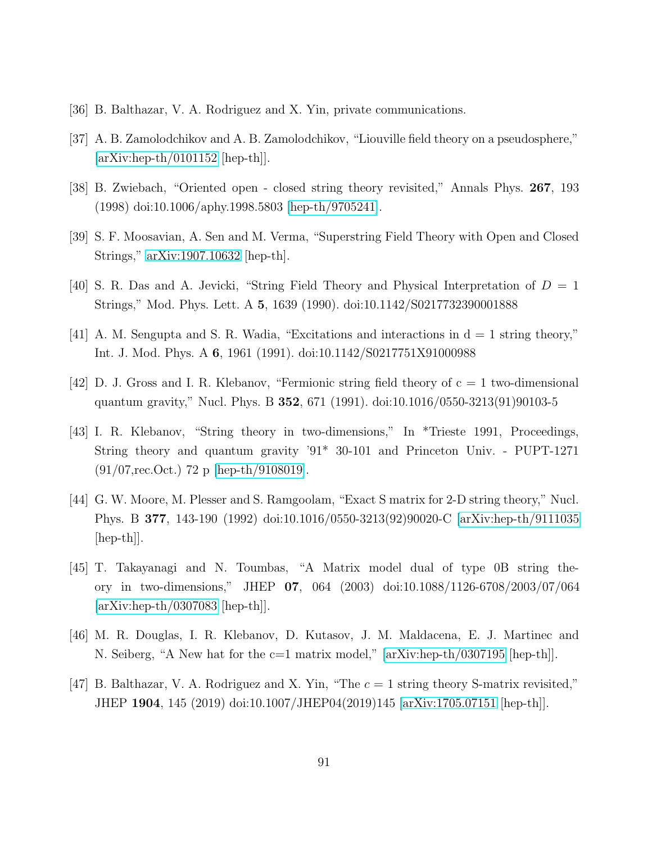- <span id="page-90-0"></span>[36] B. Balthazar, V. A. Rodriguez and X. Yin, private communications.
- [37] A. B. Zamolodchikov and A. B. Zamolodchikov, "Liouville field theory on a pseudosphere,"  $[\text{arXiv:hep-th}/0101152$   $[\text{hep-th}].$
- [38] B. Zwiebach, "Oriented open closed string theory revisited," Annals Phys. 267, 193 (1998) doi:10.1006/aphy.1998.5803 [\[hep-th/9705241\]](http://arxiv.org/abs/hep-th/9705241).
- [39] S. F. Moosavian, A. Sen and M. Verma, "Superstring Field Theory with Open and Closed Strings," [arXiv:1907.10632](http://arxiv.org/abs/1907.10632) [hep-th].
- [40] S. R. Das and A. Jevicki, "String Field Theory and Physical Interpretation of  $D = 1$ Strings," Mod. Phys. Lett. A 5, 1639 (1990). doi:10.1142/S0217732390001888
- [41] A. M. Sengupta and S. R. Wadia, "Excitations and interactions in d = 1 string theory," Int. J. Mod. Phys. A 6, 1961 (1991). doi:10.1142/S0217751X91000988
- [42] D. J. Gross and I. R. Klebanov, "Fermionic string field theory of c = 1 two-dimensional quantum gravity," Nucl. Phys. B 352, 671 (1991). doi:10.1016/0550-3213(91)90103-5
- [43] I. R. Klebanov, "String theory in two-dimensions," In \*Trieste 1991, Proceedings, String theory and quantum gravity '91\* 30-101 and Princeton Univ. - PUPT-1271 (91/07,rec.Oct.) 72 p [\[hep-th/9108019\]](http://arxiv.org/abs/hep-th/9108019).
- [44] G. W. Moore, M. Plesser and S. Ramgoolam, "Exact S matrix for 2-D string theory," Nucl. Phys. B 377, 143-190 (1992) doi:10.1016/0550-3213(92)90020-C [\[arXiv:hep-th/9111035](http://arxiv.org/abs/hep-th/9111035) [hep-th]].
- [45] T. Takayanagi and N. Toumbas, "A Matrix model dual of type 0B string theory in two-dimensions," JHEP 07, 064 (2003) doi:10.1088/1126-6708/2003/07/064  $\arXiv:hep-th/0307083$  [hep-th].
- [46] M. R. Douglas, I. R. Klebanov, D. Kutasov, J. M. Maldacena, E. J. Martinec and N. Seiberg, "A New hat for the  $c=1$  matrix model,"  $arXiv:hep-th/0307195$  [hep-th].
- [47] B. Balthazar, V. A. Rodriguez and X. Yin, "The  $c = 1$  string theory S-matrix revisited," JHEP 1904, 145 (2019) doi:10.1007/JHEP04(2019)145 [\[arXiv:1705.07151](http://arxiv.org/abs/1705.07151) [hep-th]].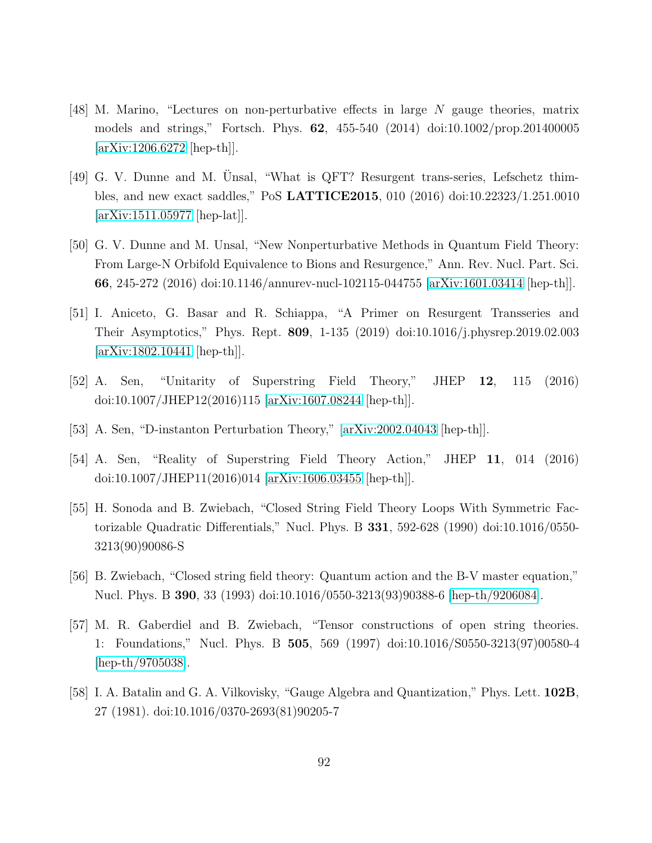- <span id="page-91-0"></span>[48] M. Marino, "Lectures on non-perturbative effects in large N gauge theories, matrix models and strings," Fortsch. Phys. 62, 455-540 (2014) doi:10.1002/prop.201400005 [\[arXiv:1206.6272](http://arxiv.org/abs/1206.6272) [hep-th]].
- <span id="page-91-2"></span>[49] G. V. Dunne and M. Unsal, "What is QFT? Resurgent trans-series, Lefschetz thimbles, and new exact saddles," PoS LATTICE2015, 010 (2016) doi:10.22323/1.251.0010 [\[arXiv:1511.05977](http://arxiv.org/abs/1511.05977) [hep-lat]].
- [50] G. V. Dunne and M. Unsal, "New Nonperturbative Methods in Quantum Field Theory: From Large-N Orbifold Equivalence to Bions and Resurgence," Ann. Rev. Nucl. Part. Sci. 66, 245-272 (2016) doi:10.1146/annurev-nucl-102115-044755 [\[arXiv:1601.03414](http://arxiv.org/abs/1601.03414) [hep-th]].
- <span id="page-91-1"></span>[51] I. Aniceto, G. Basar and R. Schiappa, "A Primer on Resurgent Transseries and Their Asymptotics," Phys. Rept. 809, 1-135 (2019) doi:10.1016/j.physrep.2019.02.003 [\[arXiv:1802.10441](http://arxiv.org/abs/1802.10441) [hep-th]].
- [52] A. Sen, "Unitarity of Superstring Field Theory," JHEP 12, 115 (2016) doi:10.1007/JHEP12(2016)115 [\[arXiv:1607.08244](http://arxiv.org/abs/1607.08244) [hep-th]].
- [53] A. Sen, "D-instanton Perturbation Theory," [\[arXiv:2002.04043](http://arxiv.org/abs/2002.04043) [hep-th]].
- [54] A. Sen, "Reality of Superstring Field Theory Action," JHEP 11, 014 (2016) doi:10.1007/JHEP11(2016)014 [\[arXiv:1606.03455](http://arxiv.org/abs/1606.03455) [hep-th]].
- [55] H. Sonoda and B. Zwiebach, "Closed String Field Theory Loops With Symmetric Factorizable Quadratic Differentials," Nucl. Phys. B 331, 592-628 (1990) doi:10.1016/0550- 3213(90)90086-S
- [56] B. Zwiebach, "Closed string field theory: Quantum action and the B-V master equation," Nucl. Phys. B 390, 33 (1993) doi:10.1016/0550-3213(93)90388-6 [\[hep-th/9206084\]](http://arxiv.org/abs/hep-th/9206084).
- [57] M. R. Gaberdiel and B. Zwiebach, "Tensor constructions of open string theories. 1: Foundations," Nucl. Phys. B 505, 569 (1997) doi:10.1016/S0550-3213(97)00580-4 [\[hep-th/9705038\]](http://arxiv.org/abs/hep-th/9705038).
- [58] I. A. Batalin and G. A. Vilkovisky, "Gauge Algebra and Quantization," Phys. Lett. 102B, 27 (1981). doi:10.1016/0370-2693(81)90205-7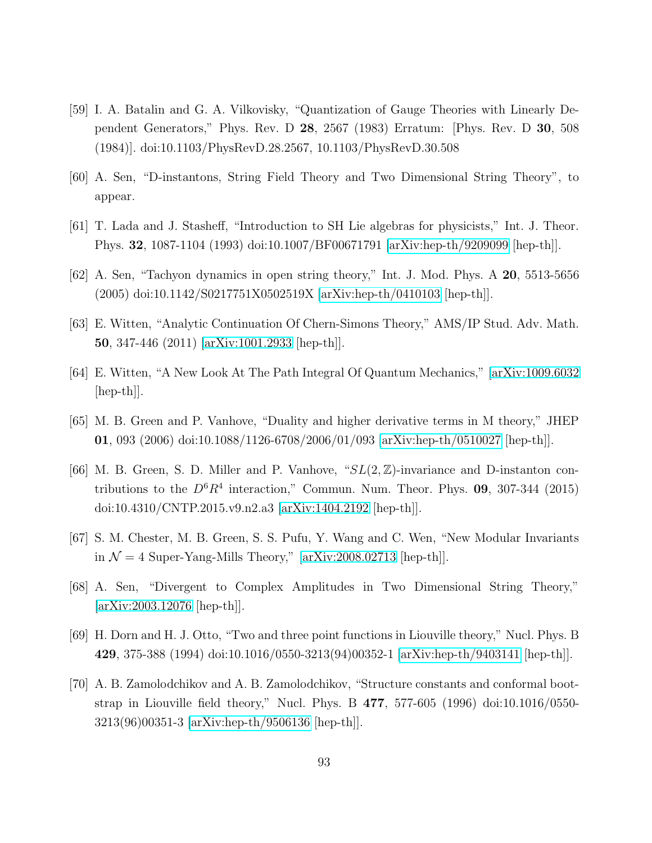- [59] I. A. Batalin and G. A. Vilkovisky, "Quantization of Gauge Theories with Linearly Dependent Generators," Phys. Rev. D 28, 2567 (1983) Erratum: [Phys. Rev. D 30, 508 (1984)]. doi:10.1103/PhysRevD.28.2567, 10.1103/PhysRevD.30.508
- [60] A. Sen, "D-instantons, String Field Theory and Two Dimensional String Theory", to appear.
- <span id="page-92-2"></span>[61] T. Lada and J. Stasheff, "Introduction to SH Lie algebras for physicists," Int. J. Theor. Phys. 32, 1087-1104 (1993) doi:10.1007/BF00671791 [\[arXiv:hep-th/9209099](http://arxiv.org/abs/hep-th/9209099) [hep-th]].
- <span id="page-92-0"></span>[62] A. Sen, "Tachyon dynamics in open string theory," Int. J. Mod. Phys. A 20, 5513-5656 (2005) doi:10.1142/S0217751X0502519X [\[arXiv:hep-th/0410103](http://arxiv.org/abs/hep-th/0410103) [hep-th]].
- <span id="page-92-1"></span>[63] E. Witten, "Analytic Continuation Of Chern-Simons Theory," AMS/IP Stud. Adv. Math. 50, 347-446 (2011) [\[arXiv:1001.2933](http://arxiv.org/abs/1001.2933) [hep-th]].
- [64] E. Witten, "A New Look At The Path Integral Of Quantum Mechanics," [\[arXiv:1009.6032](http://arxiv.org/abs/1009.6032) [hep-th]].
- [65] M. B. Green and P. Vanhove, "Duality and higher derivative terms in M theory," JHEP 01, 093 (2006) doi:10.1088/1126-6708/2006/01/093 [\[arXiv:hep-th/0510027](http://arxiv.org/abs/hep-th/0510027) [hep-th]].
- [66] M. B. Green, S. D. Miller and P. Vanhove, " $SL(2, \mathbb{Z})$ -invariance and D-instanton contributions to the  $D^6R^4$  interaction," Commun. Num. Theor. Phys. 09, 307-344 (2015) doi:10.4310/CNTP.2015.v9.n2.a3 [\[arXiv:1404.2192](http://arxiv.org/abs/1404.2192) [hep-th]].
- [67] S. M. Chester, M. B. Green, S. S. Pufu, Y. Wang and C. Wen, "New Modular Invariants in  $\mathcal{N} = 4$  Super-Yang-Mills Theory," [\[arXiv:2008.02713](http://arxiv.org/abs/2008.02713) [hep-th]].
- [68] A. Sen, "Divergent to Complex Amplitudes in Two Dimensional String Theory," [\[arXiv:2003.12076](http://arxiv.org/abs/2003.12076) [hep-th]].
- [69] H. Dorn and H. J. Otto, "Two and three point functions in Liouville theory," Nucl. Phys. B 429, 375-388 (1994) doi:10.1016/0550-3213(94)00352-1 [\[arXiv:hep-th/9403141](http://arxiv.org/abs/hep-th/9403141) [hep-th]].
- [70] A. B. Zamolodchikov and A. B. Zamolodchikov, "Structure constants and conformal bootstrap in Liouville field theory," Nucl. Phys. B 477, 577-605 (1996) doi:10.1016/0550- 3213(96)00351-3 [\[arXiv:hep-th/9506136](http://arxiv.org/abs/hep-th/9506136) [hep-th]].